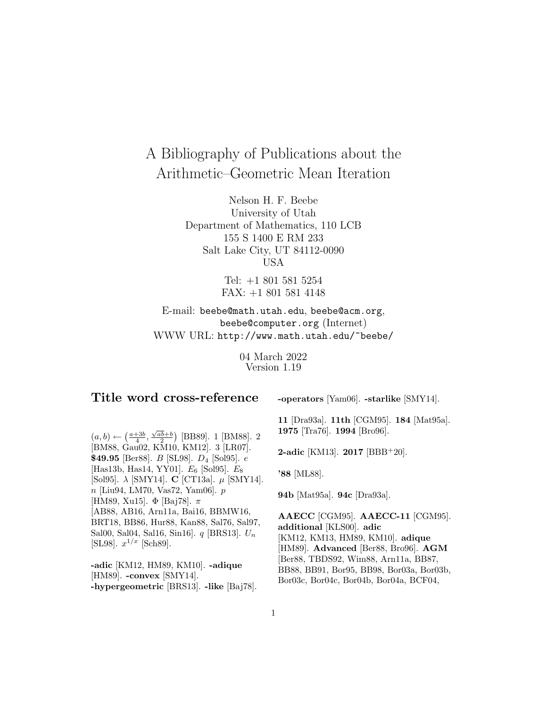# A Bibliography of Publications about the Arithmetic–Geometric Mean Iteration

Nelson H. F. Beebe University of Utah Department of Mathematics, 110 LCB 155 S 1400 E RM 233 Salt Lake City, UT 84112-0090 USA

> Tel: +1 801 581 5254 FAX: +1 801 581 4148

E-mail: beebe@math.utah.edu, beebe@acm.org, beebe@computer.org (Internet) WWW URL: http://www.math.utah.edu/~beebe/

> 04 March 2022 Version 1.19

# **Title word cross-reference**

**-operators** [Yam06]. **-starlike** [SMY14].

 $(a, b) \leftarrow (\frac{a+3b}{4}, \frac{\sqrt{ab}+b}{2})$  [BB89]. 1 [BM88]. 2 [BM88, Gau02, KM10, KM12]. 3 [LR07]. **\$49.95** [Ber88]. B [SL98]. D<sup>4</sup> [Sol95]. e [Has13b, Has14, YY01].  $E_6$  [Sol95].  $E_8$ [Sol95]. λ [SMY14]. **C** [CT13a]. µ [SMY14]. n [Liu94, LM70, Vas72, Yam06]. p [HM89, Xu15]. Φ [Baj78].  $\pi$ [AB88, AB16, Arn11a, Bai16, BBMW16, BRT18, BB86, Hur88, Kan88, Sal76, Sal97, Sal00, Sal04, Sal16, Sin16].  $q$  [BRS13].  $U_n$ [SL98].  $x^{1/x}$  [Sch89].

**-adic** [KM12, HM89, KM10]. **-adique** [HM89]. **-convex** [SMY14]. **-hypergeometric** [BRS13]. **-like** [Baj78]. **11** [Dra93a]. **11th** [CGM95]. **184** [Mat95a]. **1975** [Tra76]. **1994** [Bro96].

**2-adic** [KM13]. **2017** [BBB<sup>+</sup>20].

**'88** [ML88].

**94b** [Mat95a]. **94c** [Dra93a].

**AAECC** [CGM95]. **AAECC-11** [CGM95]. **additional** [KLS00]. **adic** [KM12, KM13, HM89, KM10]. **adique** [HM89]. **Advanced** [Ber88, Bro96]. **AGM** [Ber88, TBDS92, Wim88, Arn11a, BB87, BB88, BB91, Bor95, BB98, Bor03a, Bor03b, Bor03c, Bor04c, Bor04b, Bor04a, BCF04,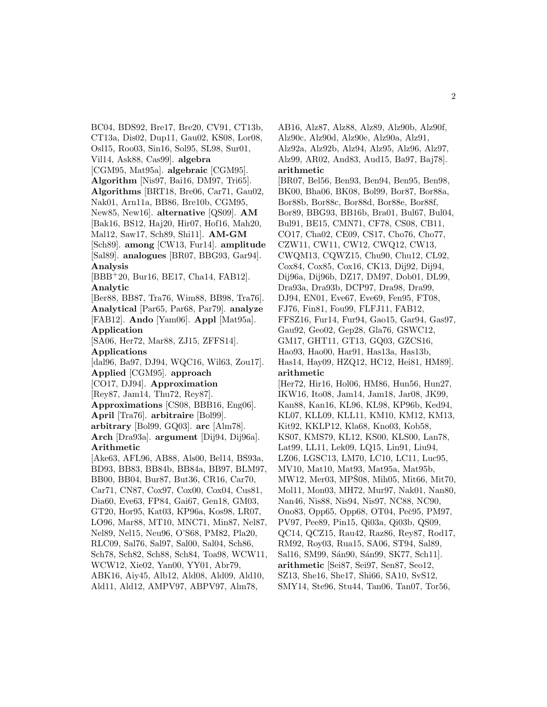BC04, BDS92, Bre17, Bre20, CV91, CT13b, CT13a, Dis02, Dup11, Gau02, KS08, Lor08, Osl15, Roo03, Sin16, Sol95, SL98, Sur01, Vil14, Ask88, Cas99]. **algebra** [CGM95, Mat95a]. **algebraic** [CGM95]. **Algorithm** [Nis97, Bai16, DM97, Tri65]. **Algorithms** [BRT18, Bre06, Car71, Gau02, Nak01, Arn11a, BB86, Bre10b, CGM95, New85, New16]. **alternative** [QS09]. **AM** [Bak16, BS12, Haj20, Hir07, Hof16, Mah20, Mal12, Saw17, Sch89, Shi11]. **AM-GM** [Sch89]. **among** [CW13, Fur14]. **amplitude** [Sal89]. **analogues** [BR07, BBG93, Gar94]. **Analysis** [BBB<sup>+</sup>20, Bur16, BE17, Cha14, FAB12]. **Analytic** [Ber88, BB87, Tra76, Wim88, BB98, Tra76]. **Analytical** [Par65, Par68, Par79]. **analyze** [FAB12]. **Ando** [Yam06]. **Appl** [Mat95a]. **Application** [SA06, Her72, Mar88, ZJ15, ZFFS14]. **Applications** [dal96, Ba97, DJ94, WQC16, Wil63, Zou17]. **Applied** [CGM95]. **approach** [CO17, DJ94]. **Approximation** [Rey87, Jam14, Thu72, Rey87]. **Approximations** [CS08, BBB16, Eng06]. **April** [Tra76]. **arbitraire** [Bol99]. **arbitrary** [Bol99, GQ03]. **arc** [Alm78]. **Arch** [Dra93a]. **argument** [Dij94, Dij96a]. **Arithmetic** [Ake63, AFL96, AB88, Als00, Bel14, BS93a, BD93, BB83, BB84b, BB84a, BB97, BLM97, BB00, BB04, Bur87, But36, CR16, Car70, Car71, CN87, Cox97, Cox00, Cox04, Cus81, Dia60, Eve63, FP84, Gai67, Gen18, GM03, GT20, Hor95, Kat03, KP96a, Kos98, LR07, LO96, Mar88, MT10, MNC71, Min87, Nel87, Nel89, Nel15, Neu96, O'S68, PM82, Pla20, RLC09, Sal76, Sal97, Sal00, Sal04, Sch86, Sch78, Sch82, Sch88, Sch84, Toa98, WCW11, WCW12, Xie02, Yan00, YY01, Abr79, ABK16, Aiy45, Alb12, Ald08, Ald09, Ald10, Ald11, Ald12, AMPV97, ABPV97, Alm78,

AB16, Alz87, Alz88, Alz89, Alz90b, Alz90f, Alz90c, Alz90d, Alz90e, Alz90a, Alz91, Alz92a, Alz92b, Alz94, Alz95, Alz96, Alz97, Alz99, AR02, And83, Aud15, Ba97, Baj78]. **arithmetic** [BR07, Bel56, Ben93, Ben94, Ben95, Ben98, BK00, Bha06, BK08, Bol99, Bor87, Bor88a, Bor88b, Bor88c, Bor88d, Bor88e, Bor88f, Bor89, BBG93, BB16b, Bra01, Bul67, Bul04, Bul91, BE15, CMN71, CF78, CS08, CB11, CO17, Cha02, CE09, CS17, Cho76, Cho77, CZW11, CW11, CW12, CWQ12, CW13, CWQM13, CQWZ15, Chu90, Chu12, CL92, Cox84, Cox85, Cox16, CK13, Dij92, Dij94, Dij96a, Dij96b, DZ17, DM97, Dob01, DL99, Dra93a, Dra93b, DCP97, Dra98, Dra99, DJ94, EN01, Eve67, Eve69, Fen95, FT08, FJ76, Fin81, Fou99, FLFJ11, FAB12, FFSZ16, Fur14, Fur94, Gao15, Gar94, Gas97, Gau92, Geo02, Gep28, Gla76, GSWC12, GM17, GHT11, GT13, GQ03, GZCS16, Hao93, Hao00, Har91, Has13a, Has13b, Has14, Hay09, HZQ12, HC12, Hei81, HM89]. **arithmetic** [Her72, Hir16, Hol06, HM86, Hun56, Hun27, IKW16, Ito08, Jam14, Jam18, Jar08, JK99, Kan88, Kan16, KL96, KL98, KP96b, Ked94, KL07, KLL09, KLL11, KM10, KM12, KM13, Kit92, KKLP12, Kla68, Kno03, Kob58, KS07, KMS79, KL12, KS00, KLS00, Lan78, Lat99, LL11, Lek09, LQ15, Lin91, Liu94, LZ06, LGSC13, LM70, LC10, LC11, Luc95, MV10, Mat10, Mat93, Mat95a, Mat95b,  $MW12$ , Mer03, MPS08, Mih05, Mit66, Mit70, Mol11, Mon03, MH72, Mur97, Nak01, Nan80, Nan46, Nis88, Nis94, Nis97, NC88, NC90, Ono83, Opp65, Opp68, OT04, Peč95, PM97, PV97, Pee89, Pin15, Qi03a, Qi03b, QS09, QC14, QCZ15, Rau42, Raz86, Rey87, Rod17, RM92, Roy03, Rua15, SA06, ST94, Sal89, Sal16, SM99, Sán90, Sán99, SK77, Sch11]. **arithmetic** [Sei87, Sei97, Sen87, Seo12, SZ13, She16, She17, Shi66, SA10, SvS12, SMY14, Ste96, Stu44, Tan06, Tan07, Tor56,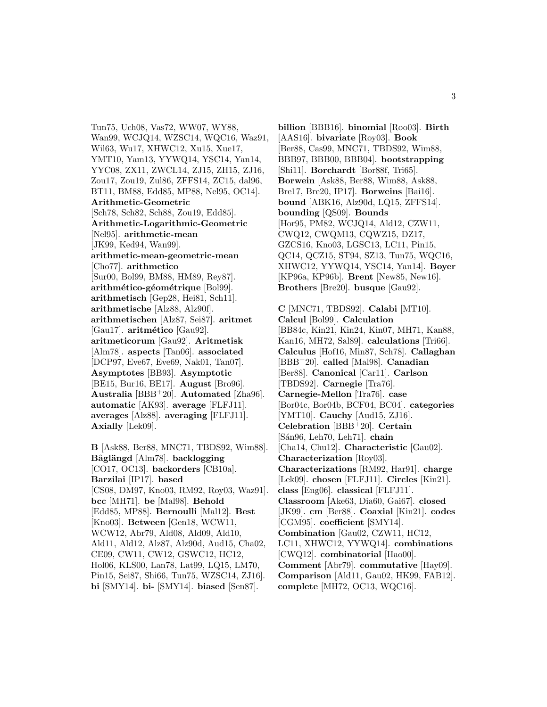Tun75, Uch08, Vas72, WW07, WY88, Wan99, WCJQ14, WZSC14, WQC16, Waz91, Wil63, Wu17, XHWC12, Xu15, Xue17, YMT10, Yam13, YYWQ14, YSC14, Yan14, YYC08, ZX11, ZWCL14, ZJ15, ZH15, ZJ16, Zou17, Zou19, Zul86, ZFFS14, ZC15, dal96, BT11, BM88, Edd85, MP88, Nel95, OC14]. **Arithmetic-Geometric** [Sch78, Sch82, Sch88, Zou19, Edd85]. **Arithmetic-Logarithmic-Geometric** [Nel95]. **arithmetic-mean** [JK99, Ked94, Wan99]. **arithmetic-mean-geometric-mean** [Cho77]. **arithmetico** [Sur00, Bol99, BM88, HM89, Rey87]. arithmético-géométrique [Bol99]. **arithmetisch** [Gep28, Hei81, Sch11]. **arithmetische** [Alz88, Alz90f]. **arithmetischen** [Alz87, Sei87]. **aritmet** [Gau17]. **aritmético** [Gau92]. **aritmeticorum** [Gau92]. **Aritmetisk** [Alm78]. **aspects** [Tan06]. **associated** [DCP97, Eve67, Eve69, Nak01, Tan07]. **Asymptotes** [BB93]. **Asymptotic** [BE15, Bur16, BE17]. **August** [Bro96]. **Australia** [BBB<sup>+</sup>20]. **Automated** [Zha96]. **automatic** [AK93]. **average** [FLFJ11]. **averages** [Alz88]. **averaging** [FLFJ11]. **Axially** [Lek09].

**B** [Ask88, Ber88, MNC71, TBDS92, Wim88]. **B˚agl¨angd** [Alm78]. **backlogging** [CO17, OC13]. **backorders** [CB10a]. **Barzilai** [IP17]. **based** [CS08, DM97, Kno03, RM92, Roy03, Waz91]. **bcc** [MH71]. **be** [Mal98]. **Behold** [Edd85, MP88]. **Bernoulli** [Mal12]. **Best** [Kno03]. **Between** [Gen18, WCW11, WCW12, Abr79, Ald08, Ald09, Ald10, Ald11, Ald12, Alz87, Alz90d, Aud15, Cha02, CE09, CW11, CW12, GSWC12, HC12, Hol06, KLS00, Lan78, Lat99, LQ15, LM70, Pin15, Sei87, Shi66, Tun75, WZSC14, ZJ16]. **bi** [SMY14]. **bi-** [SMY14]. **biased** [Sen87].

**billion** [BBB16]. **binomial** [Roo03]. **Birth** [AAS16]. **bivariate** [Roy03]. **Book** [Ber88, Cas99, MNC71, TBDS92, Wim88, BBB97, BBB00, BBB04]. **bootstrapping** [Shi11]. **Borchardt** [Bor88f, Tri65]. **Borwein** [Ask88, Ber88, Wim88, Ask88, Bre17, Bre20, IP17]. **Borweins** [Bai16]. **bound** [ABK16, Alz90d, LQ15, ZFFS14]. **bounding** [QS09]. **Bounds** [Hor95, PM82, WCJQ14, Ald12, CZW11, CWQ12, CWQM13, CQWZ15, DZ17, GZCS16, Kno03, LGSC13, LC11, Pin15, QC14, QCZ15, ST94, SZ13, Tun75, WQC16, XHWC12, YYWQ14, YSC14, Yan14]. **Boyer** [KP96a, KP96b]. **Brent** [New85, New16]. **Brothers** [Bre20]. **busque** [Gau92].

**C** [MNC71, TBDS92]. **Calabi** [MT10]. **Calcul** [Bol99]. **Calculation** [BB84c, Kin21, Kin24, Kin07, MH71, Kan88, Kan16, MH72, Sal89]. **calculations** [Tri66]. **Calculus** [Hof16, Min87, Sch78]. **Callaghan** [BBB<sup>+</sup>20]. **called** [Mal98]. **Canadian** [Ber88]. **Canonical** [Car11]. **Carlson** [TBDS92]. **Carnegie** [Tra76]. **Carnegie-Mellon** [Tra76]. **case** [Bor04c, Bor04b, BCF04, BC04]. **categories** [YMT10]. **Cauchy** [Aud15, ZJ16]. **Celebration** [BBB<sup>+</sup>20]. **Certain** [S´an96, Leh70, Leh71]. **chain** [Cha14, Chu12]. **Characteristic** [Gau02]. **Characterization** [Roy03]. **Characterizations** [RM92, Har91]. **charge** [Lek09]. **chosen** [FLFJ11]. **Circles** [Kin21]. **class** [Eng06]. **classical** [FLFJ11]. **Classroom** [Ake63, Dia60, Gai67]. **closed** [JK99]. **cm** [Ber88]. **Coaxial** [Kin21]. **codes** [CGM95]. **coefficient** [SMY14]. **Combination** [Gau02, CZW11, HC12, LC11, XHWC12, YYWQ14]. **combinations** [CWQ12]. **combinatorial** [Hao00]. **Comment** [Abr79]. **commutative** [Hay09]. **Comparison** [Ald11, Gau02, HK99, FAB12]. **complete** [MH72, OC13, WQC16].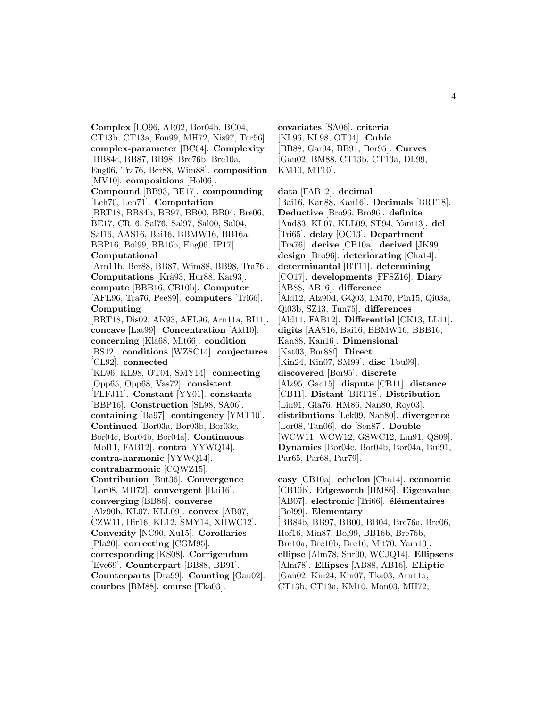**Complex** [LO96, AR02, Bor04b, BC04, CT13b, CT13a, Fou99, MH72, Nis97, Tor56]. **complex-parameter** [BC04]. **Complexity** [BB84c, BB87, BB98, Bre76b, Bre10a, Eng06, Tra76, Ber88, Wim88]. **composition** [MV10]. **compositions** [Hol06]. **Compound** [BB93, BE17]. **compounding** [Leh70, Leh71]. **Computation** [BRT18, BB84b, BB97, BB00, BB04, Bre06, BE17, CR16, Sal76, Sal97, Sal00, Sal04, Sal16, AAS16, Bai16, BBMW16, BB16a, BBP16, Bol99, BB16b, Eng06, IP17]. **Computational** [Arn11b, Ber88, BB87, Wim88, BB98, Tra76]. **Computations** [Krä93, Hur88, Kar93]. **compute** [BBB16, CB10b]. **Computer** [AFL96, Tra76, Pee89]. **computers** [Tri66]. **Computing** [BRT18, Dis02, AK93, AFL96, Arn11a, BI11]. **concave** [Lat99]. **Concentration** [Ald10]. **concerning** [Kla68, Mit66]. **condition** [BS12]. **conditions** [WZSC14]. **conjectures** [CL92]. **connected** [KL96, KL98, OT04, SMY14]. **connecting** [Opp65, Opp68, Vas72]. **consistent** [FLFJ11]. **Constant** [YY01]. **constants** [BBP16]. **Construction** [SL98, SA06]. **containing** [Ba97]. **contingency** [YMT10]. **Continued** [Bor03a, Bor03b, Bor03c, Bor04c, Bor04b, Bor04a]. **Continuous** [Mol11, FAB12]. **contra** [YYWQ14]. **contra-harmonic** [YYWQ14]. **contraharmonic** [CQWZ15]. **Contribution** [But36]. **Convergence** [Lor08, MH72]. **convergent** [Bai16]. **converging** [BB86]. **converse** [Alz90b, KL07, KLL09]. **convex** [AB07, CZW11, Hir16, KL12, SMY14, XHWC12]. **Convexity** [NC90, Xu15]. **Corollaries** [Pla20]. **correcting** [CGM95]. **corresponding** [KS08]. **Corrigendum** [Eve69]. **Counterpart** [BB88, BB91]. **Counterparts** [Dra99]. **Counting** [Gau02]. **courbes** [BM88]. **course** [Tka03].

**covariates** [SA06]. **criteria** [KL96, KL98, OT04]. **Cubic** [BB88, Gar94, BB91, Bor95]. **Curves** [Gau02, BM88, CT13b, CT13a, DL99, KM10, MT10].

**data** [FAB12]. **decimal** [Bai16, Kan88, Kan16]. **Decimals** [BRT18]. **Deductive** [Bro96, Bro96]. **definite** [And83, KL07, KLL09, ST94, Yam13]. **del** [Tri65]. **delay** [OC13]. **Department** [Tra76]. **derive** [CB10a]. **derived** [JK99]. **design** [Bro96]. **deteriorating** [Cha14]. **determinantal** [BT11]. **determining** [CO17]. **developments** [FFSZ16]. **Diary** [AB88, AB16]. **difference** [Ald12, Alz90d, GQ03, LM70, Pin15, Qi03a, Qi03b, SZ13, Tun75]. **differences** [Ald11, FAB12]. **Differential** [CK13, LL11]. **digits** [AAS16, Bai16, BBMW16, BBB16, Kan88, Kan16]. **Dimensional** [Kat03, Bor88f]. **Direct** [Kin24, Kin07, SM99]. **disc** [Fou99]. **discovered** [Bor95]. **discrete** [Alz95, Gao15]. **dispute** [CB11]. **distance** [CB11]. **Distant** [BRT18]. **Distribution** [Lin91, Gla76, HM86, Nan80, Roy03]. **distributions** [Lek09, Nan80]. **divergence** [Lor08, Tan06]. **do** [Sen87]. **Double** [WCW11, WCW12, GSWC12, Lin91, QS09]. **Dynamics** [Bor04c, Bor04b, Bor04a, Bul91, Par65, Par68, Par79].

**easy** [CB10a]. **echelon** [Cha14]. **economic** [CB10b]. **Edgeworth** [HM86]. **Eigenvalue** [AB07]. **electronic** [Tri66]. **élémentaires** [Bol99]. **Elementary** [BB84b, BB97, BB00, BB04, Bre76a, Bre06, Hof16, Min87, Bol99, BB16b, Bre76b, Bre10a, Bre10b, Bre16, Mit70, Yam13]. **ellipse** [Alm78, Sur00, WCJQ14]. **Ellipsens** [Alm78]. **Ellipses** [AB88, AB16]. **Elliptic** [Gau02, Kin24, Kin07, Tka03, Arn11a, CT13b, CT13a, KM10, Mon03, MH72,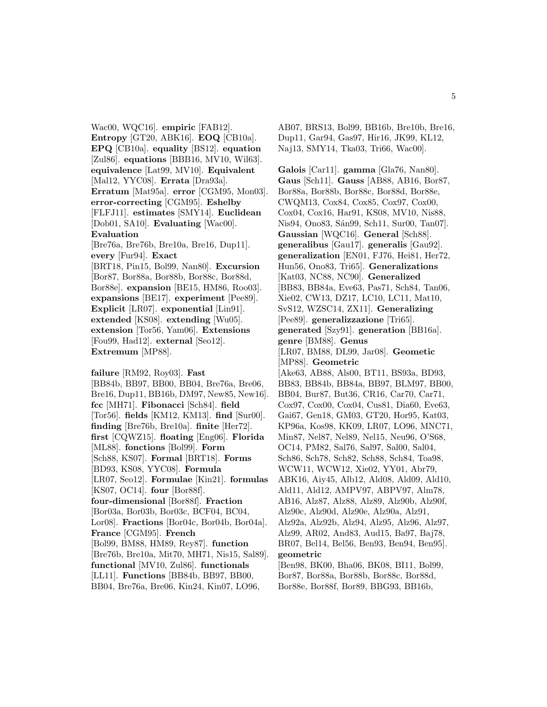Wac00, WQC16]. **empiric** [FAB12]. **Entropy** [GT20, ABK16]. **EOQ** [CB10a]. **EPQ** [CB10a]. **equality** [BS12]. **equation** [Zul86]. **equations** [BBB16, MV10, Wil63]. **equivalence** [Lat99, MV10]. **Equivalent** [Mal12, YYC08]. **Errata** [Dra93a]. **Erratum** [Mat95a]. **error** [CGM95, Mon03]. **error-correcting** [CGM95]. **Eshelby** [FLFJ11]. **estimates** [SMY14]. **Euclidean** [Dob01, SA10]. **Evaluating** [Wac00]. **Evaluation** [Bre76a, Bre76b, Bre10a, Bre16, Dup11]. **every** [Fur94]. **Exact** [BRT18, Pin15, Bol99, Nan80]. **Excursion** [Bor87, Bor88a, Bor88b, Bor88c, Bor88d, Bor88e]. **expansion** [BE15, HM86, Roo03]. **expansions** [BE17]. **experiment** [Pee89]. **Explicit** [LR07]. **exponential** [Lin91]. **extended** [KS08]. **extending** [Wu05]. **extension** [Tor56, Yam06]. **Extensions** [Fou99, Had12]. **external** [Seo12]. **Extremum** [MP88].

**failure** [RM92, Roy03]. **Fast** [BB84b, BB97, BB00, BB04, Bre76a, Bre06, Bre16, Dup11, BB16b, DM97, New85, New16]. **fcc** [MH71]. **Fibonacci** [Sch84]. **field** [Tor56]. **fields** [KM12, KM13]. **find** [Sur00]. **finding** [Bre76b, Bre10a]. **finite** [Her72]. **first** [CQWZ15]. **floating** [Eng06]. **Florida** [ML88]. **fonctions** [Bol99]. **Form** [Sch88, KS07]. **Formal** [BRT18]. **Forms** [BD93, KS08, YYC08]. **Formula** [LR07, Seo12]. **Formulae** [Kin21]. **formulas** [KS07, OC14]. **four** [Bor88f]. **four-dimensional** [Bor88f]. **Fraction** [Bor03a, Bor03b, Bor03c, BCF04, BC04, Lor08]. **Fractions** [Bor04c, Bor04b, Bor04a]. **France** [CGM95]. **French** [Bol99, BM88, HM89, Rey87]. **function** [Bre76b, Bre10a, Mit70, MH71, Nis15, Sal89]. **functional** [MV10, Zul86]. **functionals** [LL11]. **Functions** [BB84b, BB97, BB00, BB04, Bre76a, Bre06, Kin24, Kin07, LO96,

AB07, BRS13, Bol99, BB16b, Bre10b, Bre16, Dup11, Gar94, Gas97, Hir16, JK99, KL12, Naj13, SMY14, Tka03, Tri66, Wac00].

**Galois** [Car11]. **gamma** [Gla76, Nan80]. **Gaus** [Sch11]. **Gauss** [AB88, AB16, Bor87, Bor88a, Bor88b, Bor88c, Bor88d, Bor88e, CWQM13, Cox84, Cox85, Cox97, Cox00, Cox04, Cox16, Har91, KS08, MV10, Nis88, Nis94, Ono83, Sán99, Sch11, Sur00, Tan07. **Gaussian** [WQC16]. **General** [Sch88]. **generalibus** [Gau17]. **generalis** [Gau92]. **generalization** [EN01, FJ76, Hei81, Her72, Hun56, Ono83, Tri65]. **Generalizations** [Kat03, NC88, NC90]. **Generalized** [BB83, BB84a, Eve63, Pas71, Sch84, Tan06, Xie02, CW13, DZ17, LC10, LC11, Mat10, SvS12, WZSC14, ZX11]. **Generalizing** [Pee89]. **generalizzazione** [Tri65]. **generated** [Szy91]. **generation** [BB16a]. **genre** [BM88]. **Genus** [LR07, BM88, DL99, Jar08]. **Geometic** [MP88]. **Geometric** [Ake63, AB88, Als00, BT11, BS93a, BD93, BB83, BB84b, BB84a, BB97, BLM97, BB00, BB04, Bur87, But36, CR16, Car70, Car71, Cox97, Cox00, Cox04, Cus81, Dia60, Eve63, Gai67, Gen18, GM03, GT20, Hor95, Kat03, KP96a, Kos98, KK09, LR07, LO96, MNC71, Min87, Nel87, Nel89, Nel15, Neu96, O'S68, OC14, PM82, Sal76, Sal97, Sal00, Sal04, Sch86, Sch78, Sch82, Sch88, Sch84, Toa98, WCW11, WCW12, Xie02, YY01, Abr79, ABK16, Aiy45, Alb12, Ald08, Ald09, Ald10, Ald11, Ald12, AMPV97, ABPV97, Alm78, AB16, Alz87, Alz88, Alz89, Alz90b, Alz90f, Alz90c, Alz90d, Alz90e, Alz90a, Alz91, Alz92a, Alz92b, Alz94, Alz95, Alz96, Alz97, Alz99, AR02, And83, Aud15, Ba97, Baj78, BR07, Bel14, Bel56, Ben93, Ben94, Ben95]. **geometric** [Ben98, BK00, Bha06, BK08, BI11, Bol99, Bor87, Bor88a, Bor88b, Bor88c, Bor88d, Bor88e, Bor88f, Bor89, BBG93, BB16b,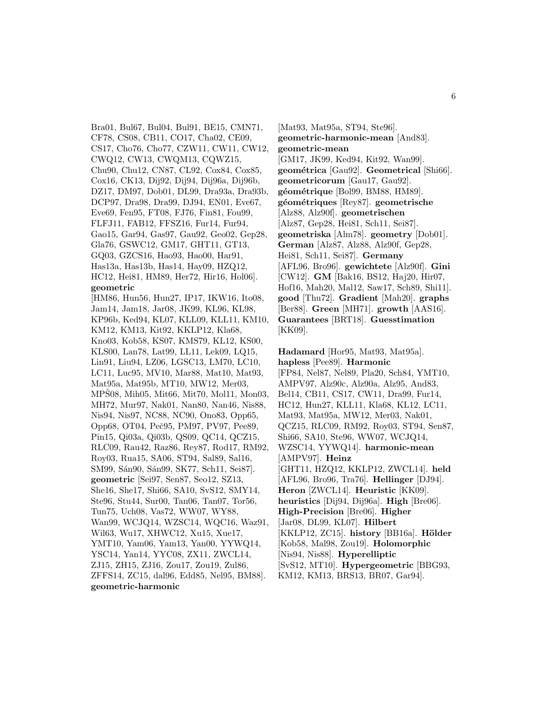Bra01, Bul67, Bul04, Bul91, BE15, CMN71, CF78, CS08, CB11, CO17, Cha02, CE09, CS17, Cho76, Cho77, CZW11, CW11, CW12, CWQ12, CW13, CWQM13, CQWZ15, Chu90, Chu12, CN87, CL92, Cox84, Cox85, Cox16, CK13, Dij92, Dij94, Dij96a, Dij96b, DZ17, DM97, Dob01, DL99, Dra93a, Dra93b, DCP97, Dra98, Dra99, DJ94, EN01, Eve67, Eve69, Fen95, FT08, FJ76, Fin81, Fou99, FLFJ11, FAB12, FFSZ16, Fur14, Fur94, Gao15, Gar94, Gas97, Gau92, Geo02, Gep28, Gla76, GSWC12, GM17, GHT11, GT13, GQ03, GZCS16, Hao93, Hao00, Har91, Has13a, Has13b, Has14, Hay09, HZQ12, HC12, Hei81, HM89, Her72, Hir16, Hol06]. **geometric**

[HM86, Hun56, Hun27, IP17, IKW16, Ito08, Jam14, Jam18, Jar08, JK99, KL96, KL98, KP96b, Ked94, KL07, KLL09, KLL11, KM10, KM12, KM13, Kit92, KKLP12, Kla68, Kno03, Kob58, KS07, KMS79, KL12, KS00, KLS00, Lan78, Lat99, LL11, Lek09, LQ15, Lin91, Liu94, LZ06, LGSC13, LM70, LC10, LC11, Luc95, MV10, Mar88, Mat10, Mat93, Mat95a, Mat95b, MT10, MW12, Mer03, MPS08, Mih05, Mit66, Mit70, Mol11, Mon03, MH72, Mur97, Nak01, Nan80, Nan46, Nis88, Nis94, Nis97, NC88, NC90, Ono83, Opp65, Opp68, OT04, Peˇc95, PM97, PV97, Pee89, Pin15, Qi03a, Qi03b, QS09, QC14, QCZ15, RLC09, Rau42, Raz86, Rey87, Rod17, RM92, Roy03, Rua15, SA06, ST94, Sal89, Sal16, SM99, Sán90, Sán99, SK77, Sch11, Sei87]. **geometric** [Sei97, Sen87, Seo12, SZ13, She16, She17, Shi66, SA10, SvS12, SMY14, Ste96, Stu44, Sur00, Tan06, Tan07, Tor56, Tun75, Uch08, Vas72, WW07, WY88, Wan99, WCJQ14, WZSC14, WQC16, Waz91, Wil63, Wu17, XHWC12, Xu15, Xue17, YMT10, Yam06, Yam13, Yan00, YYWQ14, YSC14, Yan14, YYC08, ZX11, ZWCL14, ZJ15, ZH15, ZJ16, Zou17, Zou19, Zul86, ZFFS14, ZC15, dal96, Edd85, Nel95, BM88]. **geometric-harmonic**

[Mat93, Mat95a, ST94, Ste96]. **geometric-harmonic-mean** [And83]. **geometric-mean** [GM17, JK99, Ked94, Kit92, Wan99]. **geom´etrica** [Gau92]. **Geometrical** [Shi66]. **geometricorum** [Gau17, Gau92]. géométrique [Bol99, BM88, HM89]. **g´eom´etriques** [Rey87]. **geometrische** [Alz88, Alz90f]. **geometrischen** [Alz87, Gep28, Hei81, Sch11, Sei87]. **geometriska** [Alm78]. **geometry** [Dob01]. **German** [Alz87, Alz88, Alz90f, Gep28, Hei81, Sch11, Sei87]. **Germany** [AFL96, Bro96]. **gewichtete** [Alz90f]. **Gini** [CW12]. **GM** [Bak16, BS12, Haj20, Hir07, Hof16, Mah20, Mal12, Saw17, Sch89, Shi11]. **good** [Thu72]. **Gradient** [Mah20]. **graphs** [Ber88]. **Green** [MH71]. **growth** [AAS16]. **Guarantees** [BRT18]. **Guesstimation** [KK09].

**Hadamard** [Hor95, Mat93, Mat95a]. **hapless** [Pee89]. **Harmonic** [FP84, Nel87, Nel89, Pla20, Sch84, YMT10, AMPV97, Alz90c, Alz90a, Alz95, And83, Bel14, CB11, CS17, CW11, Dra99, Fur14, HC12, Hun27, KLL11, Kla68, KL12, LC11, Mat93, Mat95a, MW12, Mer03, Nak01, QCZ15, RLC09, RM92, Roy03, ST94, Sen87, Shi66, SA10, Ste96, WW07, WCJQ14, WZSC14, YYWQ14]. **harmonic-mean** [AMPV97]. **Heinz** [GHT11, HZQ12, KKLP12, ZWCL14]. **held** [AFL96, Bro96, Tra76]. **Hellinger** [DJ94]. **Heron** [ZWCL14]. **Heuristic** [KK09]. **heuristics** [Dij94, Dij96a]. **High** [Bre06]. **High-Precision** [Bre06]. **Higher** [Jar08, DL99, KL07]. **Hilbert** [KKLP12, ZC15]. **history** [BB16a]. **H¨older** [Kob58, Mal98, Zou19]. **Holomorphic** [Nis94, Nis88]. **Hyperelliptic** [SvS12, MT10]. **Hypergeometric** [BBG93, KM12, KM13, BRS13, BR07, Gar94].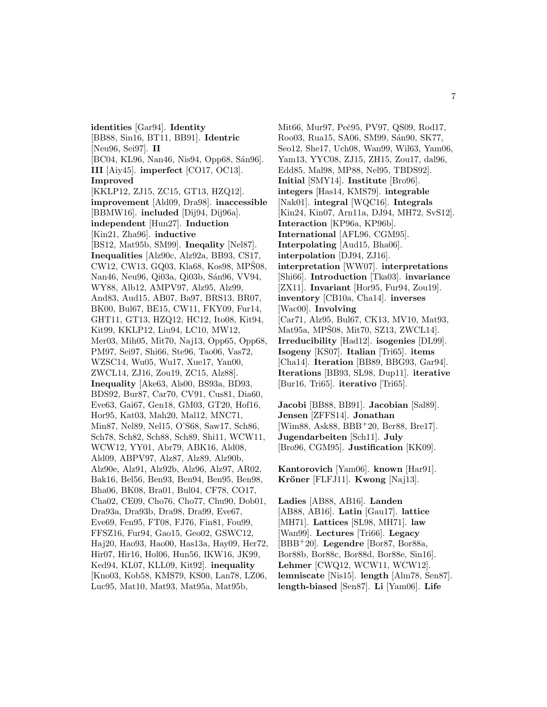**identities** [Gar94]. **Identity** [BB88, Sin16, BT11, BB91]. **Identric** [Neu96, Sei97]. **II** [BC04, KL96, Nan46, Nis94, Opp68, Sán96]. **III** [Aiy45]. **imperfect** [CO17, OC13]. **Improved** [KKLP12, ZJ15, ZC15, GT13, HZQ12]. **improvement** [Ald09, Dra98]. **inaccessible** [BBMW16]. **included** [Dij94, Dij96a]. **independent** [Hun27]. **Induction** [Kin21, Zha96]. **inductive** [BS12, Mat95b, SM99]. **Ineqality** [Nel87]. **Inequalities** [Alz90c, Alz92a, BB93, CS17,  $CW12$ ,  $CW13$ ,  $GQ03$ ,  $Kla68$ ,  $Kos98$ ,  $MPS08$ , Nan46, Neu96, Qi03a, Qi03b, Sán96, VV94, WY88, Alb12, AMPV97, Alz95, Alz99, And83, Aud15, AB07, Ba97, BRS13, BR07, BK00, Bul67, BE15, CW11, FKY09, Fur14, GHT11, GT13, HZQ12, HC12, Ito08, Kit94, Kit99, KKLP12, Liu94, LC10, MW12, Mer03, Mih05, Mit70, Naj13, Opp65, Opp68, PM97, Sei97, Shi66, Ste96, Tao06, Vas72, WZSC14, Wu05, Wu17, Xue17, Yan00, ZWCL14, ZJ16, Zou19, ZC15, Alz88]. **Inequality** [Ake63, Als00, BS93a, BD93, BDS92, Bur87, Car70, CV91, Cus81, Dia60, Eve63, Gai67, Gen18, GM03, GT20, Hof16, Hor95, Kat03, Mah20, Mal12, MNC71, Min87, Nel89, Nel15, O'S68, Saw17, Sch86, Sch78, Sch82, Sch88, Sch89, Shi11, WCW11, WCW12, YY01, Abr79, ABK16, Ald08, Ald09, ABPV97, Alz87, Alz89, Alz90b, Alz90e, Alz91, Alz92b, Alz96, Alz97, AR02, Bak16, Bel56, Ben93, Ben94, Ben95, Ben98, Bha06, BK08, Bra01, Bul04, CF78, CO17, Cha02, CE09, Cho76, Cho77, Chu90, Dob01, Dra93a, Dra93b, Dra98, Dra99, Eve67, Eve69, Fen95, FT08, FJ76, Fin81, Fou99, FFSZ16, Fur94, Gao15, Geo02, GSWC12, Haj20, Hao93, Hao00, Has13a, Hay09, Her72, Hir07, Hir16, Hol06, Hun56, IKW16, JK99, Ked94, KL07, KLL09, Kit92]. **inequality** [Kno03, Kob58, KMS79, KS00, Lan78, LZ06, Luc95, Mat10, Mat93, Mat95a, Mat95b,

Mit66, Mur97, Peč95, PV97, QS09, Rod17, Roo03, Rua15, SA06, SM99, Sán90, SK77, Seo12, She17, Uch08, Wan99, Wil63, Yam06, Yam13, YYC08, ZJ15, ZH15, Zou17, dal96, Edd85, Mal98, MP88, Nel95, TBDS92]. **Initial** [SMY14]. **Institute** [Bro96]. **integers** [Has14, KMS79]. **integrable** [Nak01]. **integral** [WQC16]. **Integrals** [Kin24, Kin07, Arn11a, DJ94, MH72, SvS12]. **Interaction** [KP96a, KP96b]. **International** [AFL96, CGM95]. **Interpolating** [Aud15, Bha06]. **interpolation** [DJ94, ZJ16]. **interpretation** [WW07]. **interpretations** [Shi66]. **Introduction** [Tka03]. **invariance** [ZX11]. **Invariant** [Hor95, Fur94, Zou19]. **inventory** [CB10a, Cha14]. **inverses** [Wac00]. **Involving** [Car71, Alz95, Bul67, CK13, MV10, Mat93, Mat95a, MPŠ08, Mit70, SZ13, ZWCL14]. **Irreducibility** [Had12]. **isogenies** [DL99]. **Isogeny** [KS07]. **Italian** [Tri65]. **items** [Cha14]. **Iteration** [BB89, BBG93, Gar94]. **Iterations** [BB93, SL98, Dup11]. **iterative** [Bur16, Tri65]. **iterativo** [Tri65].

**Jacobi** [BB88, BB91]. **Jacobian** [Sal89]. **Jensen** [ZFFS14]. **Jonathan** [Wim88, Ask88, BBB<sup>+</sup>20, Ber88, Bre17]. **Jugendarbeiten** [Sch11]. **July** [Bro96, CGM95]. **Justification** [KK09].

**Kantorovich** [Yam06]. **known** [Har91]. **Kröner** [FLFJ11]. **Kwong** [Naj13].

**Ladies** [AB88, AB16]. **Landen** [AB88, AB16]. **Latin** [Gau17]. **lattice** [MH71]. **Lattices** [SL98, MH71]. **law** [Wan99]. **Lectures** [Tri66]. **Legacy** [BBB<sup>+</sup>20]. **Legendre** [Bor87, Bor88a, Bor88b, Bor88c, Bor88d, Bor88e, Sin16]. **Lehmer** [CWQ12, WCW11, WCW12]. **lemniscate** [Nis15]. **length** [Alm78, Sen87]. **length-biased** [Sen87]. **Li** [Yam06]. **Life**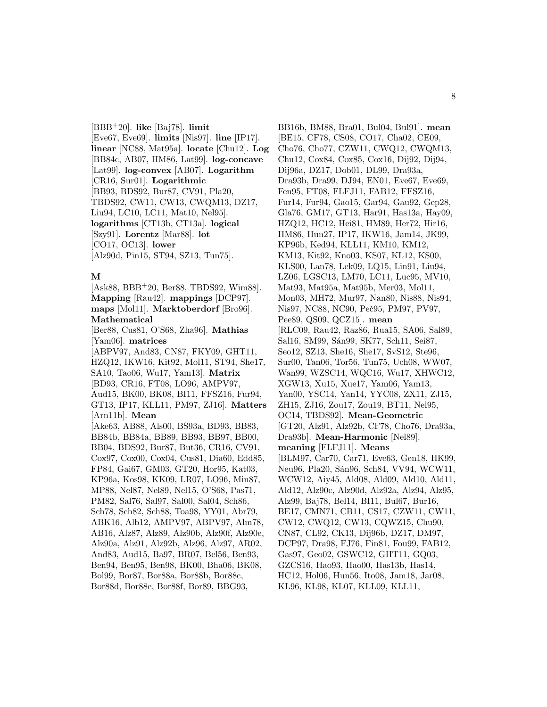[BBB<sup>+</sup>20]. **like** [Baj78]. **limit** [Eve67, Eve69]. **limits** [Nis97]. **line** [IP17]. **linear** [NC88, Mat95a]. **locate** [Chu12]. **Log** [BB84c, AB07, HM86, Lat99]. **log-concave** [Lat99]. **log-convex** [AB07]. **Logarithm** [CR16, Sur01]. **Logarithmic** [BB93, BDS92, Bur87, CV91, Pla20, TBDS92, CW11, CW13, CWQM13, DZ17, Liu94, LC10, LC11, Mat10, Nel95]. **logarithms** [CT13b, CT13a]. **logical** [Szy91]. **Lorentz** [Mar88]. **lot** [CO17, OC13]. **lower** [Alz90d, Pin15, ST94, SZ13, Tun75].

### **M**

[Ask88, BBB<sup>+</sup>20, Ber88, TBDS92, Wim88]. **Mapping** [Rau42]. **mappings** [DCP97]. **maps** [Mol11]. **Marktoberdorf** [Bro96]. **Mathematical**

[Ber88, Cus81, O'S68, Zha96]. **Mathias** [Yam06]. **matrices** [ABPV97, And83, CN87, FKY09, GHT11, HZQ12, IKW16, Kit92, Mol11, ST94, She17, SA10, Tao06, Wu17, Yam13]. **Matrix** [BD93, CR16, FT08, LO96, AMPV97, Aud15, BK00, BK08, BI11, FFSZ16, Fur94, GT13, IP17, KLL11, PM97, ZJ16]. **Matters** [Arn11b]. **Mean** [Ake63, AB88, Als00, BS93a, BD93, BB83, BB84b, BB84a, BB89, BB93, BB97, BB00, BB04, BDS92, Bur87, But36, CR16, CV91, Cox97, Cox00, Cox04, Cus81, Dia60, Edd85, FP84, Gai67, GM03, GT20, Hor95, Kat03, KP96a, Kos98, KK09, LR07, LO96, Min87, MP88, Nel87, Nel89, Nel15, O'S68, Pas71, PM82, Sal76, Sal97, Sal00, Sal04, Sch86, Sch78, Sch82, Sch88, Toa98, YY01, Abr79, ABK16, Alb12, AMPV97, ABPV97, Alm78, AB16, Alz87, Alz89, Alz90b, Alz90f, Alz90e, Alz90a, Alz91, Alz92b, Alz96, Alz97, AR02, And83, Aud15, Ba97, BR07, Bel56, Ben93, Ben94, Ben95, Ben98, BK00, Bha06, BK08, Bol99, Bor87, Bor88a, Bor88b, Bor88c, Bor88d, Bor88e, Bor88f, Bor89, BBG93,

BB16b, BM88, Bra01, Bul04, Bul91]. **mean** [BE15, CF78, CS08, CO17, Cha02, CE09, Cho76, Cho77, CZW11, CWQ12, CWQM13, Chu12, Cox84, Cox85, Cox16, Dij92, Dij94, Dij96a, DZ17, Dob01, DL99, Dra93a, Dra93b, Dra99, DJ94, EN01, Eve67, Eve69, Fen95, FT08, FLFJ11, FAB12, FFSZ16, Fur14, Fur94, Gao15, Gar94, Gau92, Gep28, Gla76, GM17, GT13, Har91, Has13a, Hay09, HZQ12, HC12, Hei81, HM89, Her72, Hir16, HM86, Hun27, IP17, IKW16, Jam14, JK99, KP96b, Ked94, KLL11, KM10, KM12, KM13, Kit92, Kno03, KS07, KL12, KS00, KLS00, Lan78, Lek09, LQ15, Lin91, Liu94, LZ06, LGSC13, LM70, LC11, Luc95, MV10, Mat93, Mat95a, Mat95b, Mer03, Mol11, Mon03, MH72, Mur97, Nan80, Nis88, Nis94, Nis97, NC88, NC90, Peč95, PM97, PV97, Pee89, QS09, QCZ15]. **mean** [RLC09, Rau42, Raz86, Rua15, SA06, Sal89, Sal16, SM99, Sán99, SK77, Sch11, Sei87, Seo12, SZ13, She16, She17, SvS12, Ste96, Sur00, Tan06, Tor56, Tun75, Uch08, WW07, Wan99, WZSC14, WQC16, Wu17, XHWC12, XGW13, Xu15, Xue17, Yam06, Yam13, Yan00, YSC14, Yan14, YYC08, ZX11, ZJ15, ZH15, ZJ16, Zou17, Zou19, BT11, Nel95, OC14, TBDS92]. **Mean-Geometric** [GT20, Alz91, Alz92b, CF78, Cho76, Dra93a, Dra93b]. **Mean-Harmonic** [Nel89]. **meaning** [FLFJ11]. **Means** [BLM97, Car70, Car71, Eve63, Gen18, HK99, Neu96, Pla20, Sán96, Sch84, VV94, WCW11, WCW12, Aiy45, Ald08, Ald09, Ald10, Ald11, Ald12, Alz90c, Alz90d, Alz92a, Alz94, Alz95, Alz99, Baj78, Bel14, BI11, Bul67, Bur16, BE17, CMN71, CB11, CS17, CZW11, CW11, CW12, CWQ12, CW13, CQWZ15, Chu90, CN87, CL92, CK13, Dij96b, DZ17, DM97, DCP97, Dra98, FJ76, Fin81, Fou99, FAB12, Gas97, Geo02, GSWC12, GHT11, GQ03, GZCS16, Hao93, Hao00, Has13b, Has14, HC12, Hol06, Hun56, Ito08, Jam18, Jar08, KL96, KL98, KL07, KLL09, KLL11,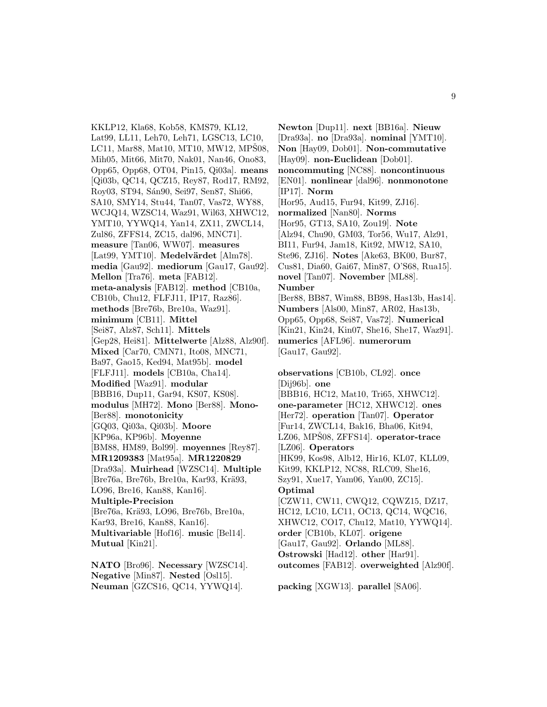KKLP12, Kla68, Kob58, KMS79, KL12, Lat99, LL11, Leh70, Leh71, LGSC13, LC10, LC11, Mar88, Mat10, MT10, MW12, MP $\hat{S}08$ , Mih05, Mit66, Mit70, Nak01, Nan46, Ono83, Opp65, Opp68, OT04, Pin15, Qi03a]. **means** [Qi03b, QC14, QCZ15, Rey87, Rod17, RM92, Roy03, ST94, Sán90, Sei97, Sen87, Shi66, SA10, SMY14, Stu44, Tan07, Vas72, WY88, WCJQ14, WZSC14, Waz91, Wil63, XHWC12, YMT10, YYWQ14, Yan14, ZX11, ZWCL14, Zul86, ZFFS14, ZC15, dal96, MNC71]. **measure** [Tan06, WW07]. **measures** [Lat99, YMT10]. Medelvärdet [Alm78]. **media** [Gau92]. **mediorum** [Gau17, Gau92]. **Mellon** [Tra76]. **meta** [FAB12]. **meta-analysis** [FAB12]. **method** [CB10a, CB10b, Chu12, FLFJ11, IP17, Raz86]. **methods** [Bre76b, Bre10a, Waz91]. **minimum** [CB11]. **Mittel** [Sei87, Alz87, Sch11]. **Mittels** [Gep28, Hei81]. **Mittelwerte** [Alz88, Alz90f]. **Mixed** [Car70, CMN71, Ito08, MNC71, Ba97, Gao15, Ked94, Mat95b]. **model** [FLFJ11]. **models** [CB10a, Cha14]. **Modified** [Waz91]. **modular** [BBB16, Dup11, Gar94, KS07, KS08]. **modulus** [MH72]. **Mono** [Ber88]. **Mono-** [Ber88]. **monotonicity** [GQ03, Qi03a, Qi03b]. **Moore** [KP96a, KP96b]. **Moyenne** [BM88, HM89, Bol99]. **moyennes** [Rey87]. **MR1209383** [Mat95a]. **MR1220829** [Dra93a]. **Muirhead** [WZSC14]. **Multiple** [Bre76a, Bre76b, Bre10a, Kar93, Krä93, LO96, Bre16, Kan88, Kan16]. **Multiple-Precision** [Bre76a, Krä93, LO96, Bre76b, Bre10a, Kar93, Bre16, Kan88, Kan16]. **Multivariable** [Hof16]. **music** [Bel14]. **Mutual** [Kin21].

**NATO** [Bro96]. **Necessary** [WZSC14]. **Negative** [Min87]. **Nested** [Osl15]. **Neuman** [GZCS16, QC14, YYWQ14].

**Newton** [Dup11]. **next** [BB16a]. **Nieuw** [Dra93a]. **no** [Dra93a]. **nominal** [YMT10]. **Non** [Hay09, Dob01]. **Non-commutative** [Hay09]. **non-Euclidean** [Dob01]. **noncommuting** [NC88]. **noncontinuous** [EN01]. **nonlinear** [dal96]. **nonmonotone** [IP17]. **Norm** [Hor95, Aud15, Fur94, Kit99, ZJ16]. **normalized** [Nan80]. **Norms** [Hor95, GT13, SA10, Zou19]. **Note** [Alz94, Chu90, GM03, Tor56, Wu17, Alz91, BI11, Fur94, Jam18, Kit92, MW12, SA10, Ste96, ZJ16]. **Notes** [Ake63, BK00, Bur87, Cus81, Dia60, Gai67, Min87, O'S68, Rua15]. **novel** [Tan07]. **November** [ML88]. **Number** [Ber88, BB87, Wim88, BB98, Has13b, Has14]. **Numbers** [Als00, Min87, AR02, Has13b, Opp65, Opp68, Sei87, Vas72]. **Numerical** [Kin21, Kin24, Kin07, She16, She17, Waz91]. **numerics** [AFL96]. **numerorum** [Gau17, Gau92]. **observations** [CB10b, CL92]. **once** [Dij96b]. **one** [BBB16, HC12, Mat10, Tri65, XHWC12]. **one-parameter** [HC12, XHWC12]. **ones** [Her72]. **operation** [Tan07]. **Operator** [Fur14, ZWCL14, Bak16, Bha06, Kit94, LZ06, MPŠ08, ZFFS14]. operator-trace [LZ06]. **Operators** [HK99, Kos98, Alb12, Hir16, KL07, KLL09, Kit99, KKLP12, NC88, RLC09, She16,

Szy91, Xue17, Yam06, Yan00, ZC15]. **Optimal**

[CZW11, CW11, CWQ12, CQWZ15, DZ17, HC12, LC10, LC11, OC13, QC14, WQC16, XHWC12, CO17, Chu12, Mat10, YYWQ14]. **order** [CB10b, KL07]. **origene** [Gau17, Gau92]. **Orlando** [ML88]. **Ostrowski** [Had12]. **other** [Har91]. **outcomes** [FAB12]. **overweighted** [Alz90f].

**packing** [XGW13]. **parallel** [SA06].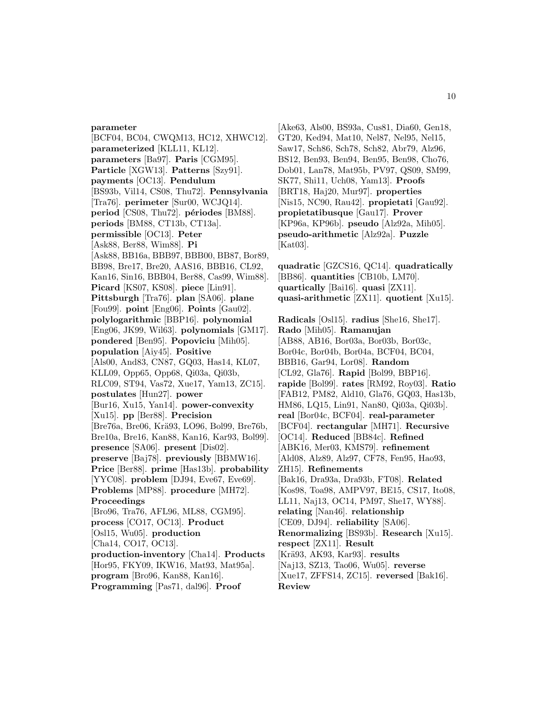#### **parameter**

[BCF04, BC04, CWQM13, HC12, XHWC12]. **parameterized** [KLL11, KL12]. **parameters** [Ba97]. **Paris** [CGM95]. **Particle** [XGW13]. **Patterns** [Szy91]. **payments** [OC13]. **Pendulum** [BS93b, Vil14, CS08, Thu72]. **Pennsylvania** [Tra76]. **perimeter** [Sur00, WCJQ14]. **period** [CS08, Thu72]. **périodes** [BM88]. **periods** [BM88, CT13b, CT13a]. **permissible** [OC13]. **Peter** [Ask88, Ber88, Wim88]. **Pi** [Ask88, BB16a, BBB97, BBB00, BB87, Bor89, BB98, Bre17, Bre20, AAS16, BBB16, CL92, Kan16, Sin16, BBB04, Ber88, Cas99, Wim88]. **Picard** [KS07, KS08]. **piece** [Lin91]. **Pittsburgh** [Tra76]. **plan** [SA06]. **plane** [Fou99]. **point** [Eng06]. **Points** [Gau02]. **polylogarithmic** [BBP16]. **polynomial** [Eng06, JK99, Wil63]. **polynomials** [GM17]. **pondered** [Ben95]. **Popoviciu** [Mih05]. **population** [Aiy45]. **Positive** [Als00, And83, CN87, GQ03, Has14, KL07, KLL09, Opp65, Opp68, Qi03a, Qi03b, RLC09, ST94, Vas72, Xue17, Yam13, ZC15]. **postulates** [Hun27]. **power** [Bur16, Xu15, Yan14]. **power-convexity** [Xu15]. **pp** [Ber88]. **Precision** [Bre76a, Bre06, Krä93, LO96, Bol99, Bre76b, Bre10a, Bre16, Kan88, Kan16, Kar93, Bol99]. **presence** [SA06]. **present** [Dis02]. **preserve** [Baj78]. **previously** [BBMW16]. **Price** [Ber88]. **prime** [Has13b]. **probability** [YYC08]. **problem** [DJ94, Eve67, Eve69]. **Problems** [MP88]. **procedure** [MH72]. **Proceedings** [Bro96, Tra76, AFL96, ML88, CGM95]. **process** [CO17, OC13]. **Product** [Osl15, Wu05]. **production** [Cha14, CO17, OC13]. **production-inventory** [Cha14]. **Products** [Hor95, FKY09, IKW16, Mat93, Mat95a]. **program** [Bro96, Kan88, Kan16]. **Programming** [Pas71, dal96]. **Proof**

[Ake63, Als00, BS93a, Cus81, Dia60, Gen18, GT20, Ked94, Mat10, Nel87, Nel95, Nel15, Saw17, Sch86, Sch78, Sch82, Abr79, Alz96, BS12, Ben93, Ben94, Ben95, Ben98, Cho76, Dob01, Lan78, Mat95b, PV97, QS09, SM99, SK77, Shi11, Uch08, Yam13]. **Proofs** [BRT18, Haj20, Mur97]. **properties** [Nis15, NC90, Rau42]. **propietati** [Gau92]. **propietatibusque** [Gau17]. **Prover** [KP96a, KP96b]. **pseudo** [Alz92a, Mih05]. **pseudo-arithmetic** [Alz92a]. **Puzzle** [Kat03].

**quadratic** [GZCS16, QC14]. **quadratically** [BB86]. **quantities** [CB10b, LM70]. **quartically** [Bai16]. **quasi** [ZX11]. **quasi-arithmetic** [ZX11]. **quotient** [Xu15].

**Radicals** [Osl15]. **radius** [She16, She17]. **Rado** [Mih05]. **Ramanujan** [AB88, AB16, Bor03a, Bor03b, Bor03c, Bor04c, Bor04b, Bor04a, BCF04, BC04, BBB16, Gar94, Lor08]. **Random** [CL92, Gla76]. **Rapid** [Bol99, BBP16]. **rapide** [Bol99]. **rates** [RM92, Roy03]. **Ratio** [FAB12, PM82, Ald10, Gla76, GQ03, Has13b, HM86, LQ15, Lin91, Nan80, Qi03a, Qi03b]. **real** [Bor04c, BCF04]. **real-parameter** [BCF04]. **rectangular** [MH71]. **Recursive** [OC14]. **Reduced** [BB84c]. **Refined** [ABK16, Mer03, KMS79]. **refinement** [Ald08, Alz89, Alz97, CF78, Fen95, Hao93, ZH15]. **Refinements** [Bak16, Dra93a, Dra93b, FT08]. **Related** [Kos98, Toa98, AMPV97, BE15, CS17, Ito08, LL11, Naj13, OC14, PM97, She17, WY88]. **relating** [Nan46]. **relationship** [CE09, DJ94]. **reliability** [SA06]. **Renormalizing** [BS93b]. **Research** [Xu15]. **respect** [ZX11]. **Result** [Krä93, AK93, Kar93]. **results** [Naj13, SZ13, Tao06, Wu05]. **reverse** [Xue17, ZFFS14, ZC15]. **reversed** [Bak16]. **Review**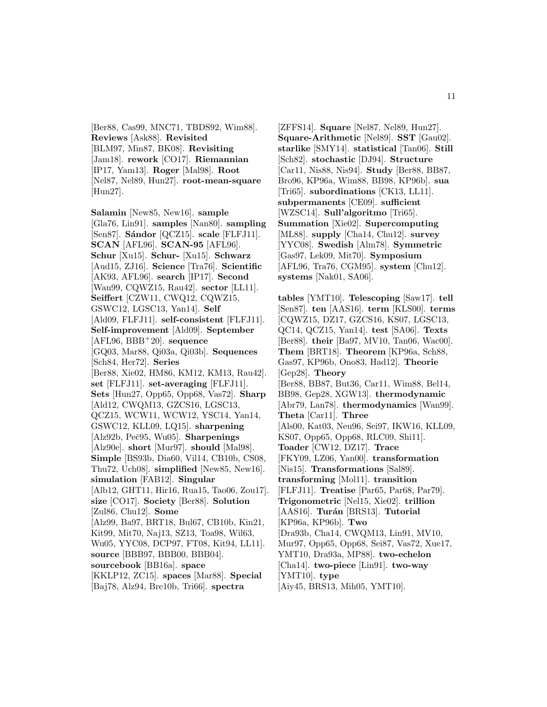[Ber88, Cas99, MNC71, TBDS92, Wim88]. **Reviews** [Ask88]. **Revisited** [BLM97, Min87, BK08]. **Revisiting** [Jam18]. **rework** [CO17]. **Riemannian** [IP17, Yam13]. **Roger** [Mal98]. **Root** [Nel87, Nel89, Hun27]. **root-mean-square** [Hun27].

**Salamin** [New85, New16]. **sample** [Gla76, Lin91]. **samples** [Nan80]. **sampling** [Sen87]. **Sándor** [QCZ15]. **scale** [FLFJ11]. **SCAN** [AFL96]. **SCAN-95** [AFL96]. **Schur** [Xu15]. **Schur-** [Xu15]. **Schwarz** [Aud15, ZJ16]. **Science** [Tra76]. **Scientific** [AK93, AFL96]. **search** [IP17]. **Second** [Wan99, CQWZ15, Rau42]. **sector** [LL11]. **Seiffert** [CZW11, CWQ12, CQWZ15, GSWC12, LGSC13, Yan14]. **Self** [Ald09, FLFJ11]. **self-consistent** [FLFJ11]. **Self-improvement** [Ald09]. **September** [AFL96, BBB<sup>+</sup>20]. **sequence** [GQ03, Mar88, Qi03a, Qi03b]. **Sequences** [Sch84, Her72]. **Series** [Ber88, Xie02, HM86, KM12, KM13, Rau42]. **set** [FLFJ11]. **set-averaging** [FLFJ11]. **Sets** [Hun27, Opp65, Opp68, Vas72]. **Sharp** [Ald12, CWQM13, GZCS16, LGSC13, QCZ15, WCW11, WCW12, YSC14, Yan14, GSWC12, KLL09, LQ15]. **sharpening** [Alz92b, Peˇc95, Wu05]. **Sharpenings** [Alz90e]. **short** [Mur97]. **should** [Mal98]. **Simple** [BS93b, Dia60, Vil14, CB10b, CS08, Thu72, Uch08]. **simplified** [New85, New16]. **simulation** [FAB12]. **Singular** [Alb12, GHT11, Hir16, Rua15, Tao06, Zou17]. **size** [CO17]. **Society** [Ber88]. **Solution** [Zul86, Chu12]. **Some** [Alz99, Ba97, BRT18, Bul67, CB10b, Kin21, Kit99, Mit70, Naj13, SZ13, Toa98, Wil63, Wu05, YYC08, DCP97, FT08, Kit94, LL11]. **source** [BBB97, BBB00, BBB04]. **sourcebook** [BB16a]. **space** [KKLP12, ZC15]. **spaces** [Mar88]. **Special** [Baj78, Alz94, Bre10b, Tri66]. **spectra**

[ZFFS14]. **Square** [Nel87, Nel89, Hun27]. **Square-Arithmetic** [Nel89]. **SST** [Gau02]. **starlike** [SMY14]. **statistical** [Tan06]. **Still** [Sch82]. **stochastic** [DJ94]. **Structure** [Car11, Nis88, Nis94]. **Study** [Ber88, BB87, Bro96, KP96a, Wim88, BB98, KP96b]. **sua** [Tri65]. **subordinations** [CK13, LL11]. **subpermanents** [CE09]. **sufficient** [WZSC14]. **Sull'algoritmo** [Tri65]. **Summation** [Xie02]. **Supercomputing** [ML88]. **supply** [Cha14, Chu12]. **survey** [YYC08]. **Swedish** [Alm78]. **Symmetric** [Gas97, Lek09, Mit70]. **Symposium** [AFL96, Tra76, CGM95]. **system** [Chu12]. **systems** [Nak01, SA06].

**tables** [YMT10]. **Telescoping** [Saw17]. **tell** [Sen87]. **ten** [AAS16]. **term** [KLS00]. **terms** [CQWZ15, DZ17, GZCS16, KS07, LGSC13, QC14, QCZ15, Yan14]. **test** [SA06]. **Texts** [Ber88]. **their** [Ba97, MV10, Tan06, Wac00]. **Them** [BRT18]. **Theorem** [KP96a, Sch88, Gas97, KP96b, Ono83, Had12]. **Theorie** [Gep28]. **Theory** [Ber88, BB87, But36, Car11, Wim88, Bel14, BB98, Gep28, XGW13]. **thermodynamic** [Abr79, Lan78]. **thermodynamics** [Wan99]. **Theta** [Car11]. **Three** [Als00, Kat03, Neu96, Sei97, IKW16, KLL09, KS07, Opp65, Opp68, RLC09, Shi11]. **Toader** [CW12, DZ17]. **Trace** [FKY09, LZ06, Yan00]. **transformation** [Nis15]. **Transformations** [Sal89]. **transforming** [Mol11]. **transition** [FLFJ11]. **Treatise** [Par65, Par68, Par79]. **Trigonometric** [Nel15, Xie02]. **trillion** [AAS16]. **Turán** [BRS13]. **Tutorial** [KP96a, KP96b]. **Two** [Dra93b, Cha14, CWQM13, Lin91, MV10, Mur97, Opp65, Opp68, Sei87, Vas72, Xue17, YMT10, Dra93a, MP88]. **two-echelon** [Cha14]. **two-piece** [Lin91]. **two-way** [YMT10]. **type** [Aiy45, BRS13, Mih05, YMT10].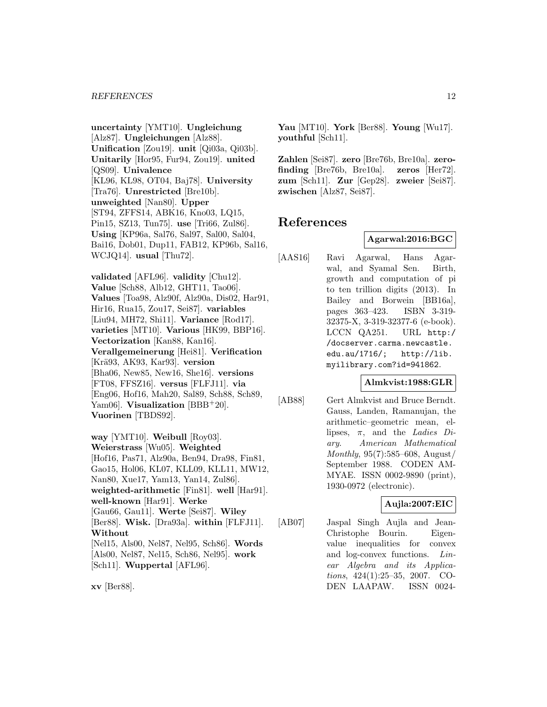**uncertainty** [YMT10]. **Ungleichung** [Alz87]. **Ungleichungen** [Alz88]. **Unification** [Zou19]. **unit** [Qi03a, Qi03b]. **Unitarily** [Hor95, Fur94, Zou19]. **united** [QS09]. **Univalence** [KL96, KL98, OT04, Baj78]. **University** [Tra76]. **Unrestricted** [Bre10b]. **unweighted** [Nan80]. **Upper** [ST94, ZFFS14, ABK16, Kno03, LQ15, Pin15, SZ13, Tun75]. **use** [Tri66, Zul86]. **Using** [KP96a, Sal76, Sal97, Sal00, Sal04, Bai16, Dob01, Dup11, FAB12, KP96b, Sal16, WCJQ14]. **usual** [Thu72].

**validated** [AFL96]. **validity** [Chu12]. **Value** [Sch88, Alb12, GHT11, Tao06]. **Values** [Toa98, Alz90f, Alz90a, Dis02, Har91, Hir16, Rua15, Zou17, Sei87]. **variables** [Liu94, MH72, Shi11]. **Variance** [Rod17]. **varieties** [MT10]. **Various** [HK99, BBP16]. **Vectorization** [Kan88, Kan16]. **Verallgemeinerung** [Hei81]. **Verification** [Krä93, AK93, Kar93]. **version** [Bha06, New85, New16, She16]. **versions** [FT08, FFSZ16]. **versus** [FLFJ11]. **via** [Eng06, Hof16, Mah20, Sal89, Sch88, Sch89, Yam06]. **Visualization** [BBB<sup>+</sup>20]. **Vuorinen** [TBDS92].

**way** [YMT10]. **Weibull** [Roy03]. **Weierstrass** [Wu05]. **Weighted** [Hof16, Pas71, Alz90a, Ben94, Dra98, Fin81, Gao15, Hol06, KL07, KLL09, KLL11, MW12, Nan80, Xue17, Yam13, Yan14, Zul86]. **weighted-arithmetic** [Fin81]. **well** [Har91]. **well-known** [Har91]. **Werke** [Gau66, Gau11]. **Werte** [Sei87]. **Wiley** [Ber88]. **Wisk.** [Dra93a]. **within** [FLFJ11]. **Without** [Nel15, Als00, Nel87, Nel95, Sch86]. **Words** [Als00, Nel87, Nel15, Sch86, Nel95]. **work** [Sch11]. **Wuppertal** [AFL96].

**Yau** [MT10]. **York** [Ber88]. **Young** [Wu17]. **youthful** [Sch11].

**Zahlen** [Sei87]. **zero** [Bre76b, Bre10a]. **zerofinding** [Bre76b, Bre10a]. **zeros** [Her72]. **zum** [Sch11]. **Zur** [Gep28]. **zweier** [Sei87]. **zwischen** [Alz87, Sei87].

# **References**

### **Agarwal:2016:BGC**

[AAS16] Ravi Agarwal, Hans Agarwal, and Syamal Sen. Birth, growth and computation of pi to ten trillion digits (2013). In Bailey and Borwein [BB16a], pages 363–423. ISBN 3-319- 32375-X, 3-319-32377-6 (e-book). LCCN QA251. URL http:/ /docserver.carma.newcastle. edu.au/1716/; http://lib. myilibrary.com?id=941862.

# **Almkvist:1988:GLR**

[AB88] Gert Almkvist and Bruce Berndt. Gauss, Landen, Ramanujan, the arithmetic–geometric mean, ellipses,  $\pi$ , and the *Ladies Di*ary. American Mathematical Monthly, 95(7):585–608, August/ September 1988. CODEN AM-MYAE. ISSN 0002-9890 (print), 1930-0972 (electronic).

### **Aujla:2007:EIC**

[AB07] Jaspal Singh Aujla and Jean-Christophe Bourin. Eigenvalue inequalities for convex and log-convex functions. Linear Algebra and its Applications, 424(1):25–35, 2007. CO-DEN LAAPAW. ISSN 0024-

**xv** [Ber88].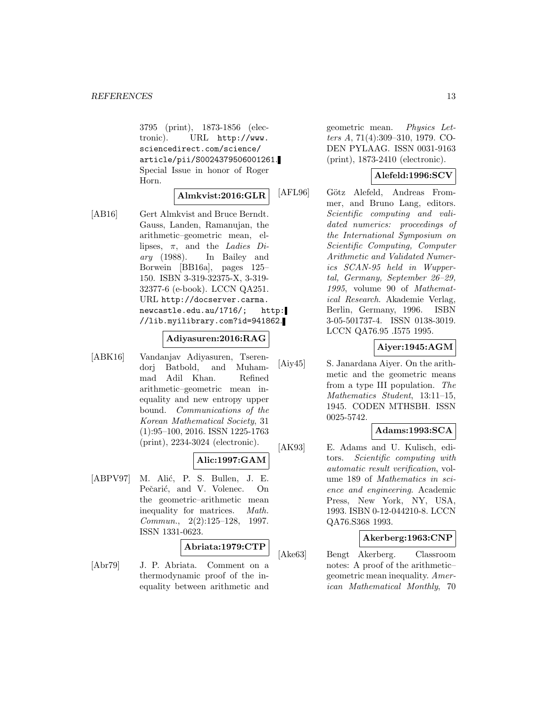3795 (print), 1873-1856 (electronic). URL http://www. sciencedirect.com/science/ article/pii/S0024379506001261. Special Issue in honor of Roger Horn.

# **Almkvist:2016:GLR**

[AB16] Gert Almkvist and Bruce Berndt. Gauss, Landen, Ramanujan, the arithmetic–geometric mean, ellipses,  $\pi$ , and the *Ladies Di*ary (1988). In Bailey and Borwein [BB16a], pages 125– 150. ISBN 3-319-32375-X, 3-319- 32377-6 (e-book). LCCN QA251. URL http://docserver.carma. newcastle.edu.au/1716/; http: //lib.myilibrary.com?id=941862.

### **Adiyasuren:2016:RAG**

[ABK16] Vandanjav Adiyasuren, Tserendorj Batbold, and Muhammad Adil Khan. Refined arithmetic–geometric mean inequality and new entropy upper bound. Communications of the Korean Mathematical Society, 31 (1):95–100, 2016. ISSN 1225-1763 (print), 2234-3024 (electronic).

### **Alic:1997:GAM**

[ABPV97] M. Alić, P. S. Bullen, J. E. Pečarić, and V. Volenec. On the geometric–arithmetic mean inequality for matrices. Math. Commun., 2(2):125–128, 1997. ISSN 1331-0623.

# **Abriata:1979:CTP**

[Abr79] J. P. Abriata. Comment on a thermodynamic proof of the inequality between arithmetic and

geometric mean. Physics Letters A, 71(4):309–310, 1979. CO-DEN PYLAAG. ISSN 0031-9163 (print), 1873-2410 (electronic).

# **Alefeld:1996:SCV**

[AFL96] Götz Alefeld, Andreas Frommer, and Bruno Lang, editors. Scientific computing and validated numerics: proceedings of the International Symposium on Scientific Computing, Computer Arithmetic and Validated Numerics SCAN-95 held in Wuppertal, Germany, September 26–29, 1995, volume 90 of Mathematical Research. Akademie Verlag, Berlin, Germany, 1996. ISBN 3-05-501737-4. ISSN 0138-3019. LCCN QA76.95 .I575 1995.

### **Aiyer:1945:AGM**

[Aiy45] S. Janardana Aiyer. On the arithmetic and the geometric means from a type III population. The Mathematics Student, 13:11–15, 1945. CODEN MTHSBH. ISSN 0025-5742.

### **Adams:1993:SCA**

[AK93] E. Adams and U. Kulisch, editors. Scientific computing with automatic result verification, volume 189 of Mathematics in science and engineering. Academic Press, New York, NY, USA, 1993. ISBN 0-12-044210-8. LCCN QA76.S368 1993.

### **Akerberg:1963:CNP**

[Ake63] Bengt Akerberg. Classroom notes: A proof of the arithmetic– geometric mean inequality. American Mathematical Monthly, 70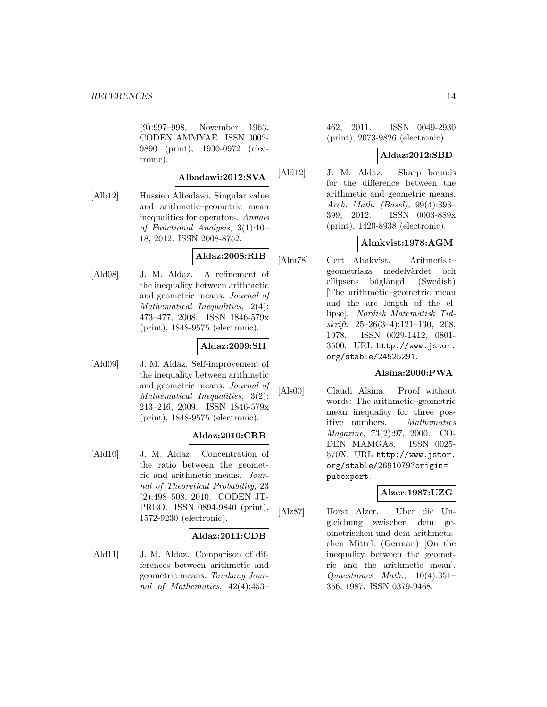(9):997–998, November 1963. CODEN AMMYAE. ISSN 0002- 9890 (print), 1930-0972 (electronic).

### **Albadawi:2012:SVA**

[Alb12] Hussien Albadawi. Singular value and arithmetic–geometric mean inequalities for operators. Annals of Functional Analysis, 3(1):10– 18, 2012. ISSN 2008-8752.

# **Aldaz:2008:RIB**

[Ald08] J. M. Aldaz. A refinement of the inequality between arithmetic and geometric means. Journal of Mathematical Inequalities, 2(4): 473–477, 2008. ISSN 1846-579x (print), 1848-9575 (electronic).

# **Aldaz:2009:SII**

[Ald09] J. M. Aldaz. Self-improvement of the inequality between arithmetic and geometric means. Journal of Mathematical Inequalities, 3(2): 213–216, 2009. ISSN 1846-579x (print), 1848-9575 (electronic).

# **Aldaz:2010:CRB**

[Ald10] J. M. Aldaz. Concentration of the ratio between the geometric and arithmetic means. Journal of Theoretical Probability, 23 (2):498–508, 2010. CODEN JT-PREO. ISSN 0894-9840 (print), 1572-9230 (electronic).

# **Aldaz:2011:CDB**

[Ald11] J. M. Aldaz. Comparison of differences between arithmetic and geometric means. Tamkang Journal of Mathematics, 42(4):453–

462, 2011. ISSN 0049-2930 (print), 2073-9826 (electronic).

# **Aldaz:2012:SBD**

[Ald12] J. M. Aldaz. Sharp bounds for the difference between the arithmetic and geometric means. Arch. Math. (Basel), 99(4):393– 399, 2012. ISSN 0003-889x (print), 1420-8938 (electronic).

# **Almkvist:1978:AGM**

[Alm78] Gert Almkvist. Aritmetisk– geometriska medelvärdet och ellipsens båglängd. (Swedish) [The arithmetic–geometric mean and the arc length of the ellipse]. Nordisk Matematisk Tidskrift, 25–26(3–4):121–130, 208, 1978. ISSN 0029-1412, 0801- 3500. URL http://www.jstor. org/stable/24525291.

# **Alsina:2000:PWA**

[Als00] Claudi Alsina. Proof without words: The arithmetic–geometric mean inequality for three positive numbers. Mathematics Magazine, 73(2):97, 2000. CO-DEN MAMGA8. ISSN 0025- 570X. URL http://www.jstor. org/stable/2691079?origin= pubexport.

# **Alzer:1987:UZG**

[Alz87] Horst Alzer. Über die Ungleichung zwischen dem geometrischen und dem arithmetischen Mittel. (German) [On the inequality between the geometric and the arithmetic mean]. Quaestiones Math., 10(4):351– 356, 1987. ISSN 0379-9468.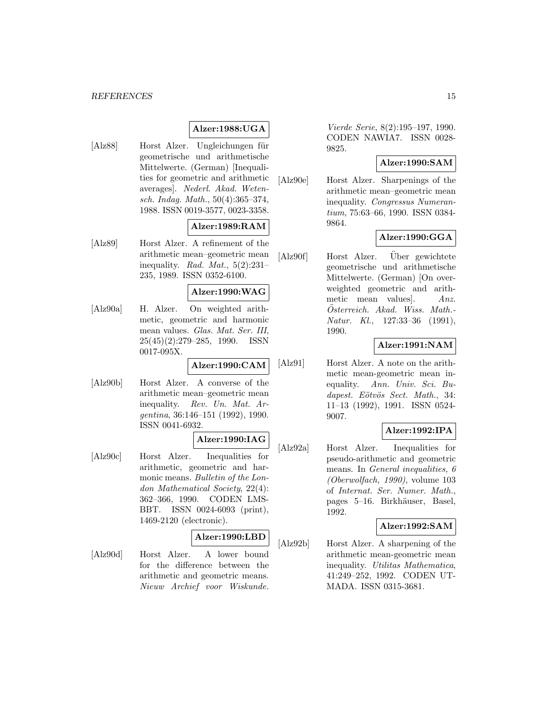#### *REFERENCES* 15

# **Alzer:1988:UGA**

[Alz88] Horst Alzer. Ungleichungen für geometrische und arithmetische Mittelwerte. (German) [Inequalities for geometric and arithmetic averages]. Nederl. Akad. Wetensch. Indag. Math., 50(4):365–374, 1988. ISSN 0019-3577, 0023-3358.

### **Alzer:1989:RAM**

[Alz89] Horst Alzer. A refinement of the arithmetic mean–geometric mean inequality. Rad. Mat.,  $5(2):231-$ 235, 1989. ISSN 0352-6100.

#### **Alzer:1990:WAG**

[Alz90a] H. Alzer. On weighted arithmetic, geometric and harmonic mean values. Glas. Mat. Ser. III, 25(45)(2):279–285, 1990. ISSN 0017-095X.

**Alzer:1990:CAM**

[Alz90b] Horst Alzer. A converse of the arithmetic mean–geometric mean inequality. Rev. Un. Mat. Argentina, 36:146–151 (1992), 1990. ISSN 0041-6932.

#### **Alzer:1990:IAG**

[Alz90c] Horst Alzer. Inequalities for arithmetic, geometric and harmonic means. Bulletin of the London Mathematical Society, 22(4): 362–366, 1990. CODEN LMS-BBT. ISSN 0024-6093 (print), 1469-2120 (electronic).

#### **Alzer:1990:LBD**

[Alz90d] Horst Alzer. A lower bound for the difference between the arithmetic and geometric means. Nieuw Archief voor Wiskunde.

Vierde Serie, 8(2):195–197, 1990. CODEN NAWIA7. ISSN 0028- 9825.

# **Alzer:1990:SAM**

[Alz90e] Horst Alzer. Sharpenings of the arithmetic mean–geometric mean inequality. Congressus Numerantium, 75:63–66, 1990. ISSN 0384- 9864.

# **Alzer:1990:GGA**

 $[Alz90f]$  Horst Alzer. Über gewichtete geometrische und arithmetische Mittelwerte. (German) [On overweighted geometric and arithmetic mean values]. Anz. Österreich. Akad. Wiss. Math.-Natur. Kl., 127:33–36 (1991), 1990.

### **Alzer:1991:NAM**

[Alz91] Horst Alzer. A note on the arithmetic mean-geometric mean inequality. Ann. Univ. Sci. Budapest. Eötvös Sect. Math., 34: 11–13 (1992), 1991. ISSN 0524- 9007.

# **Alzer:1992:IPA**

[Alz92a] Horst Alzer. Inequalities for pseudo-arithmetic and geometric means. In General inequalities, 6 (Oberwolfach, 1990), volume 103 of Internat. Ser. Numer. Math., pages 5–16. Birkhäuser, Basel, 1992.

### **Alzer:1992:SAM**

[Alz92b] Horst Alzer. A sharpening of the arithmetic mean-geometric mean inequality. Utilitas Mathematica, 41:249–252, 1992. CODEN UT-MADA. ISSN 0315-3681.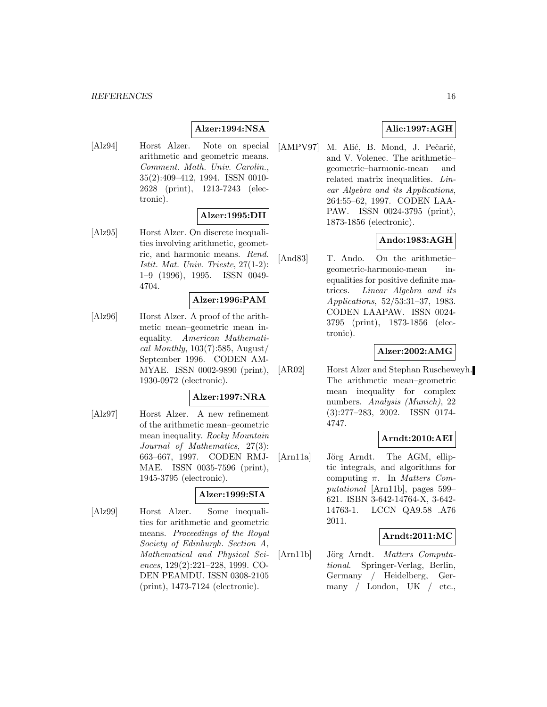### **Alzer:1994:NSA**

[Alz94] Horst Alzer. Note on special arithmetic and geometric means. Comment. Math. Univ. Carolin., 35(2):409–412, 1994. ISSN 0010- 2628 (print), 1213-7243 (electronic).

# **Alzer:1995:DII**

[Alz95] Horst Alzer. On discrete inequalities involving arithmetic, geometric, and harmonic means. Rend. Istit. Mat. Univ. Trieste, 27(1-2): 1–9 (1996), 1995. ISSN 0049- 4704.

#### **Alzer:1996:PAM**

[Alz96] Horst Alzer. A proof of the arithmetic mean–geometric mean inequality. American Mathematical Monthly,  $103(7):585$ , August/ September 1996. CODEN AM-MYAE. ISSN 0002-9890 (print), 1930-0972 (electronic).

# **Alzer:1997:NRA**

[Alz97] Horst Alzer. A new refinement of the arithmetic mean–geometric mean inequality. Rocky Mountain Journal of Mathematics, 27(3): 663–667, 1997. CODEN RMJ-MAE. ISSN 0035-7596 (print), 1945-3795 (electronic).

# **Alzer:1999:SIA**

[Alz99] Horst Alzer. Some inequalities for arithmetic and geometric means. Proceedings of the Royal Society of Edinburgh. Section A, Mathematical and Physical Sciences, 129(2):221–228, 1999. CO-DEN PEAMDU. ISSN 0308-2105 (print), 1473-7124 (electronic).

# **Alic:1997:AGH**

[AMPV97] M. Alić, B. Mond, J. Pečarić, and V. Volenec. The arithmetic– geometric–harmonic-mean and related matrix inequalities. Linear Algebra and its Applications, 264:55–62, 1997. CODEN LAA-PAW. ISSN 0024-3795 (print), 1873-1856 (electronic).

# **Ando:1983:AGH**

[And83] T. Ando. On the arithmetic– geometric-harmonic-mean inequalities for positive definite matrices. Linear Algebra and its Applications, 52/53:31–37, 1983. CODEN LAAPAW. ISSN 0024- 3795 (print), 1873-1856 (electronic).

### **Alzer:2002:AMG**

[AR02] Horst Alzer and Stephan Ruscheweyh. The arithmetic mean–geometric mean inequality for complex numbers. Analysis (Munich), 22 (3):277–283, 2002. ISSN 0174- 4747.

### **Arndt:2010:AEI**

[Arn11a] Jörg Arndt. The AGM, elliptic integrals, and algorithms for computing  $\pi$ . In *Matters Com*putational [Arn11b], pages 599– 621. ISBN 3-642-14764-X, 3-642- 14763-1. LCCN QA9.58 .A76 2011.

### **Arndt:2011:MC**

[Arn11b] Jörg Arndt. Matters Computational. Springer-Verlag, Berlin, Germany / Heidelberg, Germany / London, UK / etc.,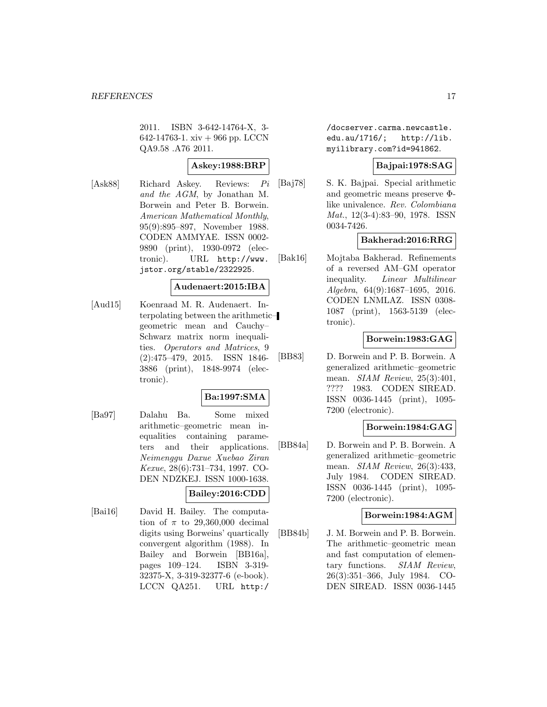2011. ISBN 3-642-14764-X, 3- 642-14763-1. xiv + 966 pp. LCCN QA9.58 .A76 2011.

# **Askey:1988:BRP**

[Ask88] Richard Askey. Reviews: Pi and the AGM, by Jonathan M. Borwein and Peter B. Borwein. American Mathematical Monthly, 95(9):895–897, November 1988. CODEN AMMYAE. ISSN 0002- 9890 (print), 1930-0972 (electronic). URL http://www. jstor.org/stable/2322925.

# **Audenaert:2015:IBA**

[Aud15] Koenraad M. R. Audenaert. Interpolating between the arithmetic– geometric mean and Cauchy– Schwarz matrix norm inequalities. Operators and Matrices, 9 (2):475–479, 2015. ISSN 1846- 3886 (print), 1848-9974 (electronic).

# **Ba:1997:SMA**

[Ba97] Dalahu Ba. Some mixed arithmetic–geometric mean inequalities containing parameters and their applications. Neimenggu Daxue Xuebao Ziran Kexue, 28(6):731–734, 1997. CO-DEN NDZKEJ. ISSN 1000-1638.

# **Bailey:2016:CDD**

[Bai16] David H. Bailey. The computation of  $\pi$  to 29,360,000 decimal digits using Borweins' quartically convergent algorithm (1988). In Bailey and Borwein [BB16a], pages 109–124. ISBN 3-319- 32375-X, 3-319-32377-6 (e-book). LCCN QA251. URL http:/

/docserver.carma.newcastle. edu.au/1716/; http://lib. myilibrary.com?id=941862.

# **Bajpai:1978:SAG**

[Baj78] S. K. Bajpai. Special arithmetic and geometric means preserve Φlike univalence. Rev. Colombiana Mat., 12(3-4):83–90, 1978. ISSN 0034-7426.

# **Bakherad:2016:RRG**

[Bak16] Mojtaba Bakherad. Refinements of a reversed AM–GM operator inequality. Linear Multilinear Algebra, 64(9):1687–1695, 2016. CODEN LNMLAZ. ISSN 0308- 1087 (print), 1563-5139 (electronic).

# **Borwein:1983:GAG**

[BB83] D. Borwein and P. B. Borwein. A generalized arithmetic–geometric mean. SIAM Review, 25(3):401, ???? 1983. CODEN SIREAD. ISSN 0036-1445 (print), 1095- 7200 (electronic).

# **Borwein:1984:GAG**

[BB84a] D. Borwein and P. B. Borwein. A generalized arithmetic–geometric mean. SIAM Review, 26(3):433, July 1984. CODEN SIREAD. ISSN 0036-1445 (print), 1095- 7200 (electronic).

### **Borwein:1984:AGM**

[BB84b] J. M. Borwein and P. B. Borwein. The arithmetic–geometric mean and fast computation of elementary functions. SIAM Review, 26(3):351–366, July 1984. CO-DEN SIREAD. ISSN 0036-1445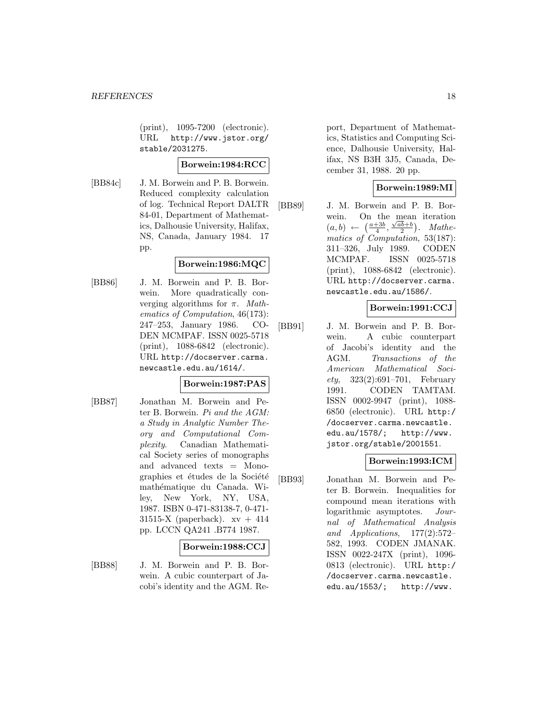(print), 1095-7200 (electronic). URL http://www.jstor.org/ stable/2031275.

# **Borwein:1984:RCC**

[BB84c] J. M. Borwein and P. B. Borwein. Reduced complexity calculation of log. Technical Report DALTR 84-01, Department of Mathematics, Dalhousie University, Halifax, NS, Canada, January 1984. 17 pp.

# **Borwein:1986:MQC**

[BB86] J. M. Borwein and P. B. Borwein. More quadratically converging algorithms for  $\pi$ . Mathematics of Computation, 46(173): 247–253, January 1986. CO-DEN MCMPAF. ISSN 0025-5718 (print), 1088-6842 (electronic). URL http://docserver.carma. newcastle.edu.au/1614/.

### **Borwein:1987:PAS**

[BB87] Jonathan M. Borwein and Peter B. Borwein. Pi and the AGM: a Study in Analytic Number Theory and Computational Complexity. Canadian Mathematical Society series of monographs and advanced texts = Monographies et études de la Société mathématique du Canada. Wiley, New York, NY, USA, 1987. ISBN 0-471-83138-7, 0-471- 31515-X (paperback).  $xy + 414$ pp. LCCN QA241 .B774 1987.

### **Borwein:1988:CCJ**

[BB88] J. M. Borwein and P. B. Borwein. A cubic counterpart of Jacobi's identity and the AGM. Report, Department of Mathematics, Statistics and Computing Science, Dalhousie University, Halifax, NS B3H 3J5, Canada, December 31, 1988. 20 pp.

# **Borwein:1989:MI**

[BB89] J. M. Borwein and P. B. Borwein. On the mean iteration  $(a, b) \leftarrow (\frac{a+3b}{4}, \frac{\sqrt{ab}+b}{2})$ . Mathematics of Computation, 53(187): 311–326, July 1989. CODEN MCMPAF. ISSN 0025-5718 (print), 1088-6842 (electronic). URL http://docserver.carma. newcastle.edu.au/1586/.

# **Borwein:1991:CCJ**

[BB91] J. M. Borwein and P. B. Borwein. A cubic counterpart of Jacobi's identity and the AGM. Transactions of the American Mathematical Soci $ety, 323(2):691-701,$  February 1991. CODEN TAMTAM. ISSN 0002-9947 (print), 1088- 6850 (electronic). URL http:/ /docserver.carma.newcastle. edu.au/1578/; http://www. jstor.org/stable/2001551.

# **Borwein:1993:ICM**

[BB93] Jonathan M. Borwein and Peter B. Borwein. Inequalities for compound mean iterations with logarithmic asymptotes. Journal of Mathematical Analysis and Applications, 177(2):572– 582, 1993. CODEN JMANAK. ISSN 0022-247X (print), 1096- 0813 (electronic). URL http:/ /docserver.carma.newcastle. edu.au/1553/; http://www.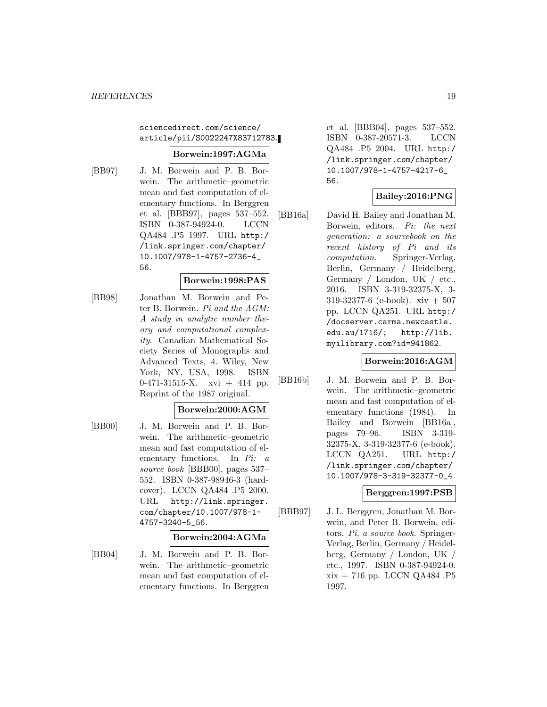### sciencedirect.com/science/ article/pii/S0022247X83712783.

### **Borwein:1997:AGMa**

[BB97] J. M. Borwein and P. B. Borwein. The arithmetic–geometric mean and fast computation of elementary functions. In Berggren et al. [BBB97], pages 537–552. ISBN 0-387-94924-0. LCCN QA484 .P5 1997. URL http:/ /link.springer.com/chapter/ 10.1007/978-1-4757-2736-4\_ 56.

# **Borwein:1998:PAS**

[BB98] Jonathan M. Borwein and Peter B. Borwein. Pi and the AGM: A study in analytic number theory and computational complexity. Canadian Mathematical Society Series of Monographs and Advanced Texts, 4. Wiley, New York, NY, USA, 1998. ISBN 0-471-31515-X. xvi + 414 pp. Reprint of the 1987 original.

#### **Borwein:2000:AGM**

[BB00] J. M. Borwein and P. B. Borwein. The arithmetic–geometric mean and fast computation of elementary functions. In Pi: a source book [BBB00], pages 537– 552. ISBN 0-387-98946-3 (hardcover). LCCN QA484 .P5 2000. URL http://link.springer. com/chapter/10.1007/978-1- 4757-3240-5\_56.

#### **Borwein:2004:AGMa**

[BB04] J. M. Borwein and P. B. Borwein. The arithmetic–geometric mean and fast computation of elementary functions. In Berggren et al. [BBB04], pages 537–552. ISBN 0-387-20571-3. LCCN QA484 .P5 2004. URL http:/ /link.springer.com/chapter/ 10.1007/978-1-4757-4217-6\_ 56.

# **Bailey:2016:PNG**

[BB16a] David H. Bailey and Jonathan M. Borwein, editors. Pi: the next generation: a sourcebook on the recent history of Pi and its computation. Springer-Verlag, Berlin, Germany / Heidelberg, Germany / London, UK / etc., 2016. ISBN 3-319-32375-X, 3- 319-32377-6 (e-book). xiv + 507 pp. LCCN QA251. URL http:/ /docserver.carma.newcastle. edu.au/1716/; http://lib. myilibrary.com?id=941862.

# **Borwein:2016:AGM**

[BB16b] J. M. Borwein and P. B. Borwein. The arithmetic–geometric mean and fast computation of elementary functions (1984). In Bailey and Borwein [BB16a], pages 79–96. ISBN 3-319- 32375-X, 3-319-32377-6 (e-book). LCCN QA251. URL http:/ /link.springer.com/chapter/ 10.1007/978-3-319-32377-0\_4.

### **Berggren:1997:PSB**

[BBB97] J. L. Berggren, Jonathan M. Borwein, and Peter B. Borwein, editors. Pi, a source book. Springer-Verlag, Berlin, Germany / Heidelberg, Germany / London, UK / etc., 1997. ISBN 0-387-94924-0. xix + 716 pp. LCCN QA484 .P5 1997.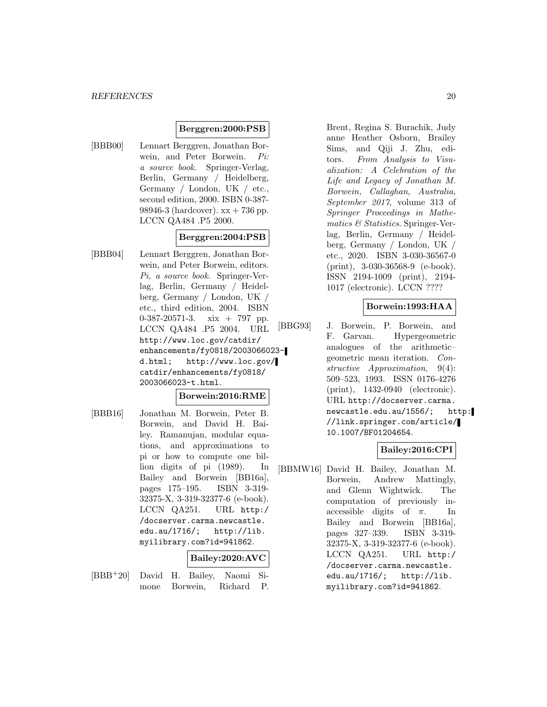### **Berggren:2000:PSB**

[BBB00] Lennart Berggren, Jonathan Borwein, and Peter Borwein. Pi: a source book. Springer-Verlag, Berlin, Germany / Heidelberg, Germany / London, UK / etc., second edition, 2000. ISBN 0-387- 98946-3 (hardcover).  $xx + 736$  pp. LCCN QA484 .P5 2000.

# **Berggren:2004:PSB**

[BBB04] Lennart Berggren, Jonathan Borwein, and Peter Borwein, editors. Pi, a source book. Springer-Verlag, Berlin, Germany / Heidelberg, Germany / London, UK / etc., third edition, 2004. ISBN 0-387-20571-3. xix + 797 pp. LCCN QA484 .P5 2004. URL http://www.loc.gov/catdir/ enhancements/fy0818/2003066023 d.html; http://www.loc.gov/ catdir/enhancements/fy0818/ 2003066023-t.html.

#### **Borwein:2016:RME**

[BBB16] Jonathan M. Borwein, Peter B. Borwein, and David H. Bailey. Ramanujan, modular equations, and approximations to pi or how to compute one billion digits of pi (1989). In Bailey and Borwein [BB16a], pages 175–195. ISBN 3-319- 32375-X, 3-319-32377-6 (e-book). LCCN QA251. URL http:/ /docserver.carma.newcastle. edu.au/1716/; http://lib. myilibrary.com?id=941862.

#### **Bailey:2020:AVC**

[BBB<sup>+</sup>20] David H. Bailey, Naomi Simone Borwein, Richard P.

Brent, Regina S. Burachik, Judy anne Heather Osborn, Brailey Sims, and Qiji J. Zhu, editors. From Analysis to Visualization: A Celebration of the Life and Legacy of Jonathan M. Borwein, Callaghan, Australia, September 2017, volume 313 of Springer Proceedings in Mathematics & Statistics. Springer-Verlag, Berlin, Germany / Heidelberg, Germany / London, UK / etc., 2020. ISBN 3-030-36567-0 (print), 3-030-36568-9 (e-book). ISSN 2194-1009 (print), 2194- 1017 (electronic). LCCN ????

#### **Borwein:1993:HAA**

[BBG93] J. Borwein, P. Borwein, and F. Garvan. Hypergeometric analogues of the arithmetic– geometric mean iteration. Constructive Approximation, 9(4): 509–523, 1993. ISSN 0176-4276 (print), 1432-0940 (electronic). URL http://docserver.carma. newcastle.edu.au/1556/; http: //link.springer.com/article/ 10.1007/BF01204654.

#### **Bailey:2016:CPI**

[BBMW16] David H. Bailey, Jonathan M. Borwein, Andrew Mattingly, and Glenn Wightwick. The computation of previously inaccessible digits of  $\pi$ . In Bailey and Borwein [BB16a], pages 327–339. ISBN 3-319- 32375-X, 3-319-32377-6 (e-book). LCCN QA251. URL http:/ /docserver.carma.newcastle. edu.au/1716/; http://lib. myilibrary.com?id=941862.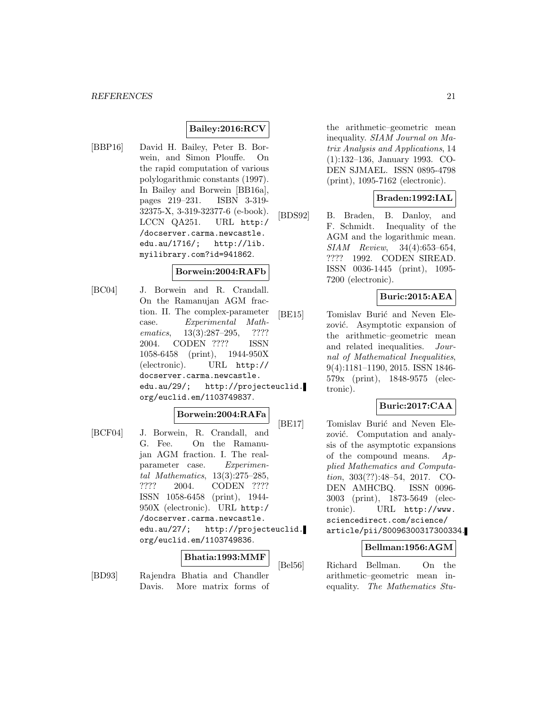# **Bailey:2016:RCV**

[BBP16] David H. Bailey, Peter B. Borwein, and Simon Plouffe. On the rapid computation of various polylogarithmic constants (1997). In Bailey and Borwein [BB16a], pages 219–231. ISBN 3-319- 32375-X, 3-319-32377-6 (e-book). LCCN QA251. URL http:/ /docserver.carma.newcastle. edu.au/1716/; http://lib. myilibrary.com?id=941862.

#### **Borwein:2004:RAFb**

[BC04] J. Borwein and R. Crandall. On the Ramanujan AGM fraction. II. The complex-parameter case. Experimental Mathematics, 13(3):287–295, ???? 2004. CODEN ???? ISSN 1058-6458 (print), 1944-950X (electronic). URL http:// docserver.carma.newcastle. edu.au/29/; http://projecteuclid. org/euclid.em/1103749837.

# **Borwein:2004:RAFa**

[BCF04] J. Borwein, R. Crandall, and G. Fee. On the Ramanujan AGM fraction. I. The realparameter case. Experimental Mathematics, 13(3):275–285, ???? 2004. CODEN ???? ISSN 1058-6458 (print), 1944- 950X (electronic). URL http:/ /docserver.carma.newcastle. edu.au/27/; http://projecteuclid. org/euclid.em/1103749836.

#### **Bhatia:1993:MMF**

[BD93] Rajendra Bhatia and Chandler Davis. More matrix forms of the arithmetic–geometric mean inequality. SIAM Journal on Matrix Analysis and Applications, 14 (1):132–136, January 1993. CO-DEN SJMAEL. ISSN 0895-4798 (print), 1095-7162 (electronic).

# **Braden:1992:IAL**

[BDS92] B. Braden, B. Danloy, and F. Schmidt. Inequality of the AGM and the logarithmic mean. SIAM Review, 34(4):653–654, ???? 1992. CODEN SIREAD. ISSN 0036-1445 (print), 1095- 7200 (electronic).

# **Buric:2015:AEA**

[BE15] Tomislav Burić and Neven Elezović. Asymptotic expansion of the arithmetic–geometric mean and related inequalities. Journal of Mathematical Inequalities, 9(4):1181–1190, 2015. ISSN 1846- 579x (print), 1848-9575 (electronic).

# **Buric:2017:CAA**

[BE17] Tomislav Burić and Neven Elezović. Computation and analysis of the asymptotic expansions of the compound means.  $Ap$ plied Mathematics and Computation, 303(??):48–54, 2017. CO-DEN AMHCBQ. ISSN 0096- 3003 (print), 1873-5649 (electronic). URL http://www. sciencedirect.com/science/ article/pii/S0096300317300334.

### **Bellman:1956:AGM**

[Bel56] Richard Bellman. On the arithmetic–geometric mean inequality. The Mathematics Stu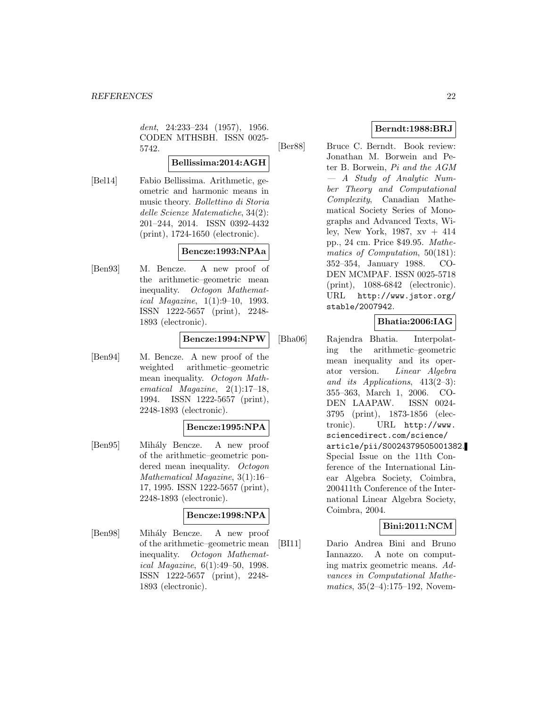dent, 24:233-234 (1957), 1956. CODEN MTHSBH. ISSN 0025- 5742.

# **Bellissima:2014:AGH**

[Bel14] Fabio Bellissima. Arithmetic, geometric and harmonic means in music theory. Bollettino di Storia delle Scienze Matematiche, 34(2): 201–244, 2014. ISSN 0392-4432 (print), 1724-1650 (electronic).

### **Bencze:1993:NPAa**

[Ben93] M. Bencze. A new proof of the arithmetic–geometric mean inequality. Octogon Mathematical Magazine, 1(1):9–10, 1993. ISSN 1222-5657 (print), 2248- 1893 (electronic).

### **Bencze:1994:NPW**

[Ben94] M. Bencze. A new proof of the weighted arithmetic–geometric mean inequality. Octogon Mathematical Magazine, 2(1):17–18, 1994. ISSN 1222-5657 (print), 2248-1893 (electronic).

# **Bencze:1995:NPA**

[Ben95] Mih´aly Bencze. A new proof of the arithmetic–geometric pondered mean inequality. Octogon Mathematical Magazine, 3(1):16– 17, 1995. ISSN 1222-5657 (print), 2248-1893 (electronic).

# **Bencze:1998:NPA**

[Ben98] Mihály Bencze. A new proof of the arithmetic–geometric mean inequality. Octogon Mathematical Magazine, 6(1):49–50, 1998. ISSN 1222-5657 (print), 2248- 1893 (electronic).

# **Berndt:1988:BRJ**

[Ber88] Bruce C. Berndt. Book review: Jonathan M. Borwein and Peter B. Borwein, Pi and the AGM — A Study of Analytic Number Theory and Computational Complexity, Canadian Mathematical Society Series of Monographs and Advanced Texts, Wiley, New York, 1987, xv + 414 pp., 24 cm. Price \$49.95. Mathematics of Computation, 50(181): 352–354, January 1988. CO-DEN MCMPAF. ISSN 0025-5718 (print), 1088-6842 (electronic). URL http://www.jstor.org/ stable/2007942.

# **Bhatia:2006:IAG**

[Bha06] Rajendra Bhatia. Interpolating the arithmetic–geometric mean inequality and its operator version. Linear Algebra and its Applications,  $413(2-3)$ : 355–363, March 1, 2006. CO-DEN LAAPAW. ISSN 0024- 3795 (print), 1873-1856 (electronic). URL http://www. sciencedirect.com/science/ article/pii/S0024379505001382. Special Issue on the 11th Conference of the International Linear Algebra Society, Coimbra, 200411th Conference of the International Linear Algebra Society, Coimbra, 2004.

# **Bini:2011:NCM**

[BI11] Dario Andrea Bini and Bruno Iannazzo. A note on computing matrix geometric means. Advances in Computational Mathe*matics*,  $35(2-4):175-192$ , Novem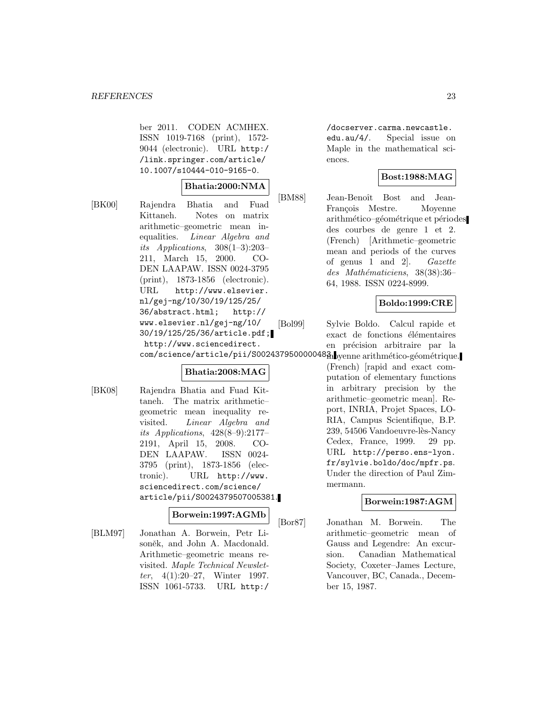ber 2011. CODEN ACMHEX. ISSN 1019-7168 (print), 1572- 9044 (electronic). URL http:/ /link.springer.com/article/ 10.1007/s10444-010-9165-0.

### **Bhatia:2000:NMA**

[BK00] Rajendra Bhatia and Fuad Kittaneh. Notes on matrix arithmetic–geometric mean inequalities. Linear Algebra and its Applications,  $308(1-3):203-$ 211, March 15, 2000. CO-DEN LAAPAW. ISSN 0024-3795 (print), 1873-1856 (electronic). URL http://www.elsevier. nl/gej-ng/10/30/19/125/25/ 36/abstract.html; http:// www.elsevier.nl/gej-ng/10/ 30/19/125/25/36/article.pdf; http://www.sciencedirect. com/science/article/pii/S0024379500000483. yenne arithmético-géométrique.

### **Bhatia:2008:MAG**

[BK08] Rajendra Bhatia and Fuad Kittaneh. The matrix arithmetic– geometric mean inequality revisited. Linear Algebra and its Applications, 428(8–9):2177– 2191, April 15, 2008. CO-DEN LAAPAW. ISSN 0024- 3795 (print), 1873-1856 (electronic). URL http://www. sciencedirect.com/science/ article/pii/S0024379507005381.

### **Borwein:1997:AGMb**

[BLM97] Jonathan A. Borwein, Petr Lisoněk, and John A. Macdonald. Arithmetic–geometric means revisited. Maple Technical Newsletter, 4(1):20–27, Winter 1997. ISSN 1061-5733. URL http:/

/docserver.carma.newcastle. edu.au/4/. Special issue on Maple in the mathematical sciences.

# **Bost:1988:MAG**

[BM88] Jean-Benoît Bost and Jean-François Mestre. Moyenne arithmético–géométrique et périodes des courbes de genre 1 et 2. (French) [Arithmetic–geometric mean and periods of the curves of genus 1 and 2]. Gazette  $des$  Mathématiciens, 38(38):36– 64, 1988. ISSN 0224-8999.

### **Boldo:1999:CRE**

[Bol99] Sylvie Boldo. Calcul rapide et exact de fonctions élémentaires en précision arbitraire par la

> (French) [rapid and exact computation of elementary functions in arbitrary precision by the arithmetic–geometric mean]. Report, INRIA, Projet Spaces, LO-RIA, Campus Scientifique, B.P. 239, 54506 Vandoeuvre-lès-Nancy Cedex, France, 1999. 29 pp. URL http://perso.ens-lyon. fr/sylvie.boldo/doc/mpfr.ps. Under the direction of Paul Zimmermann.

### **Borwein:1987:AGM**

[Bor87] Jonathan M. Borwein. The arithmetic–geometric mean of Gauss and Legendre: An excursion. Canadian Mathematical Society, Coxeter–James Lecture, Vancouver, BC, Canada., December 15, 1987.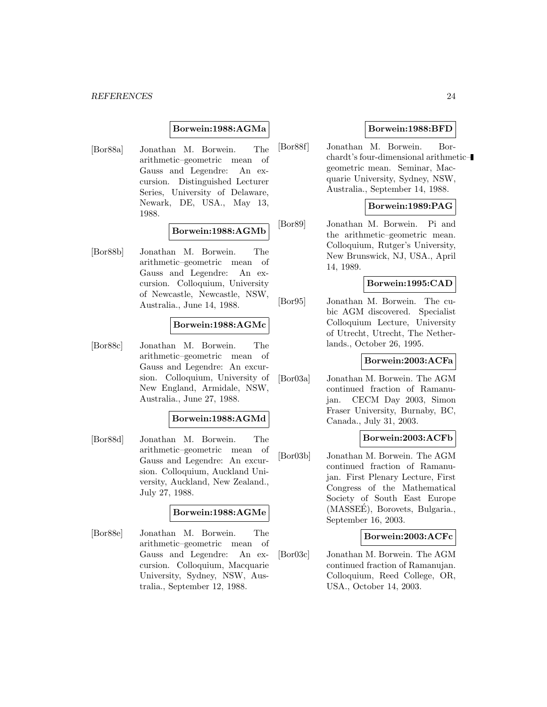#### *REFERENCES* 24

#### **Borwein:1988:AGMa**

[Bor88a] Jonathan M. Borwein. The arithmetic–geometric mean of Gauss and Legendre: An excursion. Distinguished Lecturer Series, University of Delaware, Newark, DE, USA., May 13, 1988.

# **Borwein:1988:AGMb**

[Bor88b] Jonathan M. Borwein. The arithmetic–geometric mean of Gauss and Legendre: An excursion. Colloquium, University of Newcastle, Newcastle, NSW, Australia., June 14, 1988.

# **Borwein:1988:AGMc**

[Bor88c] Jonathan M. Borwein. The arithmetic–geometric mean of Gauss and Legendre: An excursion. Colloquium, University of New England, Armidale, NSW, Australia., June 27, 1988.

#### **Borwein:1988:AGMd**

[Bor88d] Jonathan M. Borwein. The arithmetic–geometric mean of Gauss and Legendre: An excursion. Colloquium, Auckland University, Auckland, New Zealand., July 27, 1988.

### **Borwein:1988:AGMe**

[Bor88e] Jonathan M. Borwein. The arithmetic–geometric mean of Gauss and Legendre: An excursion. Colloquium, Macquarie University, Sydney, NSW, Australia., September 12, 1988.

### **Borwein:1988:BFD**

[Bor88f] Jonathan M. Borwein. Borchardt's four-dimensional arithmetic– geometric mean. Seminar, Macquarie University, Sydney, NSW, Australia., September 14, 1988.

# **Borwein:1989:PAG**

[Bor89] Jonathan M. Borwein. Pi and the arithmetic–geometric mean. Colloquium, Rutger's University, New Brunswick, NJ, USA., April 14, 1989.

### **Borwein:1995:CAD**

[Bor95] Jonathan M. Borwein. The cubic AGM discovered. Specialist Colloquium Lecture, University of Utrecht, Utrecht, The Netherlands., October 26, 1995.

#### **Borwein:2003:ACFa**

[Bor03a] Jonathan M. Borwein. The AGM continued fraction of Ramanujan. CECM Day 2003, Simon Fraser University, Burnaby, BC, Canada., July 31, 2003.

### **Borwein:2003:ACFb**

[Bor03b] Jonathan M. Borwein. The AGM continued fraction of Ramanujan. First Plenary Lecture, First Congress of the Mathematical Society of South East Europe (MASSEE), Borovets, Bulgaria., ´ September 16, 2003.

#### **Borwein:2003:ACFc**

[Bor03c] Jonathan M. Borwein. The AGM continued fraction of Ramanujan. Colloquium, Reed College, OR, USA., October 14, 2003.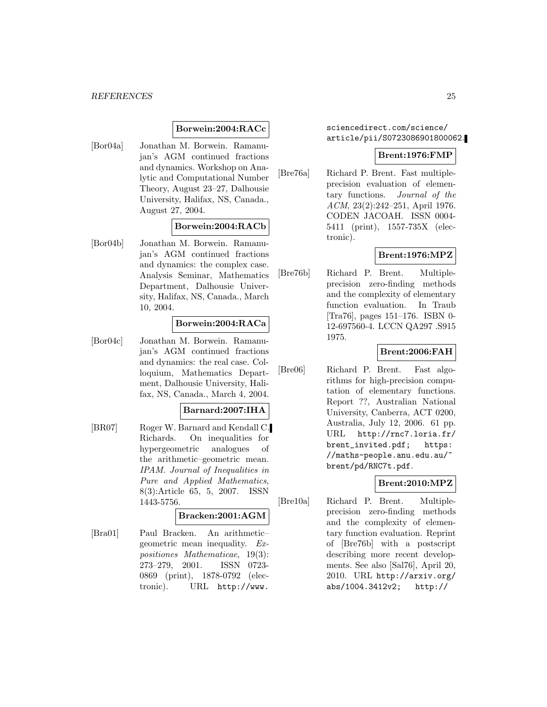### **Borwein:2004:RACc**

[Bor04a] Jonathan M. Borwein. Ramanujan's AGM continued fractions and dynamics. Workshop on Analytic and Computational Number Theory, August 23–27, Dalhousie University, Halifax, NS, Canada., August 27, 2004.

# **Borwein:2004:RACb**

[Bor04b] Jonathan M. Borwein. Ramanujan's AGM continued fractions and dynamics: the complex case. Analysis Seminar, Mathematics Department, Dalhousie University, Halifax, NS, Canada., March 10, 2004.

# **Borwein:2004:RACa**

[Bor04c] Jonathan M. Borwein. Ramanujan's AGM continued fractions and dynamics: the real case. Colloquium, Mathematics Department, Dalhousie University, Halifax, NS, Canada., March 4, 2004.

### **Barnard:2007:IHA**

[BR07] Roger W. Barnard and Kendall C. Richards. On inequalities for hypergeometric analogues of the arithmetic–geometric mean. IPAM. Journal of Inequalities in Pure and Applied Mathematics, 8(3):Article 65, 5, 2007. ISSN 1443-5756.

#### **Bracken:2001:AGM**

[Bra01] Paul Bracken. An arithmetic– geometric mean inequality. Expositiones Mathematicae, 19(3): 273–279, 2001. ISSN 0723- 0869 (print), 1878-0792 (electronic). URL http://www.

sciencedirect.com/science/ article/pii/S0723086901800062.

#### **Brent:1976:FMP**

[Bre76a] Richard P. Brent. Fast multipleprecision evaluation of elementary functions. Journal of the ACM, 23(2):242–251, April 1976. CODEN JACOAH. ISSN 0004- 5411 (print), 1557-735X (electronic).

# **Brent:1976:MPZ**

[Bre76b] Richard P. Brent. Multipleprecision zero-finding methods and the complexity of elementary function evaluation. In Traub [Tra76], pages 151–176. ISBN 0- 12-697560-4. LCCN QA297 .S915 1975.

### **Brent:2006:FAH**

[Bre06] Richard P. Brent. Fast algorithms for high-precision computation of elementary functions. Report ??, Australian National University, Canberra, ACT 0200, Australia, July 12, 2006. 61 pp. URL http://rnc7.loria.fr/ brent\_invited.pdf; https: //maths-people.anu.edu.au/~ brent/pd/RNC7t.pdf.

### **Brent:2010:MPZ**

[Bre10a] Richard P. Brent. Multipleprecision zero-finding methods and the complexity of elementary function evaluation. Reprint of [Bre76b] with a postscript describing more recent developments. See also [Sal76], April 20, 2010. URL http://arxiv.org/ abs/1004.3412v2; http://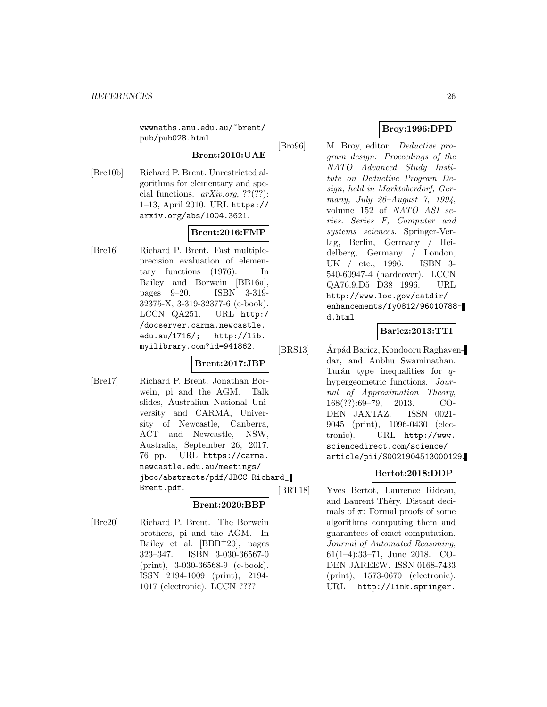wwwmaths.anu.edu.au/~brent/ pub/pub028.html.

# **Brent:2010:UAE**

[Bre10b] Richard P. Brent. Unrestricted algorithms for elementary and special functions.  $arXiv.org$ , ??(??): 1–13, April 2010. URL https:// arxiv.org/abs/1004.3621.

# **Brent:2016:FMP**

[Bre16] Richard P. Brent. Fast multipleprecision evaluation of elementary functions (1976). In Bailey and Borwein [BB16a], pages 9–20. ISBN 3-319- 32375-X, 3-319-32377-6 (e-book). LCCN QA251. URL http:/ /docserver.carma.newcastle. edu.au/1716/; http://lib. myilibrary.com?id=941862.

# **Brent:2017:JBP**

[Bre17] Richard P. Brent. Jonathan Borwein, pi and the AGM. Talk slides, Australian National University and CARMA, University of Newcastle, Canberra, ACT and Newcastle, NSW, Australia, September 26, 2017. 76 pp. URL https://carma. newcastle.edu.au/meetings/ jbcc/abstracts/pdf/JBCC-Richard\_ Brent.pdf.

# **Brent:2020:BBP**

[Bre20] Richard P. Brent. The Borwein brothers, pi and the AGM. In Bailey et al.  $[BBB+20]$ , pages 323–347. ISBN 3-030-36567-0 (print), 3-030-36568-9 (e-book). ISSN 2194-1009 (print), 2194- 1017 (electronic). LCCN ????

# **Broy:1996:DPD**

[Bro96] M. Broy, editor. Deductive program design: Proceedings of the NATO Advanced Study Institute on Deductive Program Design, held in Marktoberdorf, Germany, July 26–August 7, 1994, volume 152 of NATO ASI series. Series F, Computer and systems sciences. Springer-Verlag, Berlin, Germany / Heidelberg, Germany / London, UK / etc., 1996. ISBN 3- 540-60947-4 (hardcover). LCCN QA76.9.D5 D38 1996. URL http://www.loc.gov/catdir/ enhancements/fy0812/96010788 d.html.

# **Baricz:2013:TTI**

[BRS13] Arpád Baricz, Kondooru Raghavendar, and Anbhu Swaminathan. Turán type inequalities for  $q$ hypergeometric functions. Journal of Approximation Theory, 168(??):69–79, 2013. CO-DEN JAXTAZ. ISSN 0021- 9045 (print), 1096-0430 (electronic). URL http://www. sciencedirect.com/science/ article/pii/S0021904513000129.

# **Bertot:2018:DDP**

[BRT18] Yves Bertot, Laurence Rideau, and Laurent Théry. Distant decimals of  $\pi$ : Formal proofs of some algorithms computing them and guarantees of exact computation. Journal of Automated Reasoning, 61(1–4):33–71, June 2018. CO-DEN JAREEW. ISSN 0168-7433 (print), 1573-0670 (electronic). URL http://link.springer.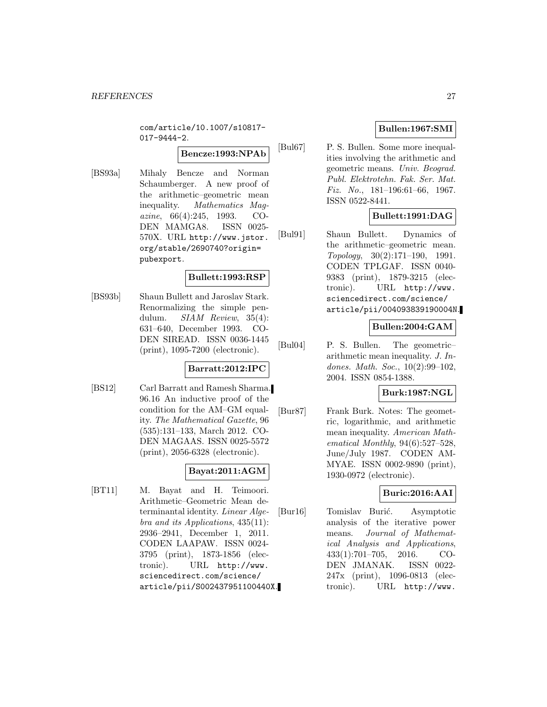com/article/10.1007/s10817- 017-9444-2.

# **Bencze:1993:NPAb**

[BS93a] Mihaly Bencze and Norman Schaumberger. A new proof of the arithmetic–geometric mean inequality. Mathematics Magazine, 66(4):245, 1993. CO-DEN MAMGA8. ISSN 0025- 570X. URL http://www.jstor. org/stable/2690740?origin= pubexport.

### **Bullett:1993:RSP**

[BS93b] Shaun Bullett and Jaroslav Stark. Renormalizing the simple pendulum. *SIAM Review*, 35(4): 631–640, December 1993. CO-DEN SIREAD. ISSN 0036-1445 (print), 1095-7200 (electronic).

# **Barratt:2012:IPC**

[BS12] Carl Barratt and Ramesh Sharma. 96.16 An inductive proof of the condition for the AM–GM equality. The Mathematical Gazette, 96 (535):131–133, March 2012. CO-DEN MAGAAS. ISSN 0025-5572 (print), 2056-6328 (electronic).

# **Bayat:2011:AGM**

[BT11] M. Bayat and H. Teimoori. Arithmetic–Geometric Mean determinantal identity. Linear Algebra and its Applications, 435(11): 2936–2941, December 1, 2011. CODEN LAAPAW. ISSN 0024- 3795 (print), 1873-1856 (electronic). URL http://www. sciencedirect.com/science/ article/pii/S002437951100440X.

# **Bullen:1967:SMI**

[Bul67] P. S. Bullen. Some more inequalities involving the arithmetic and geometric means. Univ. Beograd. Publ. Elektrotehn. Fak. Ser. Mat. Fiz. No., 181–196:61–66, 1967. ISSN 0522-8441.

# **Bullett:1991:DAG**

[Bul91] Shaun Bullett. Dynamics of the arithmetic–geometric mean. Topology, 30(2):171–190, 1991. CODEN TPLGAF. ISSN 0040- 9383 (print), 1879-3215 (electronic). URL http://www. sciencedirect.com/science/ article/pii/004093839190004N.

# **Bullen:2004:GAM**

[Bul04] P. S. Bullen. The geometric– arithmetic mean inequality. J. Indones. Math. Soc., 10(2):99–102, 2004. ISSN 0854-1388.

### **Burk:1987:NGL**

[Bur87] Frank Burk. Notes: The geometric, logarithmic, and arithmetic mean inequality. American Mathematical Monthly,  $94(6):527-528$ , June/July 1987. CODEN AM-MYAE. ISSN 0002-9890 (print), 1930-0972 (electronic).

# **Buric:2016:AAI**

[Bur16] Tomislav Burić. Asymptotic analysis of the iterative power means. Journal of Mathematical Analysis and Applications, 433(1):701–705, 2016. CO-DEN JMANAK. ISSN 0022- 247x (print), 1096-0813 (electronic). URL http://www.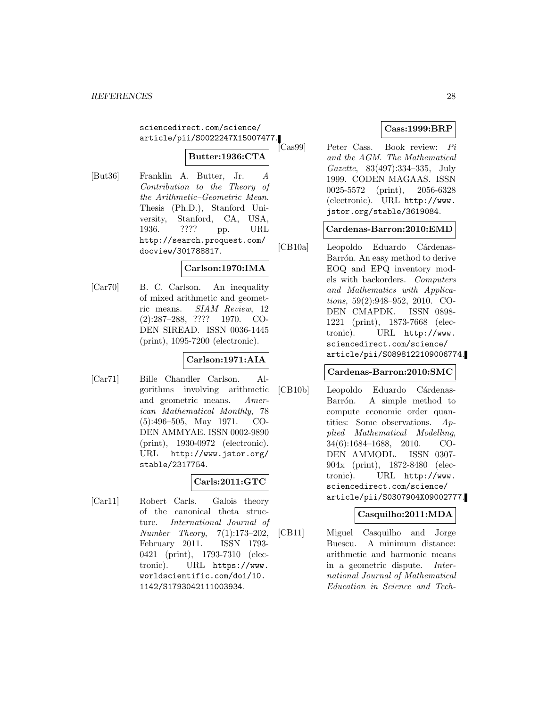sciencedirect.com/science/ article/pii/S0022247X15007477.

# **Butter:1936:CTA**

[But36] Franklin A. Butter, Jr. A Contribution to the Theory of the Arithmetic–Geometric Mean. Thesis (Ph.D.), Stanford University, Stanford, CA, USA, 1936. ???? pp. URL http://search.proquest.com/ docview/301788817.

# **Carlson:1970:IMA**

[Car70] B. C. Carlson. An inequality of mixed arithmetic and geometric means. SIAM Review, 12 (2):287–288, ???? 1970. CO-DEN SIREAD. ISSN 0036-1445 (print), 1095-7200 (electronic).

# **Carlson:1971:AIA**

[Car71] Bille Chandler Carlson. Algorithms involving arithmetic and geometric means. American Mathematical Monthly, 78 (5):496–505, May 1971. CO-DEN AMMYAE. ISSN 0002-9890 (print), 1930-0972 (electronic). URL http://www.jstor.org/ stable/2317754.

# **Carls:2011:GTC**

[Car11] Robert Carls. Galois theory of the canonical theta structure. International Journal of Number Theory, 7(1):173–202, February 2011. ISSN 1793- 0421 (print), 1793-7310 (electronic). URL https://www. worldscientific.com/doi/10. 1142/S1793042111003934.

# **Cass:1999:BRP**

[Cas99] Peter Cass. Book review: Pi and the AGM. The Mathematical Gazette, 83(497):334–335, July 1999. CODEN MAGAAS. ISSN 0025-5572 (print), 2056-6328 (electronic). URL http://www. jstor.org/stable/3619084.

# **Cardenas-Barron:2010:EMD**

[CB10a] Leopoldo Eduardo Cárdenas-Barrón. An easy method to derive EOQ and EPQ inventory models with backorders. Computers and Mathematics with Applications, 59(2):948–952, 2010. CO-DEN CMAPDK. ISSN 0898- 1221 (print), 1873-7668 (electronic). URL http://www. sciencedirect.com/science/ article/pii/S0898122109006774.

### **Cardenas-Barron:2010:SMC**

[CB10b] Leopoldo Eduardo Cárdenas-Barrón. A simple method to compute economic order quantities: Some observations. Applied Mathematical Modelling, 34(6):1684–1688, 2010. CO-DEN AMMODL. ISSN 0307- 904x (print), 1872-8480 (electronic). URL http://www. sciencedirect.com/science/ article/pii/S0307904X09002777.

# **Casquilho:2011:MDA**

[CB11] Miguel Casquilho and Jorge Buescu. A minimum distance: arithmetic and harmonic means in a geometric dispute. International Journal of Mathematical Education in Science and Tech-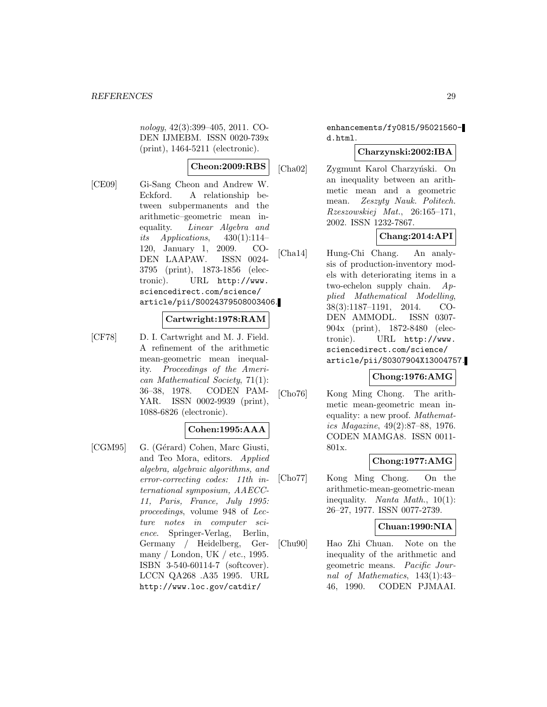nology, 42(3):399–405, 2011. CO-DEN IJMEBM. ISSN 0020-739x (print), 1464-5211 (electronic).

# **Cheon:2009:RBS**

[CE09] Gi-Sang Cheon and Andrew W. Eckford. A relationship between subpermanents and the arithmetic–geometric mean inequality. Linear Algebra and its Applications,  $430(1):114-$ 120, January 1, 2009. CO-DEN LAAPAW. ISSN 0024- 3795 (print), 1873-1856 (electronic). URL http://www. sciencedirect.com/science/ article/pii/S0024379508003406.

#### **Cartwright:1978:RAM**

[CF78] D. I. Cartwright and M. J. Field. A refinement of the arithmetic mean-geometric mean inequality. Proceedings of the American Mathematical Society, 71(1): 36–38, 1978. CODEN PAM-YAR. ISSN 0002-9939 (print), 1088-6826 (electronic).

# **Cohen:1995:AAA**

[CGM95] G. (Gérard) Cohen, Marc Giusti, and Teo Mora, editors. Applied algebra, algebraic algorithms, and error-correcting codes: 11th international symposium, AAECC-11, Paris, France, July 1995: proceedings, volume 948 of Lecture notes in computer science. Springer-Verlag, Berlin, Germany / Heidelberg, Germany / London, UK / etc., 1995. ISBN 3-540-60114-7 (softcover). LCCN QA268 .A35 1995. URL http://www.loc.gov/catdir/

enhancements/fy0815/95021560 d.html.

# **Charzynski:2002:IBA**

[Cha02] Zygmunt Karol Charzyński. On an inequality between an arithmetic mean and a geometric mean. Zeszyty Nauk. Politech. Rzeszowskiej Mat., 26:165–171, 2002. ISSN 1232-7867.

# **Chang:2014:API**

[Cha14] Hung-Chi Chang. An analysis of production-inventory models with deteriorating items in a two-echelon supply chain. Applied Mathematical Modelling, 38(3):1187–1191, 2014. CO-DEN AMMODL. ISSN 0307- 904x (print), 1872-8480 (electronic). URL http://www. sciencedirect.com/science/ article/pii/S0307904X13004757.

### **Chong:1976:AMG**

[Cho76] Kong Ming Chong. The arithmetic mean-geometric mean inequality: a new proof. Mathematics Magazine, 49(2):87–88, 1976. CODEN MAMGA8. ISSN 0011- 801x.

# **Chong:1977:AMG**

[Cho77] Kong Ming Chong. On the arithmetic-mean-geometric-mean inequality. Nanta Math., 10(1): 26–27, 1977. ISSN 0077-2739.

### **Chuan:1990:NIA**

[Chu90] Hao Zhi Chuan. Note on the inequality of the arithmetic and geometric means. Pacific Journal of Mathematics, 143(1):43– 46, 1990. CODEN PJMAAI.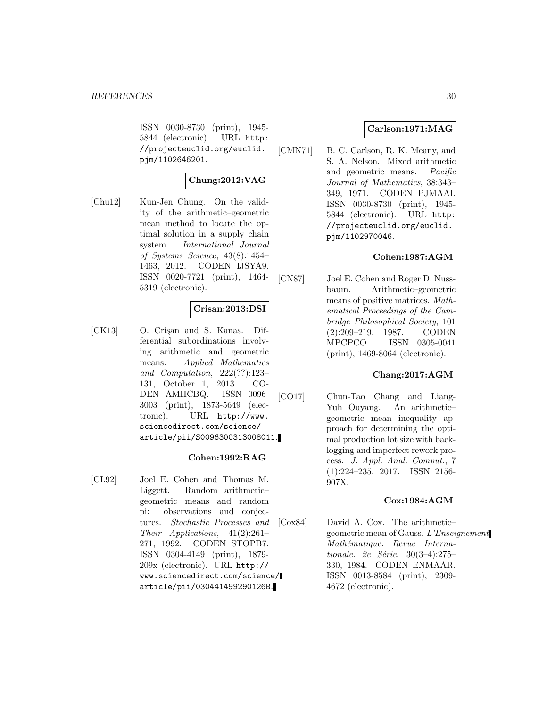ISSN 0030-8730 (print), 1945- 5844 (electronic). URL http: //projecteuclid.org/euclid. pjm/1102646201.

# **Chung:2012:VAG**

[Chu12] Kun-Jen Chung. On the validity of the arithmetic–geometric mean method to locate the optimal solution in a supply chain system. International Journal of Systems Science, 43(8):1454– 1463, 2012. CODEN IJSYA9. ISSN 0020-7721 (print), 1464- 5319 (electronic).

# **Crisan:2013:DSI**

[CK13] O. Crisan and S. Kanas. Differential subordinations involving arithmetic and geometric means. Applied Mathematics and Computation, 222(??):123– 131, October 1, 2013. CO-DEN AMHCBQ. ISSN 0096- 3003 (print), 1873-5649 (electronic). URL http://www. sciencedirect.com/science/ article/pii/S0096300313008011.

### **Cohen:1992:RAG**

[CL92] Joel E. Cohen and Thomas M. Liggett. Random arithmetic– geometric means and random pi: observations and conjectures. Stochastic Processes and Their Applications, 41(2):261– 271, 1992. CODEN STOPB7. ISSN 0304-4149 (print), 1879- 209x (electronic). URL http:// www.sciencedirect.com/science/ article/pii/030441499290126B.

### **Carlson:1971:MAG**

[CMN71] B. C. Carlson, R. K. Meany, and S. A. Nelson. Mixed arithmetic and geometric means. Pacific Journal of Mathematics, 38:343– 349, 1971. CODEN PJMAAI. ISSN 0030-8730 (print), 1945- 5844 (electronic). URL http: //projecteuclid.org/euclid. pjm/1102970046.

# **Cohen:1987:AGM**

[CN87] Joel E. Cohen and Roger D. Nussbaum. Arithmetic–geometric means of positive matrices. Mathematical Proceedings of the Cambridge Philosophical Society, 101 (2):209–219, 1987. CODEN MPCPCO. ISSN 0305-0041 (print), 1469-8064 (electronic).

### **Chang:2017:AGM**

[CO17] Chun-Tao Chang and Liang-Yuh Ouyang. An arithmetic– geometric mean inequality approach for determining the optimal production lot size with backlogging and imperfect rework process. J. Appl. Anal. Comput., 7 (1):224–235, 2017. ISSN 2156- 907X.

# **Cox:1984:AGM**

[Cox84] David A. Cox. The arithmetic– geometric mean of Gauss. L'Enseignement Mathématique. Revue Internationale. 2e Série,  $30(3-4):275-$ 330, 1984. CODEN ENMAAR. ISSN 0013-8584 (print), 2309- 4672 (electronic).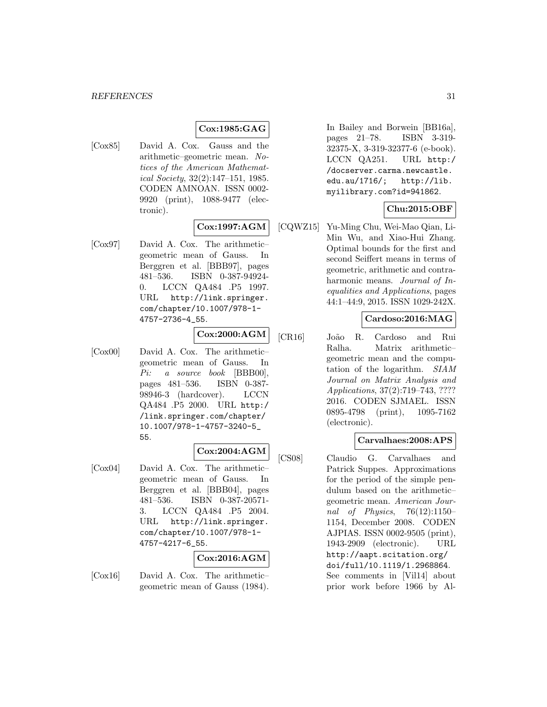# **Cox:1985:GAG**

[Cox85] David A. Cox. Gauss and the arithmetic–geometric mean. Notices of the American Mathematical Society, 32(2):147–151, 1985. CODEN AMNOAN. ISSN 0002- 9920 (print), 1088-9477 (electronic).

# **Cox:1997:AGM**

[Cox97] David A. Cox. The arithmetic– geometric mean of Gauss. In Berggren et al. [BBB97], pages 481–536. ISBN 0-387-94924- 0. LCCN QA484 .P5 1997. URL http://link.springer. com/chapter/10.1007/978-1- 4757-2736-4\_55.

# **Cox:2000:AGM**

[Cox00] David A. Cox. The arithmetic– geometric mean of Gauss. In Pi: a source book [BBB00], pages 481–536. ISBN 0-387- 98946-3 (hardcover). LCCN QA484 .P5 2000. URL http:/ /link.springer.com/chapter/ 10.1007/978-1-4757-3240-5\_ 55.

#### **Cox:2004:AGM**

[Cox04] David A. Cox. The arithmetic– geometric mean of Gauss. In Berggren et al. [BBB04], pages 481–536. ISBN 0-387-20571- 3. LCCN QA484 .P5 2004. URL http://link.springer. com/chapter/10.1007/978-1- 4757-4217-6\_55.

### **Cox:2016:AGM**

[Cox16] David A. Cox. The arithmetic– geometric mean of Gauss (1984). In Bailey and Borwein [BB16a], pages 21–78. ISBN 3-319- 32375-X, 3-319-32377-6 (e-book). LCCN QA251. URL http:/ /docserver.carma.newcastle. edu.au/1716/; http://lib. myilibrary.com?id=941862.

# **Chu:2015:OBF**

[CQWZ15] Yu-Ming Chu, Wei-Mao Qian, Li-Min Wu, and Xiao-Hui Zhang. Optimal bounds for the first and second Seiffert means in terms of geometric, arithmetic and contraharmonic means. Journal of Inequalities and Applications, pages 44:1–44:9, 2015. ISSN 1029-242X.

### **Cardoso:2016:MAG**

[CR16] João R. Cardoso and Rui Ralha. Matrix arithmetic– geometric mean and the computation of the logarithm. SIAM Journal on Matrix Analysis and Applications, 37(2):719–743, ???? 2016. CODEN SJMAEL. ISSN 0895-4798 (print), 1095-7162 (electronic).

### **Carvalhaes:2008:APS**

[CS08] Claudio G. Carvalhaes and Patrick Suppes. Approximations for the period of the simple pendulum based on the arithmetic– geometric mean. American Journal of Physics, 76(12):1150– 1154, December 2008. CODEN AJPIAS. ISSN 0002-9505 (print), 1943-2909 (electronic). URL http://aapt.scitation.org/ doi/full/10.1119/1.2968864. See comments in [Vil14] about prior work before 1966 by Al-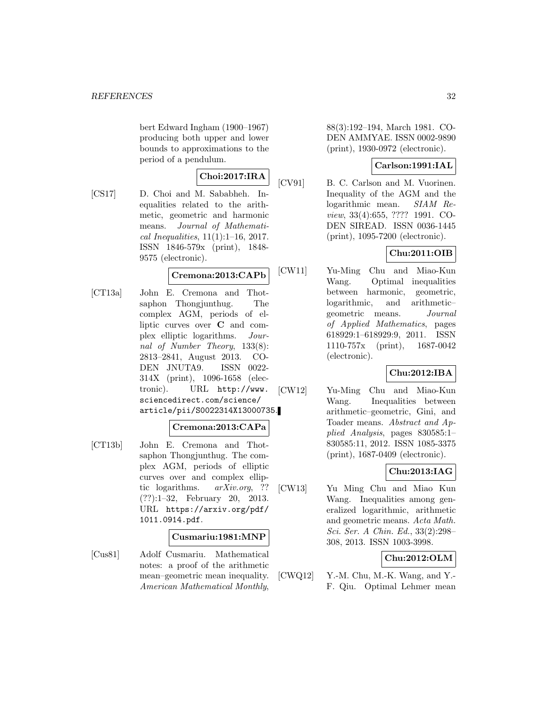bert Edward Ingham (1900–1967) producing both upper and lower bounds to approximations to the period of a pendulum.

$$
Choi:2017:IRA
$$

[CS17] D. Choi and M. Sababheh. Inequalities related to the arithmetic, geometric and harmonic means. Journal of Mathematical Inequalities, 11(1):1–16, 2017. ISSN 1846-579x (print), 1848- 9575 (electronic).

# **Cremona:2013:CAPb**

[CT13a] John E. Cremona and Thotsaphon Thongjunthug. The complex AGM, periods of elliptic curves over **C** and complex elliptic logarithms. Journal of Number Theory, 133(8): 2813–2841, August 2013. CO-DEN JNUTA9. ISSN 0022- 314X (print), 1096-1658 (electronic). URL http://www. sciencedirect.com/science/ article/pii/S0022314X13000735.

# **Cremona:2013:CAPa**

[CT13b] John E. Cremona and Thotsaphon Thongjunthug. The complex AGM, periods of elliptic curves over and complex elliptic logarithms. arXiv.org, ?? (??):1–32, February 20, 2013. URL https://arxiv.org/pdf/ 1011.0914.pdf.

### **Cusmariu:1981:MNP**

[Cus81] Adolf Cusmariu. Mathematical notes: a proof of the arithmetic mean–geometric mean inequality. American Mathematical Monthly,

88(3):192–194, March 1981. CO-DEN AMMYAE. ISSN 0002-9890 (print), 1930-0972 (electronic).

### **Carlson:1991:IAL**

[CV91] B. C. Carlson and M. Vuorinen. Inequality of the AGM and the logarithmic mean. SIAM Review, 33(4):655, ???? 1991. CO-DEN SIREAD. ISSN 0036-1445 (print), 1095-7200 (electronic).

# **Chu:2011:OIB**

[CW11] Yu-Ming Chu and Miao-Kun Wang. Optimal inequalities between harmonic, geometric, logarithmic, and arithmetic– geometric means. Journal of Applied Mathematics, pages 618929:1–618929:9, 2011. ISSN 1110-757x (print), 1687-0042 (electronic).

# **Chu:2012:IBA**

[CW12] Yu-Ming Chu and Miao-Kun Wang. Inequalities between arithmetic–geometric, Gini, and Toader means. Abstract and Applied Analysis, pages 830585:1– 830585:11, 2012. ISSN 1085-3375 (print), 1687-0409 (electronic).

# **Chu:2013:IAG**

[CW13] Yu Ming Chu and Miao Kun Wang. Inequalities among generalized logarithmic, arithmetic and geometric means. Acta Math. Sci. Ser. A Chin. Ed., 33(2):298– 308, 2013. ISSN 1003-3998.

# **Chu:2012:OLM**

[CWQ12] Y.-M. Chu, M.-K. Wang, and Y.- F. Qiu. Optimal Lehmer mean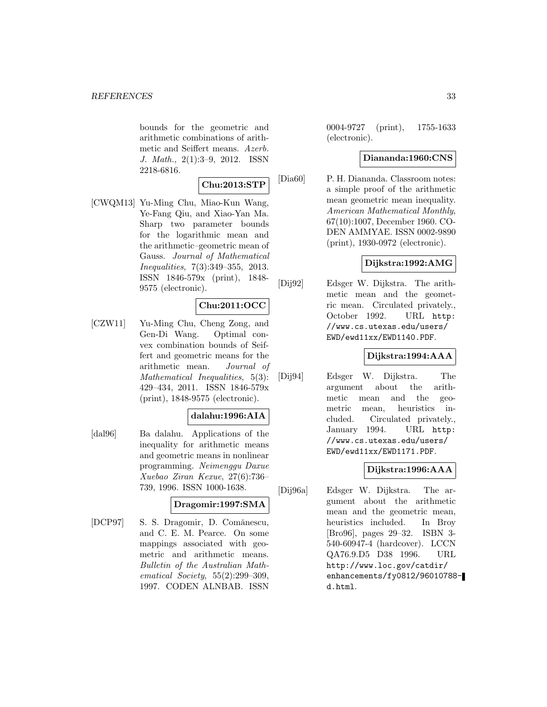bounds for the geometric and arithmetic combinations of arithmetic and Seiffert means. Azerb. J. Math., 2(1):3–9, 2012. ISSN 2218-6816.

### **Chu:2013:STP**

[CWQM13] Yu-Ming Chu, Miao-Kun Wang, Ye-Fang Qiu, and Xiao-Yan Ma. Sharp two parameter bounds for the logarithmic mean and the arithmetic–geometric mean of Gauss. Journal of Mathematical Inequalities, 7(3):349–355, 2013. ISSN 1846-579x (print), 1848- 9575 (electronic).

# **Chu:2011:OCC**

[CZW11] Yu-Ming Chu, Cheng Zong, and Gen-Di Wang. Optimal convex combination bounds of Seiffert and geometric means for the arithmetic mean. Journal of Mathematical Inequalities, 5(3): 429–434, 2011. ISSN 1846-579x (print), 1848-9575 (electronic).

# **dalahu:1996:AIA**

[dal96] Ba dalahu. Applications of the inequality for arithmetic means and geometric means in nonlinear programming. Neimenggu Daxue Xuebao Ziran Kexue, 27(6):736– 739, 1996. ISSN 1000-1638.

### **Dragomir:1997:SMA**

[DCP97] S. S. Dragomir, D. Comǎnescu, and C. E. M. Pearce. On some mappings associated with geometric and arithmetic means. Bulletin of the Australian Mathematical Society, 55(2):299–309, 1997. CODEN ALNBAB. ISSN

0004-9727 (print), 1755-1633 (electronic).

# **Diananda:1960:CNS**

[Dia60] P. H. Diananda. Classroom notes: a simple proof of the arithmetic mean geometric mean inequality. American Mathematical Monthly, 67(10):1007, December 1960. CO-DEN AMMYAE. ISSN 0002-9890 (print), 1930-0972 (electronic).

# **Dijkstra:1992:AMG**

[Dij92] Edsger W. Dijkstra. The arithmetic mean and the geometric mean. Circulated privately., October 1992. URL http: //www.cs.utexas.edu/users/ EWD/ewd11xx/EWD1140.PDF.

# **Dijkstra:1994:AAA**

[Dij94] Edsger W. Dijkstra. The argument about the arithmetic mean and the geometric mean, heuristics included. Circulated privately., January 1994. URL http: //www.cs.utexas.edu/users/ EWD/ewd11xx/EWD1171.PDF.

### **Dijkstra:1996:AAA**

[Dij96a] Edsger W. Dijkstra. The argument about the arithmetic mean and the geometric mean, heuristics included. In Broy [Bro96], pages 29–32. ISBN 3- 540-60947-4 (hardcover). LCCN QA76.9.D5 D38 1996. URL http://www.loc.gov/catdir/ enhancements/fy0812/96010788 d.html.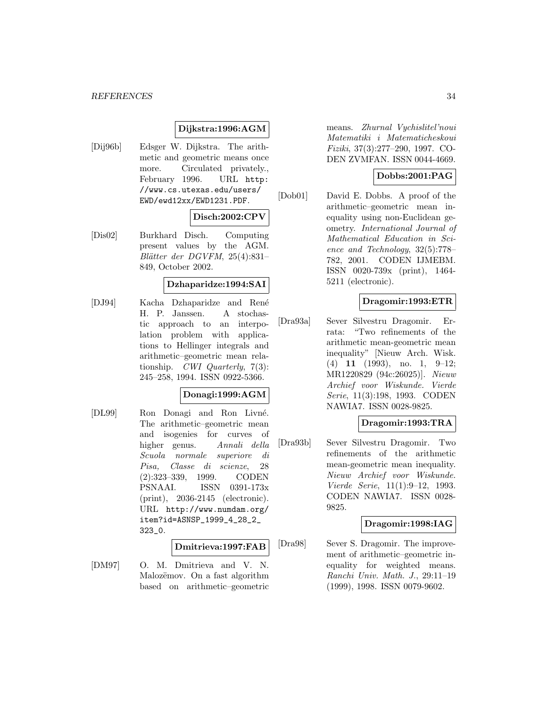### **Dijkstra:1996:AGM**

[Dij96b] Edsger W. Dijkstra. The arithmetic and geometric means once more. Circulated privately., February 1996. URL http: //www.cs.utexas.edu/users/ EWD/ewd12xx/EWD1231.PDF.

# **Disch:2002:CPV**

[Dis02] Burkhard Disch. Computing present values by the AGM.  $Blätter der DGVFM, 25(4):831-$ 849, October 2002.

### **Dzhaparidze:1994:SAI**

[DJ94] Kacha Dzhaparidze and René H. P. Janssen. A stochastic approach to an interpolation problem with applications to Hellinger integrals and arithmetic–geometric mean relationship. CWI Quarterly, 7(3): 245–258, 1994. ISSN 0922-5366.

#### **Donagi:1999:AGM**

[DL99] Ron Donagi and Ron Livné. The arithmetic–geometric mean and isogenies for curves of higher genus. Annali della Scuola normale superiore di Pisa, Classe di scienze, 28 (2):323–339, 1999. CODEN PSNAAI. ISSN 0391-173x (print), 2036-2145 (electronic). URL http://www.numdam.org/ item?id=ASNSP\_1999\_4\_28\_2\_ 323\_0.

**Dmitrieva:1997:FAB**

[DM97] O. M. Dmitrieva and V. N. Malozëmov. On a fast algorithm based on arithmetic–geometric means. Zhurnal Vychislitel'noui Matematiki i Matematicheskoui Fiziki, 37(3):277–290, 1997. CO-DEN ZVMFAN. ISSN 0044-4669.

### **Dobbs:2001:PAG**

[Dob01] David E. Dobbs. A proof of the arithmetic–geometric mean inequality using non-Euclidean geometry. International Journal of Mathematical Education in Science and Technology, 32(5):778– 782, 2001. CODEN IJMEBM. ISSN 0020-739x (print), 1464- 5211 (electronic).

#### **Dragomir:1993:ETR**

[Dra93a] Sever Silvestru Dragomir. Errata: "Two refinements of the arithmetic mean-geometric mean inequality" [Nieuw Arch. Wisk. (4) **11** (1993), no. 1, 9–12; MR1220829 (94c:26025)]. Nieuw Archief voor Wiskunde. Vierde Serie, 11(3):198, 1993. CODEN NAWIA7. ISSN 0028-9825.

### **Dragomir:1993:TRA**

[Dra93b] Sever Silvestru Dragomir. Two refinements of the arithmetic mean-geometric mean inequality. Nieuw Archief voor Wiskunde. Vierde Serie, 11(1):9–12, 1993. CODEN NAWIA7. ISSN 0028- 9825.

#### **Dragomir:1998:IAG**

[Dra98] Sever S. Dragomir. The improvement of arithmetic–geometric inequality for weighted means. Ranchi Univ. Math. J., 29:11–19 (1999), 1998. ISSN 0079-9602.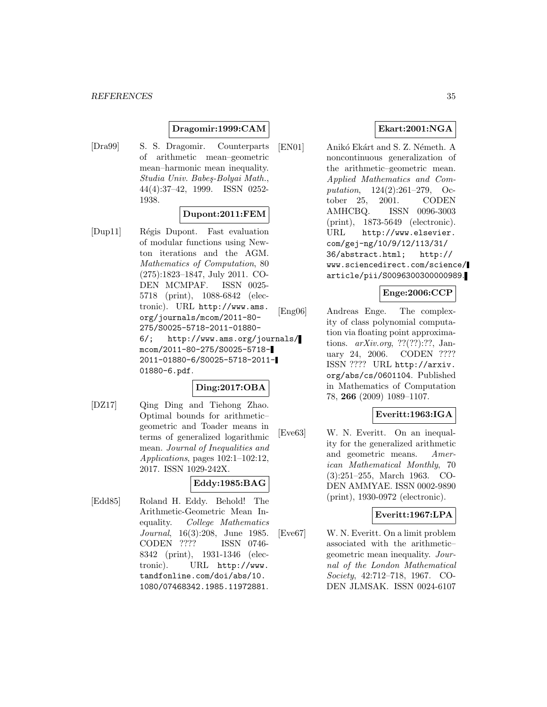### **Dragomir:1999:CAM**

[Dra99] S. S. Dragomir. Counterparts of arithmetic mean–geometric mean–harmonic mean inequality. Studia Univ. Babeş-Bolyai Math., 44(4):37–42, 1999. ISSN 0252- 1938.

### **Dupont:2011:FEM**

[Dup11] Régis Dupont. Fast evaluation of modular functions using Newton iterations and the AGM. Mathematics of Computation, 80 (275):1823–1847, July 2011. CO-DEN MCMPAF. ISSN 0025- 5718 (print), 1088-6842 (electronic). URL http://www.ams. org/journals/mcom/2011-80- 275/S0025-5718-2011-01880- 6/; http://www.ams.org/journals/ mcom/2011-80-275/S0025-5718- 2011-01880-6/S0025-5718-2011- 01880-6.pdf.

### **Ding:2017:OBA**

[DZ17] Qing Ding and Tiehong Zhao. Optimal bounds for arithmetic– geometric and Toader means in terms of generalized logarithmic mean. Journal of Inequalities and Applications, pages 102:1–102:12, 2017. ISSN 1029-242X.

# **Eddy:1985:BAG**

[Edd85] Roland H. Eddy. Behold! The Arithmetic-Geometric Mean Inequality. College Mathematics Journal, 16(3):208, June 1985. CODEN ???? ISSN 0746- 8342 (print), 1931-1346 (electronic). URL http://www. tandfonline.com/doi/abs/10. 1080/07468342.1985.11972881.

### **Ekart:2001:NGA**

[EN01] Anikó Ekárt and S. Z. Németh. A noncontinuous generalization of the arithmetic–geometric mean. Applied Mathematics and Computation, 124(2):261–279, October 25, 2001. CODEN AMHCBQ. ISSN 0096-3003 (print), 1873-5649 (electronic). URL http://www.elsevier. com/gej-ng/10/9/12/113/31/ 36/abstract.html; http:// www.sciencedirect.com/science/ article/pii/S0096300300000989.

# **Enge:2006:CCP**

[Eng06] Andreas Enge. The complexity of class polynomial computation via floating point approximations.  $arXiv.org, ??(??)$ :??, January 24, 2006. CODEN ???? ISSN ???? URL http://arxiv. org/abs/cs/0601104. Published in Mathematics of Computation 78, **266** (2009) 1089–1107.

### **Everitt:1963:IGA**

[Eve63] W. N. Everitt. On an inequality for the generalized arithmetic and geometric means. American Mathematical Monthly, 70 (3):251–255, March 1963. CO-DEN AMMYAE. ISSN 0002-9890 (print), 1930-0972 (electronic).

### **Everitt:1967:LPA**

[Eve67] W. N. Everitt. On a limit problem associated with the arithmetic– geometric mean inequality. Journal of the London Mathematical Society, 42:712–718, 1967. CO-DEN JLMSAK. ISSN 0024-6107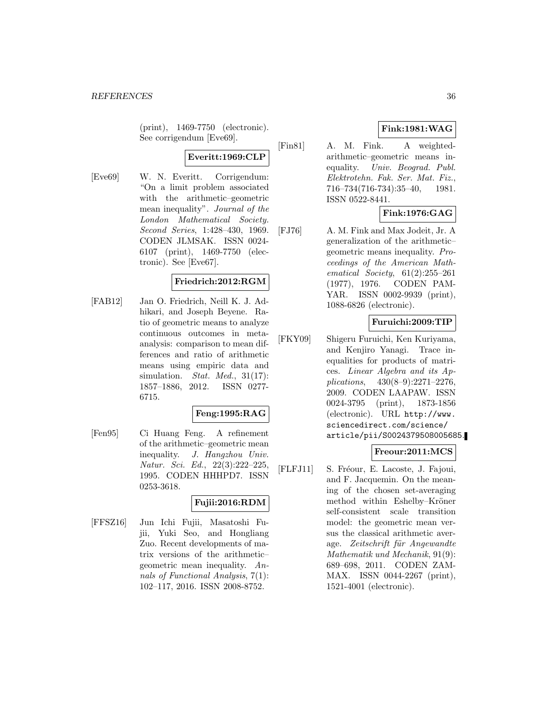(print), 1469-7750 (electronic). See corrigendum [Eve69].

# **Everitt:1969:CLP**

[Eve69] W. N. Everitt. Corrigendum: "On a limit problem associated with the arithmetic–geometric mean inequality". Journal of the London Mathematical Society. Second Series, 1:428–430, 1969. CODEN JLMSAK. ISSN 0024- 6107 (print), 1469-7750 (electronic). See [Eve67].

### **Friedrich:2012:RGM**

[FAB12] Jan O. Friedrich, Neill K. J. Adhikari, and Joseph Beyene. Ratio of geometric means to analyze continuous outcomes in metaanalysis: comparison to mean differences and ratio of arithmetic means using empiric data and simulation. *Stat. Med.*,  $31(17)$ : 1857–1886, 2012. ISSN 0277- 6715.

#### **Feng:1995:RAG**

[Fen95] Ci Huang Feng. A refinement of the arithmetic–geometric mean inequality. J. Hangzhou Univ. Natur. Sci. Ed., 22(3):222–225, 1995. CODEN HHHPD7. ISSN 0253-3618.

### **Fujii:2016:RDM**

[FFSZ16] Jun Ichi Fujii, Masatoshi Fujii, Yuki Seo, and Hongliang Zuo. Recent developments of matrix versions of the arithmetic– geometric mean inequality. Annals of Functional Analysis, 7(1): 102–117, 2016. ISSN 2008-8752.

# **Fink:1981:WAG**

[Fin81] A. M. Fink. A weightedarithmetic–geometric means inequality. Univ. Beograd. Publ. Elektrotehn. Fak. Ser. Mat. Fiz., 716–734(716-734):35–40, 1981. ISSN 0522-8441.

# **Fink:1976:GAG**

[FJ76] A. M. Fink and Max Jodeit, Jr. A generalization of the arithmetic– geometric means inequality. Proceedings of the American Mathematical Society, 61(2):255–261 (1977), 1976. CODEN PAM-YAR. ISSN 0002-9939 (print), 1088-6826 (electronic).

# **Furuichi:2009:TIP**

[FKY09] Shigeru Furuichi, Ken Kuriyama, and Kenjiro Yanagi. Trace inequalities for products of matrices. Linear Algebra and its Applications, 430(8–9):2271–2276, 2009. CODEN LAAPAW. ISSN 0024-3795 (print), 1873-1856 (electronic). URL http://www. sciencedirect.com/science/ article/pii/S0024379508005685.

# **Freour:2011:MCS**

[FLFJ11] S. Fréour, E. Lacoste, J. Fajoui, and F. Jacquemin. On the meaning of the chosen set-averaging method within Eshelby–Kröner self-consistent scale transition model: the geometric mean versus the classical arithmetic average. Zeitschrift für Angewandte Mathematik und Mechanik, 91(9): 689–698, 2011. CODEN ZAM-MAX. ISSN 0044-2267 (print), 1521-4001 (electronic).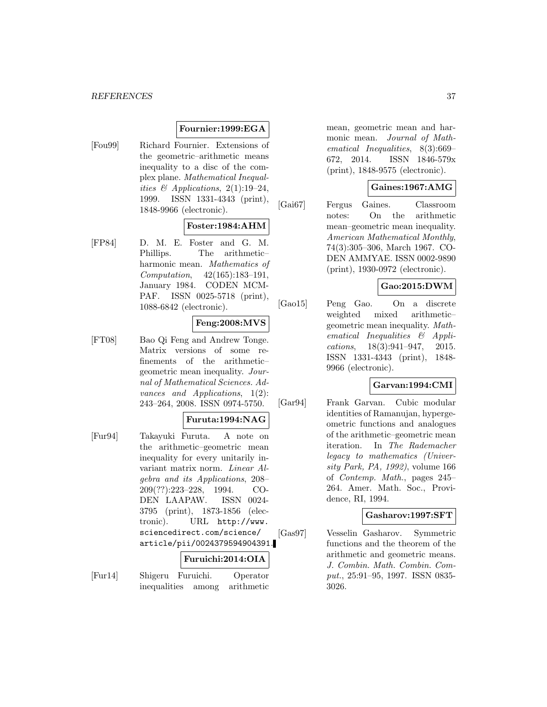### **Fournier:1999:EGA**

[Fou99] Richard Fournier. Extensions of the geometric–arithmetic means inequality to a disc of the complex plane. Mathematical Inequalities & Applications,  $2(1):19-24$ , 1999. ISSN 1331-4343 (print), 1848-9966 (electronic).

### **Foster:1984:AHM**

[FP84] D. M. E. Foster and G. M. Phillips. The arithmetic– harmonic mean. Mathematics of Computation, 42(165):183–191, January 1984. CODEN MCM-PAF. ISSN 0025-5718 (print), 1088-6842 (electronic).

# **Feng:2008:MVS**

[FT08] Bao Qi Feng and Andrew Tonge. Matrix versions of some refinements of the arithmetic– geometric mean inequality. Journal of Mathematical Sciences. Advances and Applications, 1(2): 243–264, 2008. ISSN 0974-5750.

### **Furuta:1994:NAG**

[Fur94] Takayuki Furuta. A note on the arithmetic–geometric mean inequality for every unitarily invariant matrix norm. Linear Algebra and its Applications, 208– 209(??):223–228, 1994. CO-DEN LAAPAW. ISSN 0024- 3795 (print), 1873-1856 (electronic). URL http://www. sciencedirect.com/science/ article/pii/0024379594904391.

### **Furuichi:2014:OIA**

[Fur14] Shigeru Furuichi. Operator inequalities among arithmetic

mean, geometric mean and harmonic mean. Journal of Mathematical Inequalities, 8(3):669– 672, 2014. ISSN 1846-579x (print), 1848-9575 (electronic).

### **Gaines:1967:AMG**

[Gai67] Fergus Gaines. Classroom notes: On the arithmetic mean–geometric mean inequality. American Mathematical Monthly, 74(3):305–306, March 1967. CO-DEN AMMYAE. ISSN 0002-9890 (print), 1930-0972 (electronic).

# **Gao:2015:DWM**

[Gao15] Peng Gao. On a discrete weighted mixed arithmetic– geometric mean inequality. Mathematical Inequalities & Applications, 18(3):941–947, 2015. ISSN 1331-4343 (print), 1848- 9966 (electronic).

### **Garvan:1994:CMI**

[Gar94] Frank Garvan. Cubic modular identities of Ramanujan, hypergeometric functions and analogues of the arithmetic–geometric mean iteration. In The Rademacher legacy to mathematics (University Park, PA, 1992), volume 166 of Contemp. Math., pages 245– 264. Amer. Math. Soc., Providence, RI, 1994.

### **Gasharov:1997:SFT**

[Gas97] Vesselin Gasharov. Symmetric functions and the theorem of the arithmetic and geometric means. J. Combin. Math. Combin. Comput., 25:91–95, 1997. ISSN 0835- 3026.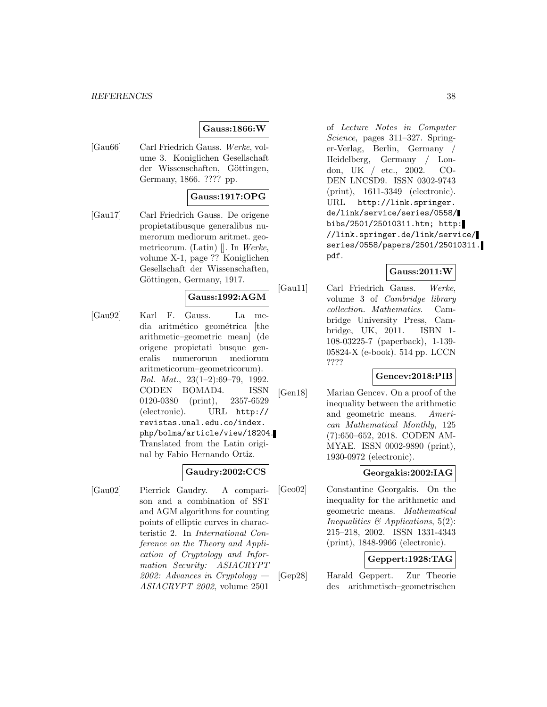# **Gauss:1866:W**

[Gau66] Carl Friedrich Gauss. Werke, volume 3. Koniglichen Gesellschaft der Wissenschaften, Göttingen, Germany, 1866. ???? pp.

# **Gauss:1917:OPG**

[Gau17] Carl Friedrich Gauss. De origene propietatibusque generalibus numerorum mediorum aritmet. geometricorum. (Latin) []. In Werke, volume X-1, page ?? Koniglichen Gesellschaft der Wissenschaften, Göttingen, Germany, 1917.

# **Gauss:1992:AGM**

[Gau92] Karl F. Gauss. La media aritmético geométrica (the arithmetic–geometric mean] (de origene propietati busque generalis numerorum mediorum aritmeticorum–geometricorum). Bol. Mat., 23(1–2):69–79, 1992. CODEN BOMAD4. ISSN 0120-0380 (print), 2357-6529 (electronic). URL http:// revistas.unal.edu.co/index. php/bolma/article/view/18204. Translated from the Latin original by Fabio Hernando Ortiz.

# **Gaudry:2002:CCS**

[Gau02] Pierrick Gaudry. A comparison and a combination of SST and AGM algorithms for counting points of elliptic curves in characteristic 2. In International Conference on the Theory and Application of Cryptology and Information Security: ASIACRYPT 2002: Advances in Cryptology — ASIACRYPT 2002, volume 2501

of Lecture Notes in Computer Science, pages 311–327. Springer-Verlag, Berlin, Germany / Heidelberg, Germany / London, UK / etc., 2002. CO-DEN LNCSD9. ISSN 0302-9743 (print), 1611-3349 (electronic). URL http://link.springer. de/link/service/series/0558/ bibs/2501/25010311.htm; http: //link.springer.de/link/service/ series/0558/papers/2501/25010311. pdf.

### **Gauss:2011:W**

[Gau11] Carl Friedrich Gauss. Werke, volume 3 of Cambridge library collection. Mathematics. Cambridge University Press, Cambridge, UK, 2011. ISBN 1- 108-03225-7 (paperback), 1-139- 05824-X (e-book). 514 pp. LCCN ????

### **Gencev:2018:PIB**

[Gen18] Marian Gencev. On a proof of the inequality between the arithmetic and geometric means. American Mathematical Monthly, 125 (7):650–652, 2018. CODEN AM-MYAE. ISSN 0002-9890 (print), 1930-0972 (electronic).

# **Georgakis:2002:IAG**

[Geo02] Constantine Georgakis. On the inequality for the arithmetic and geometric means. Mathematical Inequalities  $\mathcal B$  Applications, 5(2): 215–218, 2002. ISSN 1331-4343 (print), 1848-9966 (electronic).

# **Geppert:1928:TAG**

[Gep28] Harald Geppert. Zur Theorie des arithmetisch–geometrischen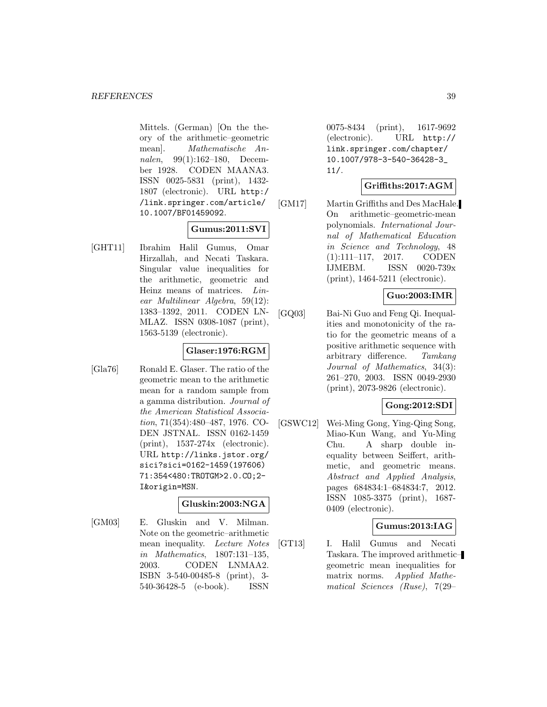Mittels. (German) [On the theory of the arithmetic–geometric mean]. Mathematische Annalen, 99(1):162–180, December 1928. CODEN MAANA3. ISSN 0025-5831 (print), 1432- 1807 (electronic). URL http:/ /link.springer.com/article/ 10.1007/BF01459092.

# **Gumus:2011:SVI**

[GHT11] Ibrahim Halil Gumus, Omar Hirzallah, and Necati Taskara. Singular value inequalities for the arithmetic, geometric and Heinz means of matrices. Linear Multilinear Algebra, 59(12): 1383–1392, 2011. CODEN LN-MLAZ. ISSN 0308-1087 (print), 1563-5139 (electronic).

# **Glaser:1976:RGM**

[Gla76] Ronald E. Glaser. The ratio of the geometric mean to the arithmetic mean for a random sample from a gamma distribution. Journal of the American Statistical Association, 71(354):480–487, 1976. CO-DEN JSTNAL. ISSN 0162-1459 (print), 1537-274x (electronic). URL http://links.jstor.org/ sici?sici=0162-1459(197606) 71:354<480:TROTGM>2.0.CO;2- I&origin=MSN.

### **Gluskin:2003:NGA**

[GM03] E. Gluskin and V. Milman. Note on the geometric–arithmetic mean inequality. Lecture Notes in Mathematics, 1807:131–135, 2003. CODEN LNMAA2. ISBN 3-540-00485-8 (print), 3- 540-36428-5 (e-book). ISSN

0075-8434 (print), 1617-9692 (electronic). URL http:// link.springer.com/chapter/ 10.1007/978-3-540-36428-3\_ 11/.

# **Griffiths:2017:AGM**

[GM17] Martin Griffiths and Des MacHale. On arithmetic–geometric-mean polynomials. International Journal of Mathematical Education in Science and Technology, 48 (1):111–117, 2017. CODEN IJMEBM. ISSN 0020-739x (print), 1464-5211 (electronic).

# **Guo:2003:IMR**

[GQ03] Bai-Ni Guo and Feng Qi. Inequalities and monotonicity of the ratio for the geometric means of a positive arithmetic sequence with arbitrary difference. Tamkang Journal of Mathematics, 34(3): 261–270, 2003. ISSN 0049-2930 (print), 2073-9826 (electronic).

# **Gong:2012:SDI**

[GSWC12] Wei-Ming Gong, Ying-Qing Song, Miao-Kun Wang, and Yu-Ming Chu. A sharp double inequality between Seiffert, arithmetic, and geometric means. Abstract and Applied Analysis, pages 684834:1–684834:7, 2012. ISSN 1085-3375 (print), 1687- 0409 (electronic).

# **Gumus:2013:IAG**

[GT13] I. Halil Gumus and Necati Taskara. The improved arithmetic– geometric mean inequalities for matrix norms. Applied Mathematical Sciences (Ruse), 7(29–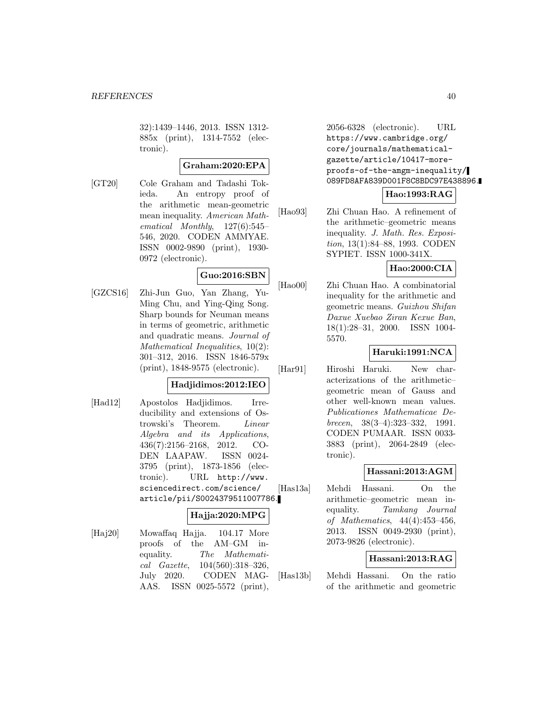32):1439–1446, 2013. ISSN 1312- 885x (print), 1314-7552 (electronic).

# **Graham:2020:EPA**

[GT20] Cole Graham and Tadashi Tokieda. An entropy proof of the arithmetic mean-geometric mean inequality. American Mathematical Monthly, 127(6):545– 546, 2020. CODEN AMMYAE. ISSN 0002-9890 (print), 1930- 0972 (electronic).

# **Guo:2016:SBN**

[GZCS16] Zhi-Jun Guo, Yan Zhang, Yu-Ming Chu, and Ying-Qing Song. Sharp bounds for Neuman means in terms of geometric, arithmetic and quadratic means. Journal of Mathematical Inequalities, 10(2): 301–312, 2016. ISSN 1846-579x (print), 1848-9575 (electronic).

# **Hadjidimos:2012:IEO**

[Had12] Apostolos Hadjidimos. Irreducibility and extensions of Ostrowski's Theorem. Linear Algebra and its Applications, 436(7):2156–2168, 2012. CO-DEN LAAPAW. ISSN 0024- 3795 (print), 1873-1856 (electronic). URL http://www. sciencedirect.com/science/ article/pii/S0024379511007786.

# **Hajja:2020:MPG**

[Haj20] Mowaffaq Hajja. 104.17 More proofs of the AM–GM inequality. The Mathematical Gazette, 104(560):318–326, July 2020. CODEN MAG-AAS. ISSN 0025-5572 (print),

2056-6328 (electronic). URL https://www.cambridge.org/ core/journals/mathematicalgazette/article/10417-moreproofs-of-the-amgm-inequality/ 089FD8AFA839D001F8C8BDC97E438896.

# **Hao:1993:RAG**

[Hao93] Zhi Chuan Hao. A refinement of the arithmetic–geometric means inequality. J. Math. Res. Exposition, 13(1):84–88, 1993. CODEN SYPIET. ISSN 1000-341X.

# **Hao:2000:CIA**

[Hao00] Zhi Chuan Hao. A combinatorial inequality for the arithmetic and geometric means. Guizhou Shifan Daxue Xuebao Ziran Kexue Ban, 18(1):28–31, 2000. ISSN 1004- 5570.

# **Haruki:1991:NCA**

[Har91] Hiroshi Haruki. New characterizations of the arithmetic– geometric mean of Gauss and other well-known mean values. Publicationes Mathematicae Debrecen, 38(3–4):323–332, 1991. CODEN PUMAAR. ISSN 0033- 3883 (print), 2064-2849 (electronic).

### **Hassani:2013:AGM**

[Has13a] Mehdi Hassani. On the arithmetic–geometric mean inequality. Tamkang Journal of Mathematics, 44(4):453–456, 2013. ISSN 0049-2930 (print), 2073-9826 (electronic).

# **Hassani:2013:RAG**

[Has13b] Mehdi Hassani. On the ratio of the arithmetic and geometric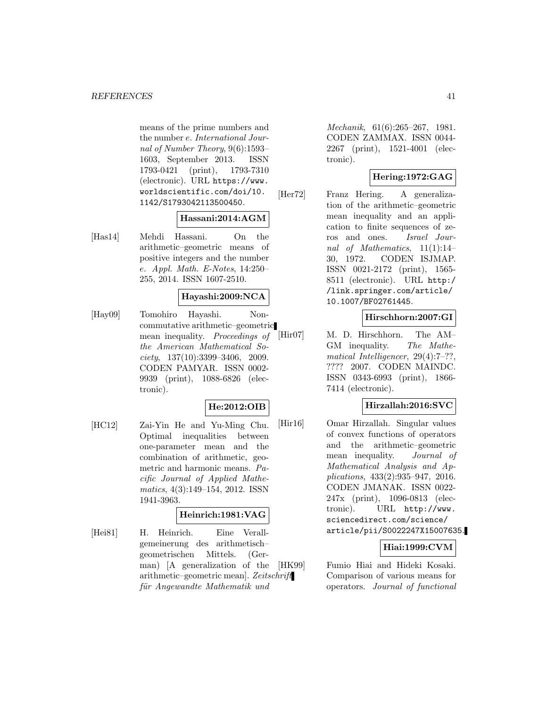means of the prime numbers and the number e. International Journal of Number Theory, 9(6):1593– 1603, September 2013. ISSN 1793-0421 (print), 1793-7310 (electronic). URL https://www. worldscientific.com/doi/10. 1142/S1793042113500450.

#### **Hassani:2014:AGM**

[Has14] Mehdi Hassani. On the arithmetic–geometric means of positive integers and the number e. Appl. Math. E-Notes, 14:250– 255, 2014. ISSN 1607-2510.

# **Hayashi:2009:NCA**

[Hay09] Tomohiro Hayashi. Noncommutative arithmetic–geometric mean inequality. Proceedings of the American Mathematical So $ciety, 137(10):3399-3406, 2009.$ CODEN PAMYAR. ISSN 0002- 9939 (print), 1088-6826 (electronic).

# **He:2012:OIB**

[HC12] Zai-Yin He and Yu-Ming Chu. Optimal inequalities between one-parameter mean and the combination of arithmetic, geometric and harmonic means. Pacific Journal of Applied Mathematics, 4(3):149–154, 2012. ISSN 1941-3963.

# **Heinrich:1981:VAG**

[Hei81] H. Heinrich. Eine Verallgemeinerung des arithmetisch– geometrischen Mittels. (German) [A generalization of the arithmetic–geometric mean]. Zeitschrift für Angewandte Mathematik und

Mechanik, 61(6):265–267, 1981. CODEN ZAMMAX. ISSN 0044- 2267 (print), 1521-4001 (electronic).

# **Hering:1972:GAG**

[Her72] Franz Hering. A generalization of the arithmetic–geometric mean inequality and an application to finite sequences of zeros and ones. Israel Journal of Mathematics, 11(1):14– 30, 1972. CODEN ISJMAP. ISSN 0021-2172 (print), 1565- 8511 (electronic). URL http:/ /link.springer.com/article/ 10.1007/BF02761445.

# **Hirschhorn:2007:GI**

[Hir07] M. D. Hirschhorn. The AM– GM inequality. The Mathematical Intelligencer, 29(4):7–??, ???? 2007. CODEN MAINDC. ISSN 0343-6993 (print), 1866- 7414 (electronic).

### **Hirzallah:2016:SVC**

[Hir16] Omar Hirzallah. Singular values of convex functions of operators and the arithmetic–geometric mean inequality. Journal of Mathematical Analysis and Applications, 433(2):935–947, 2016. CODEN JMANAK. ISSN 0022- 247x (print), 1096-0813 (electronic). URL http://www. sciencedirect.com/science/ article/pii/S0022247X15007635.

# **Hiai:1999:CVM**

[HK99] Fumio Hiai and Hideki Kosaki. Comparison of various means for operators. Journal of functional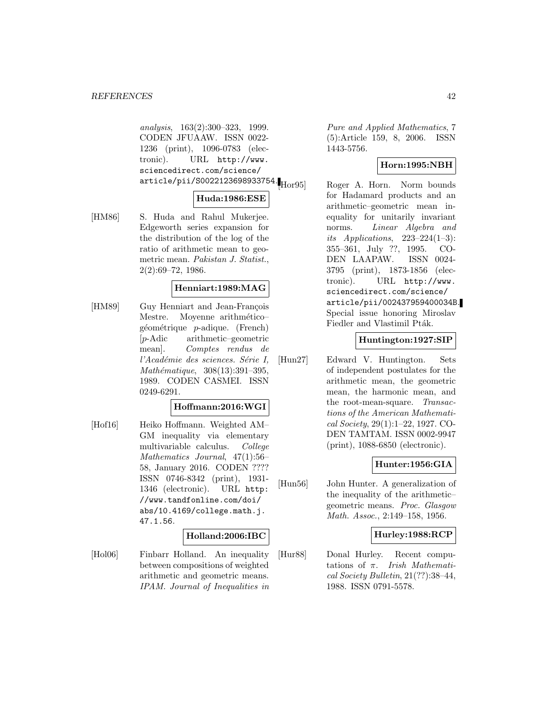analysis, 163(2):300–323, 1999. CODEN JFUAAW. ISSN 0022- 1236 (print), 1096-0783 (electronic). URL http://www. sciencedirect.com/science/ article/pii/S0022123698933754.<br>Hor95

#### **Huda:1986:ESE**

[HM86] S. Huda and Rahul Mukerjee. Edgeworth series expansion for the distribution of the log of the ratio of arithmetic mean to geometric mean. Pakistan J. Statist., 2(2):69–72, 1986.

### **Henniart:1989:MAG**

[HM89] Guy Henniart and Jean-François Mestre. Moyenne arithmético–  $géométrique$  *p*-adique. (French) [p-Adic arithmetic–geometric mean]. Comptes rendus de l'Académie des sciences. Série I,  $Mathématique, 308(13):391-395,$ 1989. CODEN CASMEI. ISSN 0249-6291.

#### **Hoffmann:2016:WGI**

[Hof16] Heiko Hoffmann. Weighted AM– GM inequality via elementary multivariable calculus. College Mathematics Journal, 47(1):56– 58, January 2016. CODEN ???? ISSN 0746-8342 (print), 1931- 1346 (electronic). URL http: //www.tandfonline.com/doi/ abs/10.4169/college.math.j. 47.1.56.

#### **Holland:2006:IBC**

[Hol06] Finbarr Holland. An inequality between compositions of weighted arithmetic and geometric means. IPAM. Journal of Inequalities in Pure and Applied Mathematics, 7 (5):Article 159, 8, 2006. ISSN 1443-5756.

# **Horn:1995:NBH**

Roger A. Horn. Norm bounds for Hadamard products and an arithmetic–geometric mean inequality for unitarily invariant norms. Linear Algebra and its Applications,  $223-224(1-3)$ : 355–361, July ??, 1995. CO-DEN LAAPAW. ISSN 0024- 3795 (print), 1873-1856 (electronic). URL http://www. sciencedirect.com/science/ article/pii/002437959400034B. Special issue honoring Miroslav Fiedler and Vlastimil Pták.

### **Huntington:1927:SIP**

[Hun27] Edward V. Huntington. Sets of independent postulates for the arithmetic mean, the geometric mean, the harmonic mean, and the root-mean-square. Transactions of the American Mathematical Society, 29(1):1–22, 1927. CO-DEN TAMTAM. ISSN 0002-9947 (print), 1088-6850 (electronic).

### **Hunter:1956:GIA**

[Hun56] John Hunter. A generalization of the inequality of the arithmetic– geometric means. Proc. Glasgow Math. Assoc., 2:149–158, 1956.

# **Hurley:1988:RCP**

[Hur88] Donal Hurley. Recent computations of  $\pi$ . Irish Mathematical Society Bulletin, 21(??):38–44, 1988. ISSN 0791-5578.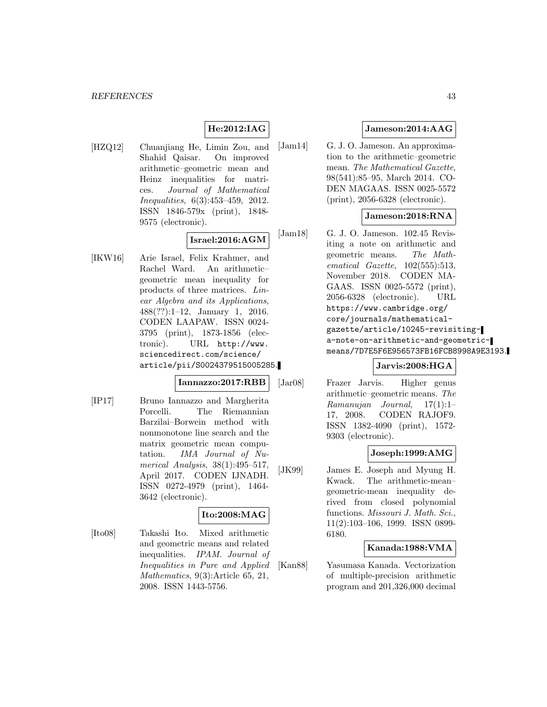# **He:2012:IAG**

[HZQ12] Chuanjiang He, Limin Zou, and Shahid Qaisar. On improved arithmetic–geometric mean and Heinz inequalities for matrices. Journal of Mathematical Inequalities, 6(3):453–459, 2012. ISSN 1846-579x (print), 1848- 9575 (electronic).

# **Israel:2016:AGM**

[IKW16] Arie Israel, Felix Krahmer, and Rachel Ward. An arithmetic– geometric mean inequality for products of three matrices. Linear Algebra and its Applications, 488(??):1–12, January 1, 2016. CODEN LAAPAW. ISSN 0024- 3795 (print), 1873-1856 (electronic). URL http://www. sciencedirect.com/science/ article/pii/S0024379515005285.

#### **Iannazzo:2017:RBB**

[IP17] Bruno Iannazzo and Margherita Porcelli. The Riemannian Barzilai–Borwein method with nonmonotone line search and the matrix geometric mean computation. IMA Journal of Numerical Analysis, 38(1):495–517, April 2017. CODEN IJNADH. ISSN 0272-4979 (print), 1464- 3642 (electronic).

# **Ito:2008:MAG**

[Ito08] Takashi Ito. Mixed arithmetic and geometric means and related inequalities. IPAM. Journal of Inequalities in Pure and Applied Mathematics, 9(3):Article 65, 21, 2008. ISSN 1443-5756.

# **Jameson:2014:AAG**

[Jam14] G. J. O. Jameson. An approximation to the arithmetic–geometric mean. The Mathematical Gazette, 98(541):85–95, March 2014. CO-DEN MAGAAS. ISSN 0025-5572 (print), 2056-6328 (electronic).

### **Jameson:2018:RNA**

[Jam18] G. J. O. Jameson. 102.45 Revisiting a note on arithmetic and geometric means. The Mathematical Gazette, 102(555):513, November 2018. CODEN MA-GAAS. ISSN 0025-5572 (print), 2056-6328 (electronic). URL https://www.cambridge.org/ core/journals/mathematicalgazette/article/10245-revisitinga-note-on-arithmetic-and-geometricmeans/7D7E5F6E956573FB16FCB8998A9E3193.

# **Jarvis:2008:HGA**

[Jar08] Frazer Jarvis. Higher genus arithmetic–geometric means. The Ramanujan Journal, 17(1):1– 17, 2008. CODEN RAJOF9. ISSN 1382-4090 (print), 1572- 9303 (electronic).

### **Joseph:1999:AMG**

[JK99] James E. Joseph and Myung H. Kwack. The arithmetic-mean– geometric-mean inequality derived from closed polynomial functions. Missouri J. Math. Sci., 11(2):103–106, 1999. ISSN 0899- 6180.

# **Kanada:1988:VMA**

[Kan88] Yasumasa Kanada. Vectorization of multiple-precision arithmetic program and 201,326,000 decimal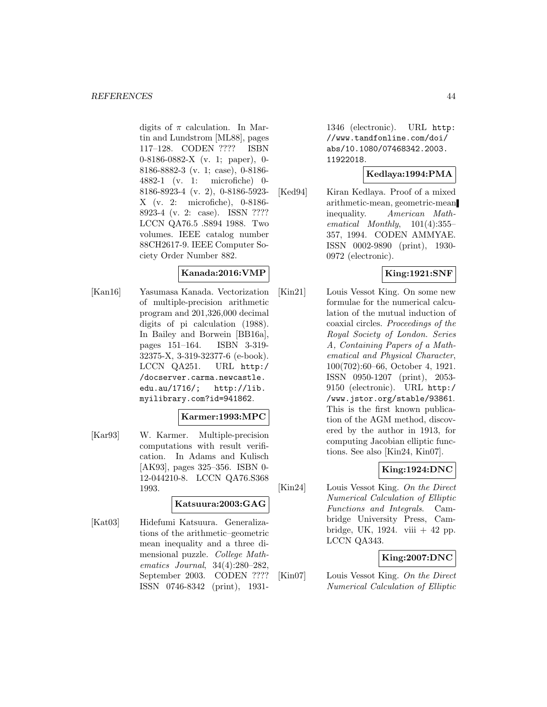digits of  $\pi$  calculation. In Martin and Lundstrom [ML88], pages 117–128. CODEN ???? ISBN 0-8186-0882-X (v. 1; paper), 0- 8186-8882-3 (v. 1; case), 0-8186- 4882-1 (v. 1: microfiche) 0- 8186-8923-4 (v. 2), 0-8186-5923- X (v. 2: microfiche), 0-8186- 8923-4 (v. 2: case). ISSN ???? LCCN QA76.5 .S894 1988. Two volumes. IEEE catalog number 88CH2617-9. IEEE Computer Society Order Number 882.

# **Kanada:2016:VMP**

[Kan16] Yasumasa Kanada. Vectorization of multiple-precision arithmetic program and 201,326,000 decimal digits of pi calculation (1988). In Bailey and Borwein [BB16a], pages 151–164. ISBN 3-319- 32375-X, 3-319-32377-6 (e-book). LCCN QA251. URL http:/ /docserver.carma.newcastle. edu.au/1716/; http://lib. myilibrary.com?id=941862.

### **Karmer:1993:MPC**

[Kar93] W. Karmer. Multiple-precision computations with result verification. In Adams and Kulisch [AK93], pages 325–356. ISBN 0- 12-044210-8. LCCN QA76.S368 1993.

#### **Katsuura:2003:GAG**

[Kat03] Hidefumi Katsuura. Generalizations of the arithmetic–geometric mean inequality and a three dimensional puzzle. College Mathematics Journal, 34(4):280–282, September 2003. CODEN ???? ISSN 0746-8342 (print), 19311346 (electronic). URL http: //www.tandfonline.com/doi/ abs/10.1080/07468342.2003. 11922018.

#### **Kedlaya:1994:PMA**

[Ked94] Kiran Kedlaya. Proof of a mixed arithmetic-mean, geometric-mean inequality. American Mathematical Monthly, 101(4):355– 357, 1994. CODEN AMMYAE. ISSN 0002-9890 (print), 1930- 0972 (electronic).

# **King:1921:SNF**

[Kin21] Louis Vessot King. On some new formulae for the numerical calculation of the mutual induction of coaxial circles. Proceedings of the Royal Society of London. Series A, Containing Papers of a Mathematical and Physical Character, 100(702):60–66, October 4, 1921. ISSN 0950-1207 (print), 2053- 9150 (electronic). URL http:/ /www.jstor.org/stable/93861. This is the first known publication of the AGM method, discovered by the author in 1913, for computing Jacobian elliptic functions. See also [Kin24, Kin07].

# **King:1924:DNC**

[Kin24] Louis Vessot King. On the Direct Numerical Calculation of Elliptic Functions and Integrals. Cambridge University Press, Cambridge, UK, 1924. viii  $+42$  pp. LCCN QA343.

# **King:2007:DNC**

[Kin07] Louis Vessot King. On the Direct Numerical Calculation of Elliptic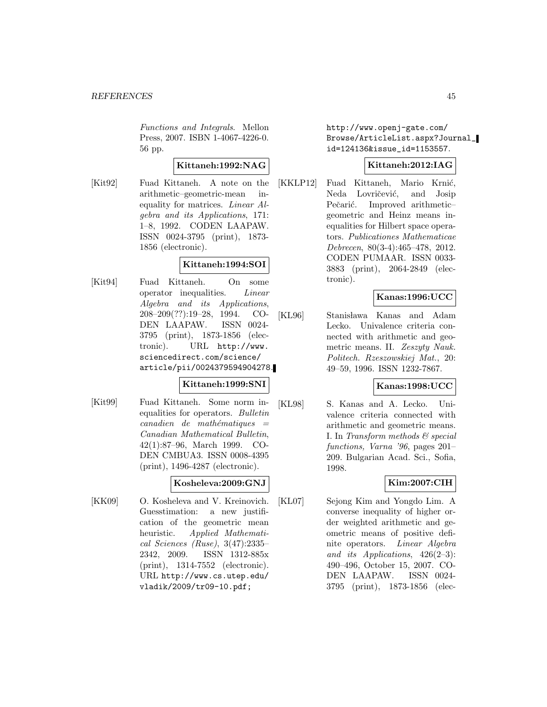Functions and Integrals. Mellon Press, 2007. ISBN 1-4067-4226-0. 56 pp.

# **Kittaneh:1992:NAG**

[Kit92] Fuad Kittaneh. A note on the arithmetic–geometric-mean inequality for matrices. Linear Algebra and its Applications, 171: 1–8, 1992. CODEN LAAPAW. ISSN 0024-3795 (print), 1873- 1856 (electronic).

### **Kittaneh:1994:SOI**

[Kit94] Fuad Kittaneh. On some operator inequalities. Linear Algebra and its Applications, 208–209(??):19–28, 1994. CO-DEN LAAPAW. ISSN 0024- 3795 (print), 1873-1856 (electronic). URL http://www. sciencedirect.com/science/ article/pii/0024379594904278.

### **Kittaneh:1999:SNI**

[Kit99] Fuad Kittaneh. Some norm inequalities for operators. Bulletin  $cana dien$  de mathématiques  $=$ Canadian Mathematical Bulletin, 42(1):87–96, March 1999. CO-DEN CMBUA3. ISSN 0008-4395 (print), 1496-4287 (electronic).

### **Kosheleva:2009:GNJ**

[KK09] O. Kosheleva and V. Kreinovich. Guesstimation: a new justification of the geometric mean heuristic. Applied Mathematical Sciences (Ruse), 3(47):2335– 2342, 2009. ISSN 1312-885x (print), 1314-7552 (electronic). URL http://www.cs.utep.edu/ vladik/2009/tr09-10.pdf;

http://www.openj-gate.com/ Browse/ArticleList.aspx?Journal\_ id=124136&issue\_id=1153557.

# **Kittaneh:2012:IAG**

[KKLP12] Fuad Kittaneh, Mario Krnić, Neda Lovričević, and Josip Pečarić. Improved arithmeticgeometric and Heinz means inequalities for Hilbert space operators. Publicationes Mathematicae Debrecen, 80(3-4):465–478, 2012. CODEN PUMAAR. ISSN 0033- 3883 (print), 2064-2849 (electronic).

# **Kanas:1996:UCC**

[KL96] Stanisława Kanas and Adam Lecko. Univalence criteria connected with arithmetic and geometric means. II. Zeszyty Nauk. Politech. Rzeszowskiej Mat., 20: 49–59, 1996. ISSN 1232-7867.

### **Kanas:1998:UCC**

[KL98] S. Kanas and A. Lecko. Univalence criteria connected with arithmetic and geometric means. I. In Transform methods  $\mathcal{C}$  special functions, Varna '96, pages 201– 209. Bulgarian Acad. Sci., Sofia, 1998.

# **Kim:2007:CIH**

[KL07] Sejong Kim and Yongdo Lim. A converse inequality of higher order weighted arithmetic and geometric means of positive definite operators. Linear Algebra and its Applications,  $426(2-3)$ : 490–496, October 15, 2007. CO-DEN LAAPAW. ISSN 0024- 3795 (print), 1873-1856 (elec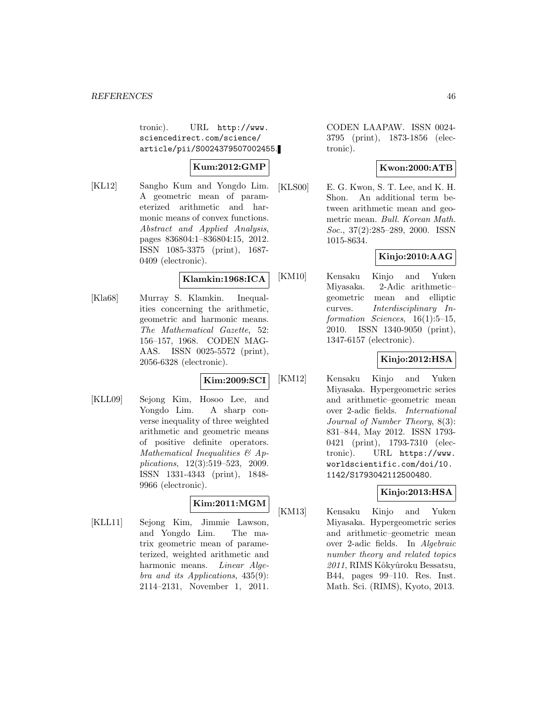tronic). URL http://www. sciencedirect.com/science/ article/pii/S0024379507002455.

# **Kum:2012:GMP**

[KL12] Sangho Kum and Yongdo Lim. A geometric mean of parameterized arithmetic and harmonic means of convex functions. Abstract and Applied Analysis, pages 836804:1–836804:15, 2012. ISSN 1085-3375 (print), 1687- 0409 (electronic).

# **Klamkin:1968:ICA**

[Kla68] Murray S. Klamkin. Inequalities concerning the arithmetic, geometric and harmonic means. The Mathematical Gazette, 52: 156–157, 1968. CODEN MAG-AAS. ISSN 0025-5572 (print), 2056-6328 (electronic).

# **Kim:2009:SCI**

[KLL09] Sejong Kim, Hosoo Lee, and Yongdo Lim. A sharp converse inequality of three weighted arithmetic and geometric means of positive definite operators. Mathematical Inequalities & Applications, 12(3):519–523, 2009. ISSN 1331-4343 (print), 1848- 9966 (electronic).

# **Kim:2011:MGM**

[KLL11] Sejong Kim, Jimmie Lawson, and Yongdo Lim. The matrix geometric mean of parameterized, weighted arithmetic and harmonic means. Linear Algebra and its Applications, 435(9): 2114–2131, November 1, 2011. CODEN LAAPAW. ISSN 0024- 3795 (print), 1873-1856 (electronic).

# **Kwon:2000:ATB**

[KLS00] E. G. Kwon, S. T. Lee, and K. H. Shon. An additional term between arithmetic mean and geometric mean. Bull. Korean Math. Soc., 37(2):285–289, 2000. ISSN 1015-8634.

# **Kinjo:2010:AAG**

[KM10] Kensaku Kinjo and Yuken Miyasaka. 2-Adic arithmetic– geometric mean and elliptic curves. Interdisciplinary Information Sciences, 16(1):5–15, 2010. ISSN 1340-9050 (print), 1347-6157 (electronic).

# **Kinjo:2012:HSA**

[KM12] Kensaku Kinjo and Yuken Miyasaka. Hypergeometric series and arithmetic–geometric mean over 2-adic fields. International Journal of Number Theory, 8(3): 831–844, May 2012. ISSN 1793- 0421 (print), 1793-7310 (electronic). URL https://www. worldscientific.com/doi/10. 1142/S1793042112500480.

# **Kinjo:2013:HSA**

[KM13] Kensaku Kinjo and Yuken Miyasaka. Hypergeometric series and arithmetic–geometric mean over 2-adic fields. In Algebraic number theory and related topics 2011, RIMS Kôkyûroku Bessatsu, B44, pages 99–110. Res. Inst. Math. Sci. (RIMS), Kyoto, 2013.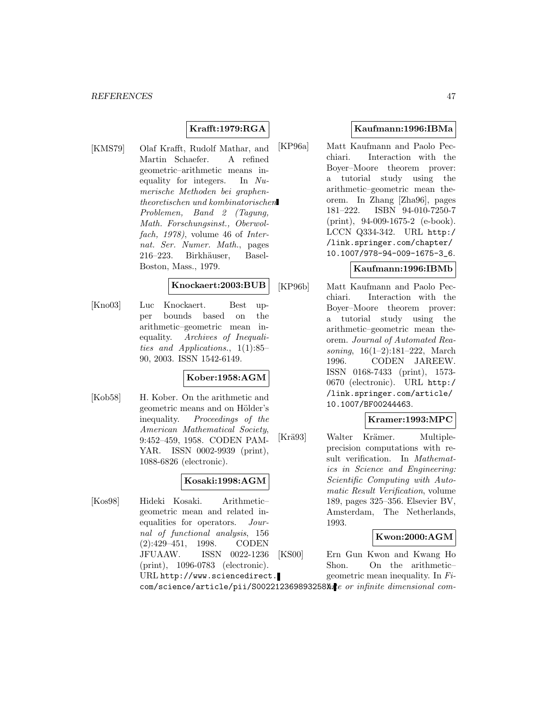# **Krafft:1979:RGA**

[KMS79] Olaf Krafft, Rudolf Mathar, and Martin Schaefer. A refined geometric–arithmetic means inequality for integers. In Numerische Methoden bei graphentheoretischen und kombinatorischen Problemen, Band 2 (Tagung, Math. Forschungsinst., Oberwolfach, 1978), volume 46 of Internat. Ser. Numer. Math., pages 216–223. Birkhäuser, Basel-Boston, Mass., 1979.

# **Knockaert:2003:BUB**

[Kno03] Luc Knockaert. Best upper bounds based on the arithmetic–geometric mean inequality. Archives of Inequalities and Applications., 1(1):85– 90, 2003. ISSN 1542-6149.

# **Kober:1958:AGM**

[Kob58] H. Kober. On the arithmetic and geometric means and on Hölder's inequality. Proceedings of the American Mathematical Society, 9:452–459, 1958. CODEN PAM-YAR. ISSN 0002-9939 (print), 1088-6826 (electronic).

# **Kosaki:1998:AGM**

[Kos98] Hideki Kosaki. Arithmetic– geometric mean and related inequalities for operators. Journal of functional analysis, 156 (2):429–451, 1998. CODEN JFUAAW. ISSN 0022-1236 (print), 1096-0783 (electronic). URL http://www.sciencedirect.

### **Kaufmann:1996:IBMa**

[KP96a] Matt Kaufmann and Paolo Pecchiari. Interaction with the Boyer–Moore theorem prover: a tutorial study using the arithmetic–geometric mean theorem. In Zhang [Zha96], pages 181–222. ISBN 94-010-7250-7 (print), 94-009-1675-2 (e-book). LCCN Q334-342. URL http:/ /link.springer.com/chapter/ 10.1007/978-94-009-1675-3\_6.

# **Kaufmann:1996:IBMb**

[KP96b] Matt Kaufmann and Paolo Pecchiari. Interaction with the Boyer–Moore theorem prover: a tutorial study using the arithmetic–geometric mean theorem. Journal of Automated Reasoning, 16(1–2):181–222, March 1996. CODEN JAREEW. ISSN 0168-7433 (print), 1573- 0670 (electronic). URL http:/ /link.springer.com/article/ 10.1007/BF00244463.

### **Kramer:1993:MPC**

[Krä93] Walter Krämer. Multipleprecision computations with result verification. In Mathematics in Science and Engineering: Scientific Computing with Automatic Result Verification, volume 189, pages 325–356. Elsevier BV, Amsterdam, The Netherlands, 1993.

#### **Kwon:2000:AGM**

[KS00] Ern Gun Kwon and Kwang Ho Shon. On the arithmetic– geometric mean inequality. In Fi-

com/science/article/pii/S002212369893258Xte or infinite dimensional com-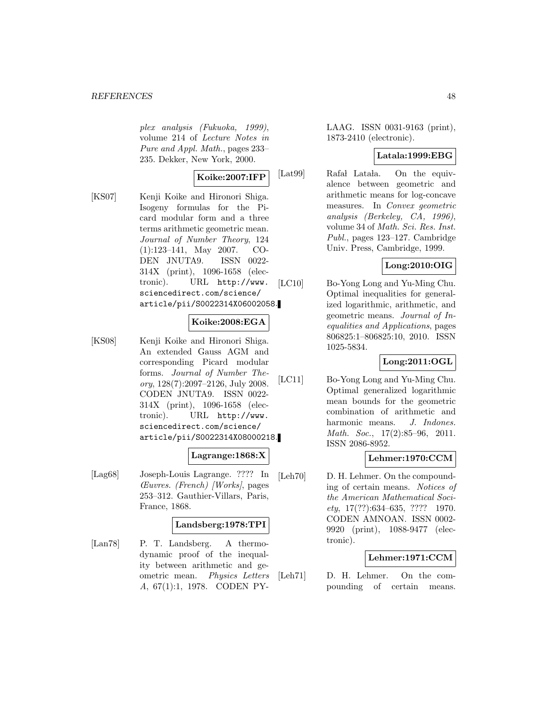plex analysis (Fukuoka, 1999), volume 214 of Lecture Notes in Pure and Appl. Math., pages 233– 235. Dekker, New York, 2000.

# **Koike:2007:IFP**

[KS07] Kenji Koike and Hironori Shiga. Isogeny formulas for the Picard modular form and a three terms arithmetic geometric mean. Journal of Number Theory, 124 (1):123–141, May 2007. CO-DEN JNUTA9. ISSN 0022- 314X (print), 1096-1658 (electronic). URL http://www. sciencedirect.com/science/ article/pii/S0022314X06002058.

# **Koike:2008:EGA**

[KS08] Kenji Koike and Hironori Shiga. An extended Gauss AGM and corresponding Picard modular forms. Journal of Number Theory, 128(7):2097–2126, July 2008. CODEN JNUTA9. ISSN 0022- 314X (print), 1096-1658 (electronic). URL http://www. sciencedirect.com/science/ article/pii/S0022314X08000218.

# **Lagrange:1868:X**

[Lag68] Joseph-Louis Lagrange. ???? In Œuvres. (French) [Works], pages 253–312. Gauthier-Villars, Paris, France, 1868.

# **Landsberg:1978:TPI**

[Lan78] P. T. Landsberg. A thermodynamic proof of the inequality between arithmetic and geometric mean. Physics Letters A, 67(1):1, 1978. CODEN PY-

LAAG. ISSN 0031-9163 (print), 1873-2410 (electronic).

# **Latala:1999:EBG**

[Lat99] Rafał Latała. On the equivalence between geometric and arithmetic means for log-concave measures. In Convex geometric analysis (Berkeley, CA, 1996), volume 34 of Math. Sci. Res. Inst. Publ., pages 123–127. Cambridge Univ. Press, Cambridge, 1999.

# **Long:2010:OIG**

[LC10] Bo-Yong Long and Yu-Ming Chu. Optimal inequalities for generalized logarithmic, arithmetic, and geometric means. Journal of Inequalities and Applications, pages 806825:1–806825:10, 2010. ISSN 1025-5834.

# **Long:2011:OGL**

[LC11] Bo-Yong Long and Yu-Ming Chu. Optimal generalized logarithmic mean bounds for the geometric combination of arithmetic and harmonic means. J. Indones. Math. Soc., 17(2):85–96, 2011. ISSN 2086-8952.

# **Lehmer:1970:CCM**

[Leh70] D. H. Lehmer. On the compounding of certain means. Notices of the American Mathematical Soci $ety, 17(??): 634–635, ???? 1970.$ CODEN AMNOAN. ISSN 0002- 9920 (print), 1088-9477 (electronic).

# **Lehmer:1971:CCM**

[Leh71] D. H. Lehmer. On the compounding of certain means.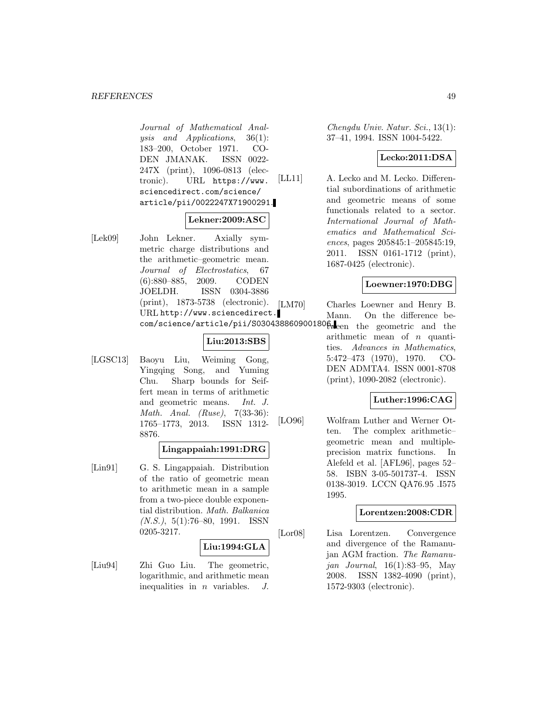Journal of Mathematical Analysis and Applications, 36(1): 183–200, October 1971. CO-DEN JMANAK. ISSN 0022- 247X (print), 1096-0813 (electronic). URL https://www. sciencedirect.com/science/ article/pii/0022247X71900291.

# **Lekner:2009:ASC**

[Lek09] John Lekner. Axially symmetric charge distributions and the arithmetic–geometric mean. Journal of Electrostatics, 67 (6):880–885, 2009. CODEN JOELDH. ISSN 0304-3886 (print), 1873-5738 (electronic). URL http://www.sciencedirect.

# **Liu:2013:SBS**

[LGSC13] Baoyu Liu, Weiming Gong, Yingqing Song, and Yuming Chu. Sharp bounds for Seiffert mean in terms of arithmetic and geometric means. Int. J. Math. Anal. (Ruse), 7(33-36): 1765–1773, 2013. ISSN 1312- 8876.

# **Lingappaiah:1991:DRG**

[Lin91] G. S. Lingappaiah. Distribution of the ratio of geometric mean to arithmetic mean in a sample from a two-piece double exponential distribution. Math. Balkanica  $(N.S.), 5(1):76-80, 1991.$  ISSN 0205-3217.

#### **Liu:1994:GLA**

[Liu94] Zhi Guo Liu. The geometric, logarithmic, and arithmetic mean inequalities in  $n$  variables.  $J$ .

Chengdu Univ. Natur. Sci., 13(1): 37–41, 1994. ISSN 1004-5422.

### **Lecko:2011:DSA**

[LL11] A. Lecko and M. Lecko. Differential subordinations of arithmetic and geometric means of some functionals related to a sector. International Journal of Mathematics and Mathematical Sciences, pages 205845:1–205845:19, 2011. ISSN 0161-1712 (print), 1687-0425 (electronic).

# **Loewner:1970:DBG**

[LM70] Charles Loewner and Henry B.

com/science/article/pii/S0304388609001806ween the geometric and the Mann. On the difference bearithmetic mean of  $n$  quantities. Advances in Mathematics, 5:472–473 (1970), 1970. CO-DEN ADMTA4. ISSN 0001-8708 (print), 1090-2082 (electronic).

# **Luther:1996:CAG**

[LO96] Wolfram Luther and Werner Otten. The complex arithmetic– geometric mean and multipleprecision matrix functions. In Alefeld et al. [AFL96], pages 52– 58. ISBN 3-05-501737-4. ISSN 0138-3019. LCCN QA76.95 .I575 1995.

### **Lorentzen:2008:CDR**

[Lor08] Lisa Lorentzen. Convergence and divergence of the Ramanujan AGM fraction. The Ramanujan Journal, 16(1):83–95, May 2008. ISSN 1382-4090 (print), 1572-9303 (electronic).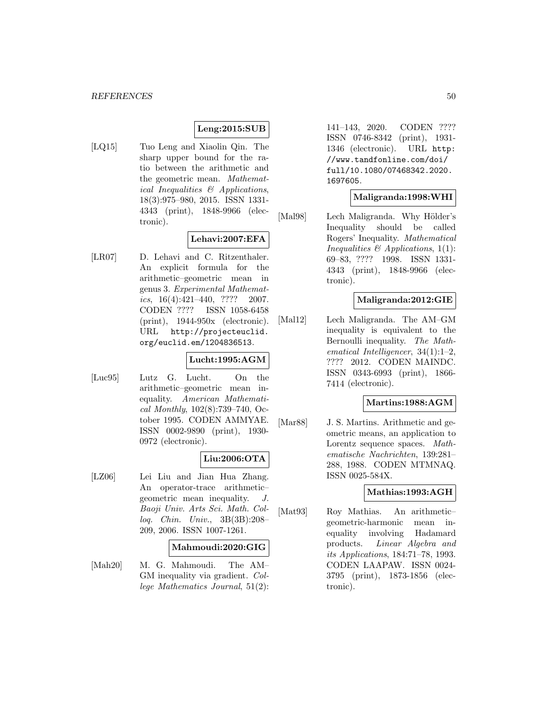# **Leng:2015:SUB**

[LQ15] Tuo Leng and Xiaolin Qin. The sharp upper bound for the ratio between the arithmetic and the geometric mean. Mathematical Inequalities & Applications, 18(3):975–980, 2015. ISSN 1331- 4343 (print), 1848-9966 (electronic).

# **Lehavi:2007:EFA**

[LR07] D. Lehavi and C. Ritzenthaler. An explicit formula for the arithmetic–geometric mean in genus 3. Experimental Mathematics,  $16(4):421-440$ , ???? 2007. CODEN ???? ISSN 1058-6458 (print), 1944-950x (electronic). URL http://projecteuclid. org/euclid.em/1204836513.

### **Lucht:1995:AGM**

[Luc95] Lutz G. Lucht. On the arithmetic–geometric mean inequality. American Mathematical Monthly,  $102(8)$ :739–740, October 1995. CODEN AMMYAE. ISSN 0002-9890 (print), 1930- 0972 (electronic).

# **Liu:2006:OTA**

[LZ06] Lei Liu and Jian Hua Zhang. An operator-trace arithmetic– geometric mean inequality. J. Baoji Univ. Arts Sci. Math. Colloq. Chin. Univ., 3B(3B):208– 209, 2006. ISSN 1007-1261.

### **Mahmoudi:2020:GIG**

[Mah20] M. G. Mahmoudi. The AM– GM inequality via gradient. College Mathematics Journal, 51(2): 141–143, 2020. CODEN ???? ISSN 0746-8342 (print), 1931- 1346 (electronic). URL http: //www.tandfonline.com/doi/ full/10.1080/07468342.2020. 1697605.

### **Maligranda:1998:WHI**

[Mal98] Lech Maligranda. Why Hölder's Inequality should be called Rogers' Inequality. Mathematical Inequalities  $\mathcal{B}$  Applications, 1(1): 69–83, ???? 1998. ISSN 1331- 4343 (print), 1848-9966 (electronic).

# **Maligranda:2012:GIE**

[Mal12] Lech Maligranda. The AM–GM inequality is equivalent to the Bernoulli inequality. The Mathematical Intelligencer, 34(1):1–2, ???? 2012. CODEN MAINDC. ISSN 0343-6993 (print), 1866- 7414 (electronic).

#### **Martins:1988:AGM**

[Mar88] J. S. Martins. Arithmetic and geometric means, an application to Lorentz sequence spaces. Mathematische Nachrichten, 139:281– 288, 1988. CODEN MTMNAQ. ISSN 0025-584X.

### **Mathias:1993:AGH**

[Mat93] Roy Mathias. An arithmetic– geometric-harmonic mean inequality involving Hadamard products. Linear Algebra and its Applications, 184:71–78, 1993. CODEN LAAPAW. ISSN 0024- 3795 (print), 1873-1856 (electronic).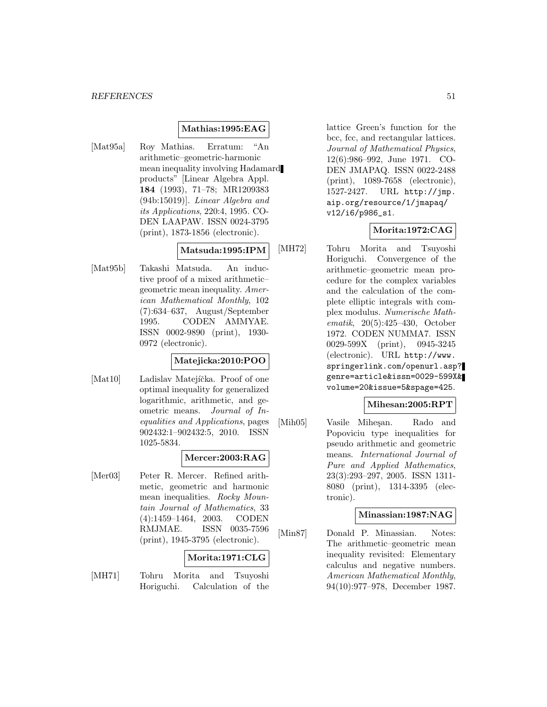### **Mathias:1995:EAG**

[Mat95a] Roy Mathias. Erratum: "An arithmetic–geometric-harmonic mean inequality involving Hadamard products" [Linear Algebra Appl. **184** (1993), 71–78; MR1209383 (94b:15019)]. Linear Algebra and its Applications, 220:4, 1995. CO-DEN LAAPAW. ISSN 0024-3795 (print), 1873-1856 (electronic).

# **Matsuda:1995:IPM**

[Mat95b] Takashi Matsuda. An inductive proof of a mixed arithmetic– geometric mean inequality. American Mathematical Monthly, 102 (7):634–637, August/September 1995. CODEN AMMYAE. ISSN 0002-9890 (print), 1930- 0972 (electronic).

# **Matejicka:2010:POO**

[Mat10] Ladislav Matejíčka. Proof of one optimal inequality for generalized logarithmic, arithmetic, and geometric means. Journal of Inequalities and Applications, pages 902432:1–902432:5, 2010. ISSN 1025-5834.

### **Mercer:2003:RAG**

[Mer03] Peter R. Mercer. Refined arithmetic, geometric and harmonic mean inequalities. Rocky Mountain Journal of Mathematics, 33 (4):1459–1464, 2003. CODEN RMJMAE. ISSN 0035-7596 (print), 1945-3795 (electronic).

### **Morita:1971:CLG**

[MH71] Tohru Morita and Tsuyoshi Horiguchi. Calculation of the lattice Green's function for the bcc, fcc, and rectangular lattices. Journal of Mathematical Physics, 12(6):986–992, June 1971. CO-DEN JMAPAQ. ISSN 0022-2488 (print), 1089-7658 (electronic), 1527-2427. URL http://jmp. aip.org/resource/1/jmapaq/ v12/i6/p986\_s1.

### **Morita:1972:CAG**

[MH72] Tohru Morita and Tsuyoshi Horiguchi. Convergence of the arithmetic–geometric mean procedure for the complex variables and the calculation of the complete elliptic integrals with complex modulus. Numerische Mathematik, 20(5):425–430, October 1972. CODEN NUMMA7. ISSN 0029-599X (print), 0945-3245 (electronic). URL http://www. springerlink.com/openurl.asp? genre=article&issn=0029-599X& volume=20&issue=5&spage=425.

#### **Mihesan:2005:RPT**

[Mih05] Vasile Miheşan. Rado and Popoviciu type inequalities for pseudo arithmetic and geometric means. International Journal of Pure and Applied Mathematics, 23(3):293–297, 2005. ISSN 1311- 8080 (print), 1314-3395 (electronic).

### **Minassian:1987:NAG**

[Min87] Donald P. Minassian. Notes: The arithmetic–geometric mean inequality revisited: Elementary calculus and negative numbers. American Mathematical Monthly, 94(10):977–978, December 1987.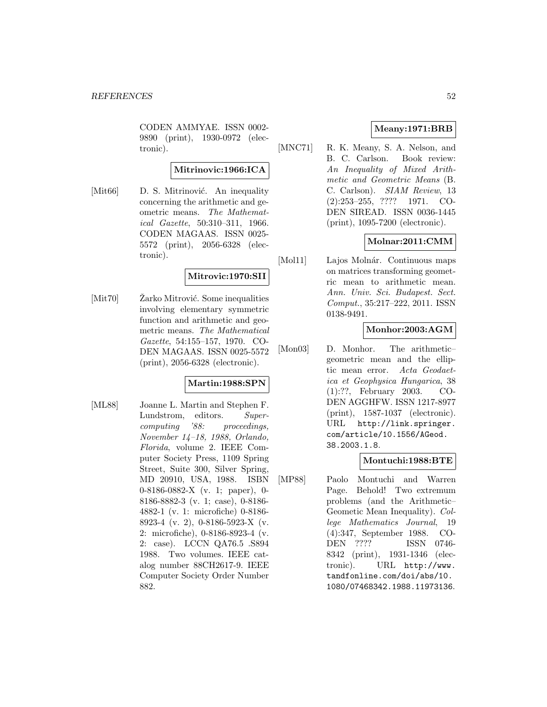CODEN AMMYAE. ISSN 0002- 9890 (print), 1930-0972 (electronic).

# **Mitrinovic:1966:ICA**

[Mit66] D. S. Mitrinović. An inequality concerning the arithmetic and geometric means. The Mathematical Gazette, 50:310–311, 1966. CODEN MAGAAS. ISSN 0025- 5572 (print), 2056-6328 (electronic).

# **Mitrovic:1970:SII**

 $[Mit70]$   $\check{Z}$ arko Mitrović. Some inequalities involving elementary symmetric function and arithmetic and geometric means. The Mathematical Gazette, 54:155–157, 1970. CO-DEN MAGAAS. ISSN 0025-5572 (print), 2056-6328 (electronic).

# **Martin:1988:SPN**

[ML88] Joanne L. Martin and Stephen F. Lundstrom, editors. Supercomputing '88: proceedings, November 14–18, 1988, Orlando, Florida, volume 2. IEEE Computer Society Press, 1109 Spring Street, Suite 300, Silver Spring, MD 20910, USA, 1988. ISBN 0-8186-0882-X (v. 1; paper), 0- 8186-8882-3 (v. 1; case), 0-8186- 4882-1 (v. 1: microfiche) 0-8186- 8923-4 (v. 2), 0-8186-5923-X (v. 2: microfiche), 0-8186-8923-4 (v. 2: case). LCCN QA76.5 .S894 1988. Two volumes. IEEE catalog number 88CH2617-9. IEEE Computer Society Order Number 882.

# **Meany:1971:BRB**

[MNC71] R. K. Meany, S. A. Nelson, and B. C. Carlson. Book review: An Inequality of Mixed Arithmetic and Geometric Means (B. C. Carlson). SIAM Review, 13 (2):253–255, ???? 1971. CO-DEN SIREAD. ISSN 0036-1445 (print), 1095-7200 (electronic).

# **Molnar:2011:CMM**

[Mol11] Lajos Molnár. Continuous maps on matrices transforming geometric mean to arithmetic mean. Ann. Univ. Sci. Budapest. Sect. Comput., 35:217–222, 2011. ISSN 0138-9491.

# **Monhor:2003:AGM**

[Mon03] D. Monhor. The arithmetic– geometric mean and the elliptic mean error. Acta Geodaetica et Geophysica Hungarica, 38 (1):??, February 2003. CO-DEN AGGHFW. ISSN 1217-8977 (print), 1587-1037 (electronic). URL http://link.springer. com/article/10.1556/AGeod. 38.2003.1.8.

### **Montuchi:1988:BTE**

[MP88] Paolo Montuchi and Warren Page. Behold! Two extremum problems (and the Arithmetic– Geometic Mean Inequality). College Mathematics Journal, 19 (4):347, September 1988. CO-DEN ???? ISSN 0746- 8342 (print), 1931-1346 (electronic). URL http://www. tandfonline.com/doi/abs/10. 1080/07468342.1988.11973136.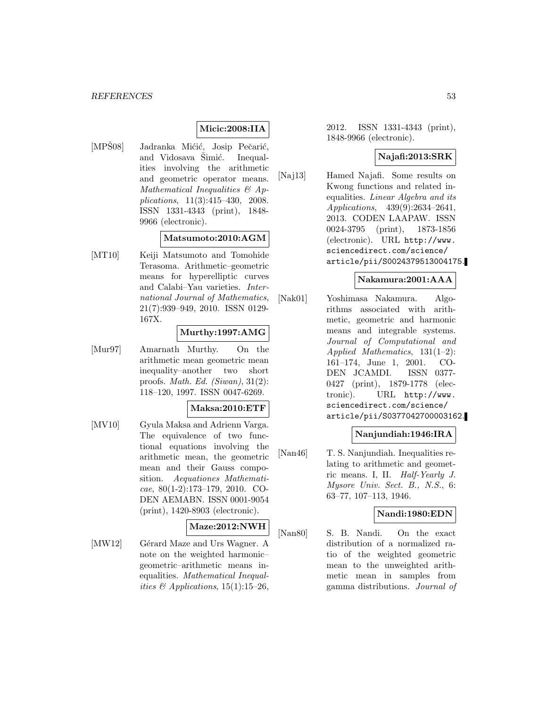# **Micic:2008:IIA**

[MPŠ08] Jadranka Mićić, Josip Pečarić, and Vidosava Simić. Inequalities involving the arithmetic and geometric operator means. Mathematical Inequalities & Applications, 11(3):415–430, 2008. ISSN 1331-4343 (print), 1848- 9966 (electronic).

# **Matsumoto:2010:AGM**

[MT10] Keiji Matsumoto and Tomohide Terasoma. Arithmetic–geometric means for hyperelliptic curves and Calabi–Yau varieties. International Journal of Mathematics, 21(7):939–949, 2010. ISSN 0129- 167X.

### **Murthy:1997:AMG**

[Mur97] Amarnath Murthy. On the arithmetic mean geometric mean inequality–another two short proofs. Math. Ed. (Siwan), 31(2): 118–120, 1997. ISSN 0047-6269.

### **Maksa:2010:ETF**

[MV10] Gyula Maksa and Adrienn Varga. The equivalence of two functional equations involving the arithmetic mean, the geometric mean and their Gauss composition. Aequationes Mathematicae, 80(1-2):173–179, 2010. CO-DEN AEMABN. ISSN 0001-9054 (print), 1420-8903 (electronic).

# **Maze:2012:NWH**

[MW12] Gérard Maze and Urs Wagner. A note on the weighted harmonic– geometric–arithmetic means inequalities. Mathematical Inequalities  $\mathcal{B}$  Applications, 15(1):15–26,

2012. ISSN 1331-4343 (print), 1848-9966 (electronic).

# **Najafi:2013:SRK**

[Naj13] Hamed Najafi. Some results on Kwong functions and related inequalities. Linear Algebra and its Applications, 439(9):2634–2641, 2013. CODEN LAAPAW. ISSN 0024-3795 (print), 1873-1856 (electronic). URL http://www. sciencedirect.com/science/ article/pii/S0024379513004175.

### **Nakamura:2001:AAA**

[Nak01] Yoshimasa Nakamura. Algorithms associated with arithmetic, geometric and harmonic means and integrable systems. Journal of Computational and Applied Mathematics, 131(1–2): 161–174, June 1, 2001. CO-DEN JCAMDI. ISSN 0377- 0427 (print), 1879-1778 (electronic). URL http://www. sciencedirect.com/science/ article/pii/S0377042700003162.

# **Nanjundiah:1946:IRA**

[Nan46] T. S. Nanjundiah. Inequalities relating to arithmetic and geometric means. I, II. Half-Yearly J. Mysore Univ. Sect. B., N.S., 6: 63–77, 107–113, 1946.

#### **Nandi:1980:EDN**

[Nan80] S. B. Nandi. On the exact distribution of a normalized ratio of the weighted geometric mean to the unweighted arithmetic mean in samples from gamma distributions. Journal of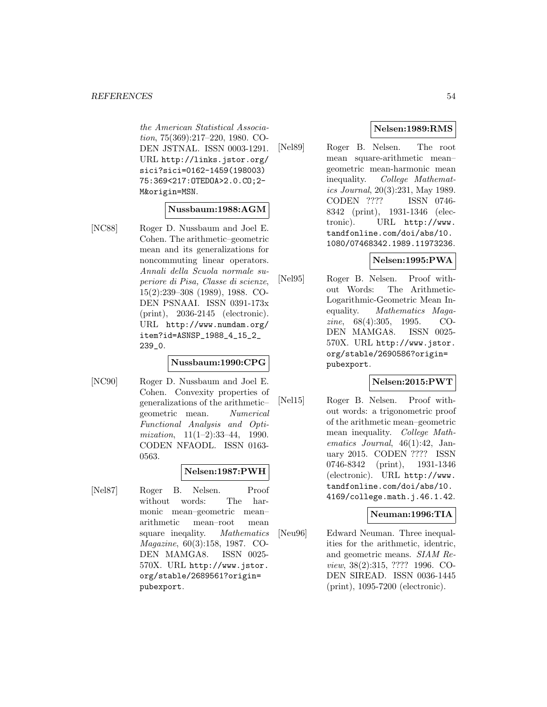the American Statistical Association, 75(369):217–220, 1980. CO-DEN JSTNAL. ISSN 0003-1291. URL http://links.jstor.org/ sici?sici=0162-1459(198003) 75:369<217:OTEDOA>2.0.CO;2- M&origin=MSN.

### **Nussbaum:1988:AGM**

[NC88] Roger D. Nussbaum and Joel E. Cohen. The arithmetic–geometric mean and its generalizations for noncommuting linear operators. Annali della Scuola normale superiore di Pisa, Classe di scienze, 15(2):239–308 (1989), 1988. CO-DEN PSNAAI. ISSN 0391-173x (print), 2036-2145 (electronic). URL http://www.numdam.org/ item?id=ASNSP\_1988\_4\_15\_2\_ 239\_0.

#### **Nussbaum:1990:CPG**

[NC90] Roger D. Nussbaum and Joel E. Cohen. Convexity properties of generalizations of the arithmetic– geometric mean. Numerical Functional Analysis and Optimization, 11(1–2):33–44, 1990. CODEN NFAODL. ISSN 0163- 0563.

### **Nelsen:1987:PWH**

[Nel87] Roger B. Nelsen. Proof without words: The harmonic mean–geometric mean– arithmetic mean–root mean square ineqality. Mathematics Magazine, 60(3):158, 1987. CO-DEN MAMGA8. ISSN 0025- 570X. URL http://www.jstor. org/stable/2689561?origin= pubexport.

# **Nelsen:1989:RMS**

[Nel89] Roger B. Nelsen. The root mean square-arithmetic mean– geometric mean-harmonic mean inequality. College Mathematics Journal, 20(3):231, May 1989. CODEN ???? ISSN 0746- 8342 (print), 1931-1346 (electronic). URL http://www. tandfonline.com/doi/abs/10. 1080/07468342.1989.11973236.

### **Nelsen:1995:PWA**

[Nel95] Roger B. Nelsen. Proof without Words: The Arithmetic-Logarithmic-Geometric Mean Inequality. Mathematics Magazine, 68(4):305, 1995. CO-DEN MAMGA8. ISSN 0025- 570X. URL http://www.jstor. org/stable/2690586?origin= pubexport.

# **Nelsen:2015:PWT**

[Nel15] Roger B. Nelsen. Proof without words: a trigonometric proof of the arithmetic mean–geometric mean inequality. College Mathematics Journal, 46(1):42, January 2015. CODEN ???? ISSN 0746-8342 (print), 1931-1346 (electronic). URL http://www. tandfonline.com/doi/abs/10. 4169/college.math.j.46.1.42.

### **Neuman:1996:TIA**

[Neu96] Edward Neuman. Three inequalities for the arithmetic, identric, and geometric means. SIAM Review, 38(2):315, ???? 1996. CO-DEN SIREAD. ISSN 0036-1445 (print), 1095-7200 (electronic).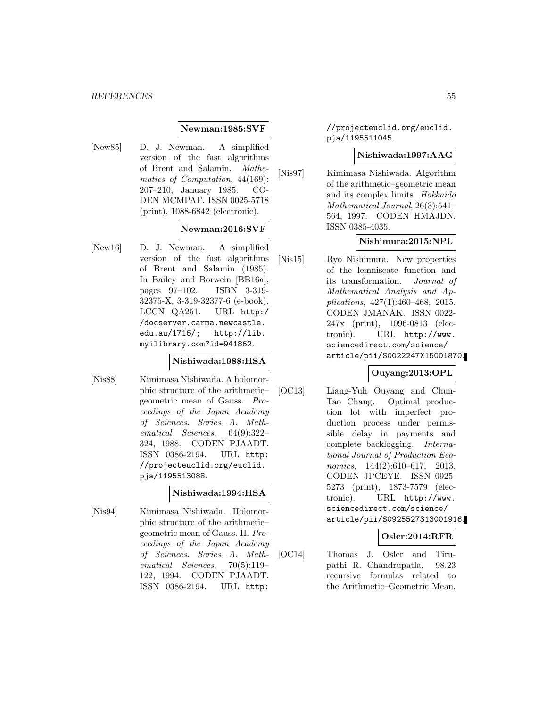### **Newman:1985:SVF**

[New85] D. J. Newman. A simplified version of the fast algorithms of Brent and Salamin. Mathematics of Computation, 44(169): 207–210, January 1985. CO-DEN MCMPAF. ISSN 0025-5718 (print), 1088-6842 (electronic).

### **Newman:2016:SVF**

[New16] D. J. Newman. A simplified version of the fast algorithms of Brent and Salamin (1985). In Bailey and Borwein [BB16a], pages 97–102. ISBN 3-319- 32375-X, 3-319-32377-6 (e-book). LCCN QA251. URL http:/ /docserver.carma.newcastle. edu.au/1716/; http://lib. myilibrary.com?id=941862.

# **Nishiwada:1988:HSA**

[Nis88] Kimimasa Nishiwada. A holomorphic structure of the arithmetic– geometric mean of Gauss. Proceedings of the Japan Academy of Sciences. Series A. Mathematical Sciences, 64(9):322– 324, 1988. CODEN PJAADT. ISSN 0386-2194. URL http: //projecteuclid.org/euclid. pja/1195513088.

### **Nishiwada:1994:HSA**

[Nis94] Kimimasa Nishiwada. Holomorphic structure of the arithmetic– geometric mean of Gauss. II. Proceedings of the Japan Academy of Sciences. Series A. Mathematical Sciences, 70(5):119– 122, 1994. CODEN PJAADT. ISSN 0386-2194. URL http:

//projecteuclid.org/euclid. pja/1195511045.

### **Nishiwada:1997:AAG**

[Nis97] Kimimasa Nishiwada. Algorithm of the arithmetic–geometric mean and its complex limits. Hokkaido Mathematical Journal, 26(3):541– 564, 1997. CODEN HMAJDN. ISSN 0385-4035.

#### **Nishimura:2015:NPL**

[Nis15] Ryo Nishimura. New properties of the lemniscate function and its transformation. Journal of Mathematical Analysis and Applications, 427(1):460–468, 2015. CODEN JMANAK. ISSN 0022- 247x (print), 1096-0813 (electronic). URL http://www. sciencedirect.com/science/ article/pii/S0022247X15001870.

# **Ouyang:2013:OPL**

[OC13] Liang-Yuh Ouyang and Chun-Tao Chang. Optimal production lot with imperfect production process under permissible delay in payments and complete backlogging. International Journal of Production Economics, 144(2):610–617, 2013. CODEN JPCEYE. ISSN 0925- 5273 (print), 1873-7579 (electronic). URL http://www. sciencedirect.com/science/ article/pii/S0925527313001916.

### **Osler:2014:RFR**

[OC14] Thomas J. Osler and Tirupathi R. Chandrupatla. 98.23 recursive formulas related to the Arithmetic–Geometric Mean.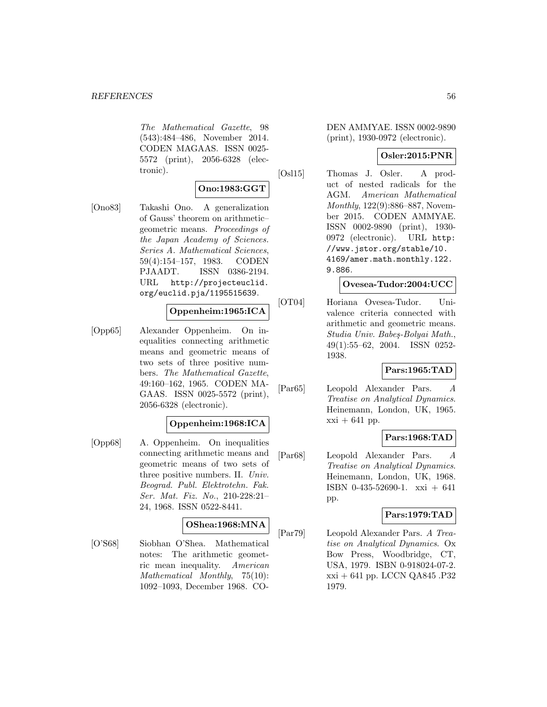The Mathematical Gazette, 98 (543):484–486, November 2014. CODEN MAGAAS. ISSN 0025- 5572 (print), 2056-6328 (electronic).

### **Ono:1983:GGT**

[Ono83] Takashi Ono. A generalization of Gauss' theorem on arithmetic– geometric means. Proceedings of the Japan Academy of Sciences. Series A. Mathematical Sciences, 59(4):154–157, 1983. CODEN PJAADT. ISSN 0386-2194. URL http://projecteuclid. org/euclid.pja/1195515639.

# **Oppenheim:1965:ICA**

[Opp65] Alexander Oppenheim. On inequalities connecting arithmetic means and geometric means of two sets of three positive numbers. The Mathematical Gazette, 49:160–162, 1965. CODEN MA-GAAS. ISSN 0025-5572 (print), 2056-6328 (electronic).

### **Oppenheim:1968:ICA**

[Opp68] A. Oppenheim. On inequalities connecting arithmetic means and geometric means of two sets of three positive numbers. II. Univ. Beograd. Publ. Elektrotehn. Fak. Ser. Mat. Fiz. No., 210-228:21– 24, 1968. ISSN 0522-8441.

### **OShea:1968:MNA**

[O'S68] Siobhan O'Shea. Mathematical notes: The arithmetic geometric mean inequality. American Mathematical Monthly, 75(10): 1092–1093, December 1968. CO-

DEN AMMYAE. ISSN 0002-9890 (print), 1930-0972 (electronic).

### **Osler:2015:PNR**

[Osl15] Thomas J. Osler. A product of nested radicals for the AGM. American Mathematical Monthly, 122(9):886–887, November 2015. CODEN AMMYAE. ISSN 0002-9890 (print), 1930- 0972 (electronic). URL http: //www.jstor.org/stable/10. 4169/amer.math.monthly.122. 9.886.

#### **Ovesea-Tudor:2004:UCC**

[OT04] Horiana Ovesea-Tudor. Univalence criteria connected with arithmetic and geometric means. Studia Univ. Babeş-Bolyai Math., 49(1):55–62, 2004. ISSN 0252- 1938.

### **Pars:1965:TAD**

[Par65] Leopold Alexander Pars. A Treatise on Analytical Dynamics. Heinemann, London, UK, 1965.  $xxi + 641$  pp.

### **Pars:1968:TAD**

[Par68] Leopold Alexander Pars. A Treatise on Analytical Dynamics. Heinemann, London, UK, 1968. ISBN 0-435-52690-1. xxi + 641 pp.

### **Pars:1979:TAD**

[Par79] Leopold Alexander Pars. A Treatise on Analytical Dynamics. Ox Bow Press, Woodbridge, CT, USA, 1979. ISBN 0-918024-07-2. xxi + 641 pp. LCCN QA845 .P32 1979.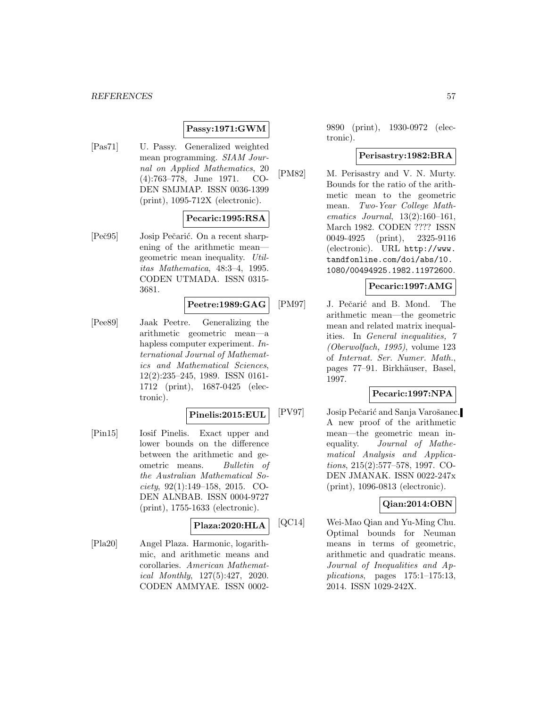#### *REFERENCES* 57

# **Passy:1971:GWM**

[Pas71] U. Passy. Generalized weighted mean programming. SIAM Journal on Applied Mathematics, 20 (4):763–778, June 1971. CO-DEN SMJMAP. ISSN 0036-1399 (print), 1095-712X (electronic).

### **Pecaric:1995:RSA**

[Peč95] Josip Pečarić. On a recent sharpening of the arithmetic mean geometric mean inequality. Utilitas Mathematica, 48:3–4, 1995. CODEN UTMADA. ISSN 0315- 3681.

### **Peetre:1989:GAG**

[Pee89] Jaak Peetre. Generalizing the arithmetic geometric mean—a hapless computer experiment. International Journal of Mathematics and Mathematical Sciences, 12(2):235–245, 1989. ISSN 0161- 1712 (print), 1687-0425 (electronic).

#### **Pinelis:2015:EUL**

[Pin15] Iosif Pinelis. Exact upper and lower bounds on the difference between the arithmetic and geometric means. Bulletin of the Australian Mathematical Society, 92(1):149–158, 2015. CO-DEN ALNBAB. ISSN 0004-9727 (print), 1755-1633 (electronic).

# **Plaza:2020:HLA**

[Pla20] Angel Plaza. Harmonic, logarithmic, and arithmetic means and corollaries. American Mathematical Monthly, 127(5):427, 2020. CODEN AMMYAE. ISSN 0002-

9890 (print), 1930-0972 (electronic).

### **Perisastry:1982:BRA**

[PM82] M. Perisastry and V. N. Murty. Bounds for the ratio of the arithmetic mean to the geometric mean. Two-Year College Mathematics Journal, 13(2):160–161, March 1982. CODEN ???? ISSN 0049-4925 (print), 2325-9116 (electronic). URL http://www. tandfonline.com/doi/abs/10. 1080/00494925.1982.11972600.

### **Pecaric:1997:AMG**

[PM97] J. Pečarić and B. Mond. The arithmetic mean—the geometric mean and related matrix inequalities. In General inequalities, 7 (Oberwolfach, 1995), volume 123 of Internat. Ser. Numer. Math., pages 77–91. Birkhäuser, Basel, 1997.

# **Pecaric:1997:NPA**

[PV97] Josip Pečarić and Sanja Varošanec. A new proof of the arithmetic mean—the geometric mean inequality. Journal of Mathematical Analysis and Applications, 215(2):577–578, 1997. CO-DEN JMANAK. ISSN 0022-247x (print), 1096-0813 (electronic).

# **Qian:2014:OBN**

[QC14] Wei-Mao Qian and Yu-Ming Chu. Optimal bounds for Neuman means in terms of geometric, arithmetic and quadratic means. Journal of Inequalities and Applications, pages 175:1–175:13, 2014. ISSN 1029-242X.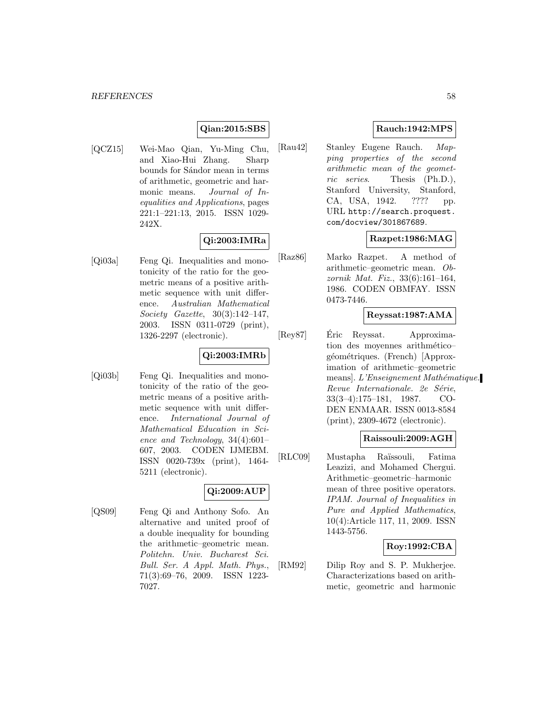### **Qian:2015:SBS**

[QCZ15] Wei-Mao Qian, Yu-Ming Chu, and Xiao-Hui Zhang. Sharp bounds for Sándor mean in terms of arithmetic, geometric and harmonic means. Journal of Inequalities and Applications, pages 221:1–221:13, 2015. ISSN 1029- 242X.

# **Qi:2003:IMRa**

[Qi03a] Feng Qi. Inequalities and monotonicity of the ratio for the geometric means of a positive arithmetic sequence with unit difference. Australian Mathematical Society Gazette, 30(3):142–147, 2003. ISSN 0311-0729 (print), 1326-2297 (electronic).

# **Qi:2003:IMRb**

[Qi03b] Feng Qi. Inequalities and monotonicity of the ratio of the geometric means of a positive arithmetic sequence with unit difference. International Journal of Mathematical Education in Science and Technology, 34(4):601– 607, 2003. CODEN IJMEBM. ISSN 0020-739x (print), 1464- 5211 (electronic).

# **Qi:2009:AUP**

[QS09] Feng Qi and Anthony Sofo. An alternative and united proof of a double inequality for bounding the arithmetic–geometric mean. Politehn. Univ. Bucharest Sci. Bull. Ser. A Appl. Math. Phys., 71(3):69–76, 2009. ISSN 1223- 7027.

# **Rauch:1942:MPS**

[Rau42] Stanley Eugene Rauch. Mapping properties of the second arithmetic mean of the geometric series. Thesis (Ph.D.), Stanford University, Stanford, CA, USA, 1942. ???? pp. URL http://search.proquest. com/docview/301867689.

# **Razpet:1986:MAG**

[Raz86] Marko Razpet. A method of arithmetic–geometric mean. Obzornik Mat. Fiz., 33(6):161–164, 1986. CODEN OBMFAY. ISSN 0473-7446.

### **Reyssat:1987:AMA**

[Rey87] Eric Reyssat. Approximation des moyennes arithmético– géométriques. (French) [Approximation of arithmetic–geometric means]. L'Enseignement Mathématique. Revue Internationale. 2e Série, 33(3–4):175–181, 1987. CO-DEN ENMAAR. ISSN 0013-8584 (print), 2309-4672 (electronic).

#### **Raissouli:2009:AGH**

[RLC09] Mustapha Ra¨ıssouli, Fatima Leazizi, and Mohamed Chergui. Arithmetic–geometric–harmonic mean of three positive operators. IPAM. Journal of Inequalities in Pure and Applied Mathematics, 10(4):Article 117, 11, 2009. ISSN 1443-5756.

### **Roy:1992:CBA**

[RM92] Dilip Roy and S. P. Mukherjee. Characterizations based on arithmetic, geometric and harmonic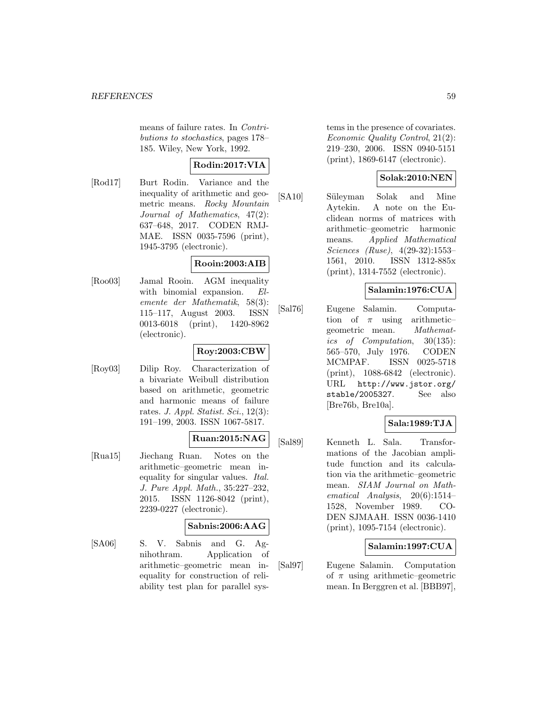means of failure rates. In Contributions to stochastics, pages 178– 185. Wiley, New York, 1992.

# **Rodin:2017:VIA**

[Rod17] Burt Rodin. Variance and the inequality of arithmetic and geometric means. Rocky Mountain Journal of Mathematics, 47(2): 637–648, 2017. CODEN RMJ-MAE. ISSN 0035-7596 (print), 1945-3795 (electronic).

### **Rooin:2003:AIB**

[Roo03] Jamal Rooin. AGM inequality with binomial expansion. Elemente der Mathematik, 58(3): 115–117, August 2003. ISSN 0013-6018 (print), 1420-8962 (electronic).

# **Roy:2003:CBW**

[Roy03] Dilip Roy. Characterization of a bivariate Weibull distribution based on arithmetic, geometric and harmonic means of failure rates. J. Appl. Statist. Sci.,  $12(3)$ : 191–199, 2003. ISSN 1067-5817.

### **Ruan:2015:NAG**

[Rua15] Jiechang Ruan. Notes on the arithmetic–geometric mean inequality for singular values. Ital. J. Pure Appl. Math., 35:227–232, 2015. ISSN 1126-8042 (print), 2239-0227 (electronic).

# **Sabnis:2006:AAG**

[SA06] S. V. Sabnis and G. Agnihothram. Application of arithmetic–geometric mean inequality for construction of reliability test plan for parallel systems in the presence of covariates. Economic Quality Control, 21(2): 219–230, 2006. ISSN 0940-5151 (print), 1869-6147 (electronic).

# **Solak:2010:NEN**

[SA10] Süleyman Solak and Mine Aytekin. A note on the Euclidean norms of matrices with arithmetic–geometric harmonic means. Applied Mathematical Sciences (Ruse), 4(29-32):1553– 1561, 2010. ISSN 1312-885x (print), 1314-7552 (electronic).

# **Salamin:1976:CUA**

[Sal76] Eugene Salamin. Computation of  $\pi$  using arithmeticgeometric mean. Mathematics of Computation, 30(135): 565–570, July 1976. CODEN MCMPAF. ISSN 0025-5718 (print), 1088-6842 (electronic). URL http://www.jstor.org/ stable/2005327. See also [Bre76b, Bre10a].

### **Sala:1989:TJA**

[Sal89] Kenneth L. Sala. Transformations of the Jacobian amplitude function and its calculation via the arithmetic–geometric mean. SIAM Journal on Mathematical Analysis, 20(6):1514– 1528, November 1989. CO-DEN SJMAAH. ISSN 0036-1410 (print), 1095-7154 (electronic).

### **Salamin:1997:CUA**

[Sal97] Eugene Salamin. Computation of  $\pi$  using arithmetic–geometric mean. In Berggren et al. [BBB97],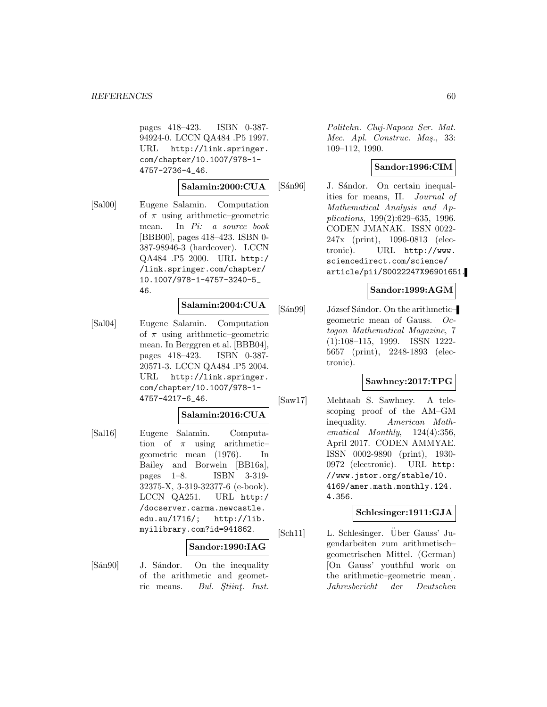pages 418–423. ISBN 0-387- 94924-0. LCCN QA484 .P5 1997. URL http://link.springer. com/chapter/10.1007/978-1- 4757-2736-4\_46.

#### **Salamin:2000:CUA**

[Sal00] Eugene Salamin. Computation of  $\pi$  using arithmetic–geometric mean. In Pi: a source book [BBB00], pages 418–423. ISBN 0- 387-98946-3 (hardcover). LCCN QA484 .P5 2000. URL http:/ /link.springer.com/chapter/ 10.1007/978-1-4757-3240-5\_ 46.

#### **Salamin:2004:CUA**

[Sal04] Eugene Salamin. Computation of  $\pi$  using arithmetic–geometric mean. In Berggren et al. [BBB04], pages 418–423. ISBN 0-387- 20571-3. LCCN QA484 .P5 2004. URL http://link.springer. com/chapter/10.1007/978-1- 4757-4217-6\_46.

# **Salamin:2016:CUA**

[Sal16] Eugene Salamin. Computation of  $\pi$  using arithmeticgeometric mean (1976). In Bailey and Borwein [BB16a], pages 1–8. ISBN 3-319- 32375-X, 3-319-32377-6 (e-book). LCCN QA251. URL http:/ /docserver.carma.newcastle. edu.au/1716/; http://lib. myilibrary.com?id=941862.

#### **Sandor:1990:IAG**

[Sán90] J. Sándor. On the inequality of the arithmetic and geometric means. *Bul. Stiint. Inst.* 

Politehn. Cluj-Napoca Ser. Mat. Mec. Apl. Construc. Mas., 33: 109–112, 1990.

# **Sandor:1996:CIM**

[Sán96] J. Sándor. On certain inequalities for means, II. Journal of Mathematical Analysis and Applications, 199(2):629–635, 1996. CODEN JMANAK. ISSN 0022- 247x (print), 1096-0813 (electronic). URL http://www. sciencedirect.com/science/ article/pii/S0022247X96901651.

# **Sandor:1999:AGM**

[Sán99] József Sándor. On the arithmetic– geometric mean of Gauss. Octogon Mathematical Magazine, 7 (1):108–115, 1999. ISSN 1222- 5657 (print), 2248-1893 (electronic).

### **Sawhney:2017:TPG**

[Saw17] Mehtaab S. Sawhney. A telescoping proof of the AM–GM inequality. American Mathematical Monthly, 124(4):356, April 2017. CODEN AMMYAE. ISSN 0002-9890 (print), 1930- 0972 (electronic). URL http: //www.jstor.org/stable/10. 4169/amer.math.monthly.124. 4.356.

### **Schlesinger:1911:GJA**

[Sch11] L. Schlesinger. Über Gauss' Jugendarbeiten zum arithmetisch– geometrischen Mittel. (German) [On Gauss' youthful work on the arithmetic–geometric mean]. Jahresbericht der Deutschen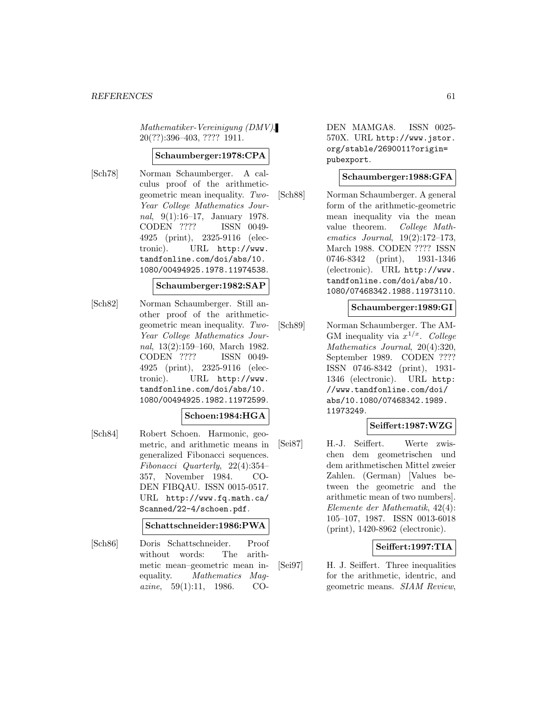Mathematiker-Vereinigung (DMV), 20(??):396–403, ???? 1911.

# **Schaumberger:1978:CPA**

[Sch78] Norman Schaumberger. A calculus proof of the arithmeticgeometric mean inequality. Two-Year College Mathematics Journal, 9(1):16–17, January 1978. CODEN ???? ISSN 0049- 4925 (print), 2325-9116 (electronic). URL http://www. tandfonline.com/doi/abs/10. 1080/00494925.1978.11974538.

#### **Schaumberger:1982:SAP**

[Sch82] Norman Schaumberger. Still another proof of the arithmeticgeometric mean inequality. Two-Year College Mathematics Journal, 13(2):159–160, March 1982. CODEN ???? ISSN 0049- 4925 (print), 2325-9116 (electronic). URL http://www. tandfonline.com/doi/abs/10. 1080/00494925.1982.11972599.

### **Schoen:1984:HGA**

[Sch84] Robert Schoen. Harmonic, geometric, and arithmetic means in generalized Fibonacci sequences. Fibonacci Quarterly, 22(4):354– 357, November 1984. CO-DEN FIBQAU. ISSN 0015-0517. URL http://www.fq.math.ca/ Scanned/22-4/schoen.pdf.

### **Schattschneider:1986:PWA**

[Sch86] Doris Schattschneider. Proof without words: The arithmetic mean–geometric mean inequality. Mathematics Mag*azine*,  $59(1):11$ , 1986. CO-

DEN MAMGA8. ISSN 0025- 570X. URL http://www.jstor. org/stable/2690011?origin= pubexport.

### **Schaumberger:1988:GFA**

[Sch88] Norman Schaumberger. A general form of the arithmetic-geometric mean inequality via the mean value theorem. College Mathematics Journal, 19(2):172–173, March 1988. CODEN ???? ISSN 0746-8342 (print), 1931-1346 (electronic). URL http://www. tandfonline.com/doi/abs/10. 1080/07468342.1988.11973110.

### **Schaumberger:1989:GI**

[Sch89] Norman Schaumberger. The AM-GM inequality via  $x^{1/x}$ . College Mathematics Journal, 20(4):320, September 1989. CODEN ???? ISSN 0746-8342 (print), 1931- 1346 (electronic). URL http: //www.tandfonline.com/doi/ abs/10.1080/07468342.1989. 11973249.

### **Seiffert:1987:WZG**

[Sei87] H.-J. Seiffert. Werte zwischen dem geometrischen und dem arithmetischen Mittel zweier Zahlen. (German) [Values between the geometric and the arithmetic mean of two numbers]. Elemente der Mathematik, 42(4): 105–107, 1987. ISSN 0013-6018 (print), 1420-8962 (electronic).

### **Seiffert:1997:TIA**

[Sei97] H. J. Seiffert. Three inequalities for the arithmetic, identric, and geometric means. SIAM Review,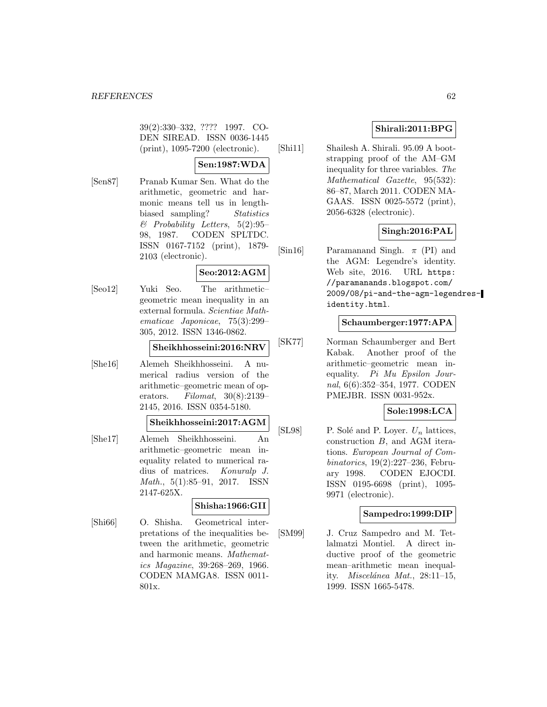39(2):330–332, ???? 1997. CO-DEN SIREAD. ISSN 0036-1445 (print), 1095-7200 (electronic).

# **Sen:1987:WDA**

[Sen87] Pranab Kumar Sen. What do the arithmetic, geometric and harmonic means tell us in lengthbiased sampling? Statistics  $\&$  Probability Letters, 5(2):95– 98, 1987. CODEN SPLTDC. ISSN 0167-7152 (print), 1879- 2103 (electronic).

# **Seo:2012:AGM**

[Seo12] Yuki Seo. The arithmetic– geometric mean inequality in an external formula. Scientiae Mathematicae Japonicae, 75(3):299– 305, 2012. ISSN 1346-0862.

# **Sheikhhosseini:2016:NRV**

[She16] Alemeh Sheikhhosseini. A numerical radius version of the arithmetic–geometric mean of operators. Filomat, 30(8):2139– 2145, 2016. ISSN 0354-5180.

#### **Sheikhhosseini:2017:AGM**

[She17] Alemeh Sheikhhosseini. An arithmetic–geometric mean inequality related to numerical radius of matrices. Konuralp J. Math., 5(1):85–91, 2017. ISSN 2147-625X.

### **Shisha:1966:GII**

[Shi66] O. Shisha. Geometrical interpretations of the inequalities between the arithmetic, geometric and harmonic means. Mathematics Magazine, 39:268–269, 1966. CODEN MAMGA8. ISSN 0011- 801x.

# **Shirali:2011:BPG**

[Shi11] Shailesh A. Shirali. 95.09 A bootstrapping proof of the AM–GM inequality for three variables. The Mathematical Gazette, 95(532): 86–87, March 2011. CODEN MA-GAAS. ISSN 0025-5572 (print), 2056-6328 (electronic).

# **Singh:2016:PAL**

[Sin16] Paramanand Singh.  $\pi$  (PI) and the AGM: Legendre's identity. Web site, 2016. URL https: //paramanands.blogspot.com/ 2009/08/pi-and-the-agm-legendresidentity.html.

# **Schaumberger:1977:APA**

[SK77] Norman Schaumberger and Bert Kabak. Another proof of the arithmetic–geometric mean inequality. Pi Mu Epsilon Journal, 6(6):352–354, 1977. CODEN PMEJBR. ISSN 0031-952x.

# **Sole:1998:LCA**

[SL98] P. Solé and P. Loyer.  $U_n$  lattices, construction B, and AGM iterations. European Journal of Combinatorics, 19(2):227–236, February 1998. CODEN EJOCDI. ISSN 0195-6698 (print), 1095- 9971 (electronic).

### **Sampedro:1999:DIP**

[SM99] J. Cruz Sampedro and M. Tetlalmatzi Montiel. A direct inductive proof of the geometric mean–arithmetic mean inequality. *Miscelánea Mat.*,  $28:11-15$ , 1999. ISSN 1665-5478.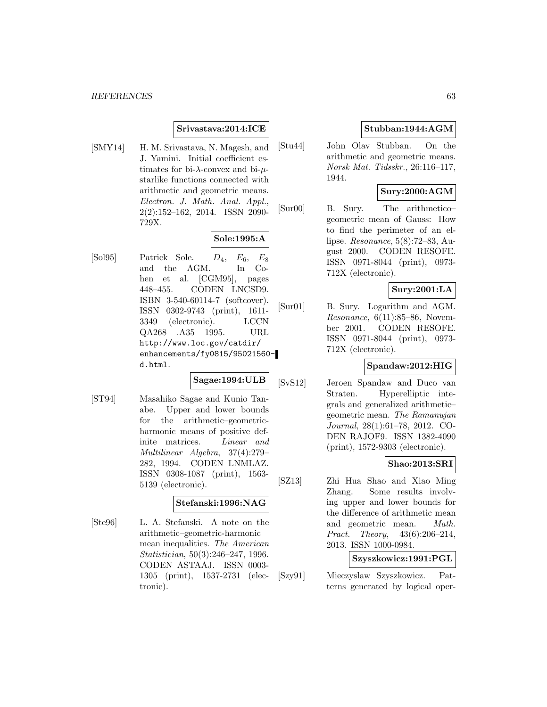# **Srivastava:2014:ICE**

[SMY14] H. M. Srivastava, N. Magesh, and J. Yamini. Initial coefficient estimates for bi- $\lambda$ -convex and bi- $\mu$ starlike functions connected with arithmetic and geometric means. Electron. J. Math. Anal. Appl., 2(2):152–162, 2014. ISSN 2090- 729X.

# **Sole:1995:A**

 $[Sol95]$  Patrick Sole.  $D_4$ ,  $E_6$ ,  $E_8$ and the AGM. In Cohen et al. [CGM95], pages 448–455. CODEN LNCSD9. ISBN 3-540-60114-7 (softcover). ISSN 0302-9743 (print), 1611- 3349 (electronic). LCCN QA268 .A35 1995. URL http://www.loc.gov/catdir/ enhancements/fy0815/95021560 d.html.

# **Sagae:1994:ULB**

[ST94] Masahiko Sagae and Kunio Tanabe. Upper and lower bounds for the arithmetic–geometricharmonic means of positive definite matrices. Linear and Multilinear Algebra, 37(4):279– 282, 1994. CODEN LNMLAZ. ISSN 0308-1087 (print), 1563- 5139 (electronic).

#### **Stefanski:1996:NAG**

[Ste96] L. A. Stefanski. A note on the arithmetic–geometric-harmonic mean inequalities. The American Statistician, 50(3):246–247, 1996. CODEN ASTAAJ. ISSN 0003- 1305 (print), 1537-2731 (electronic).

# **Stubban:1944:AGM**

[Stu44] John Olav Stubban. On the arithmetic and geometric means. Norsk Mat. Tidsskr., 26:116–117, 1944.

# **Sury:2000:AGM**

[Sur00] B. Sury. The arithmetico– geometric mean of Gauss: How to find the perimeter of an ellipse. Resonance, 5(8):72–83, August 2000. CODEN RESOFE. ISSN 0971-8044 (print), 0973- 712X (electronic).

### **Sury:2001:LA**

[Sur01] B. Sury. Logarithm and AGM. *Resonance*,  $6(11):85-86$ , November 2001. CODEN RESOFE. ISSN 0971-8044 (print), 0973- 712X (electronic).

### **Spandaw:2012:HIG**

[SvS12] Jeroen Spandaw and Duco van Straten. Hyperelliptic integrals and generalized arithmetic– geometric mean. The Ramanujan Journal, 28(1):61–78, 2012. CO-DEN RAJOF9. ISSN 1382-4090 (print), 1572-9303 (electronic).

### **Shao:2013:SRI**

[SZ13] Zhi Hua Shao and Xiao Ming Zhang. Some results involving upper and lower bounds for the difference of arithmetic mean and geometric mean. Math. Pract. Theory, 43(6):206–214, 2013. ISSN 1000-0984.

# **Szyszkowicz:1991:PGL**

[Szy91] Mieczyslaw Szyszkowicz. Patterns generated by logical oper-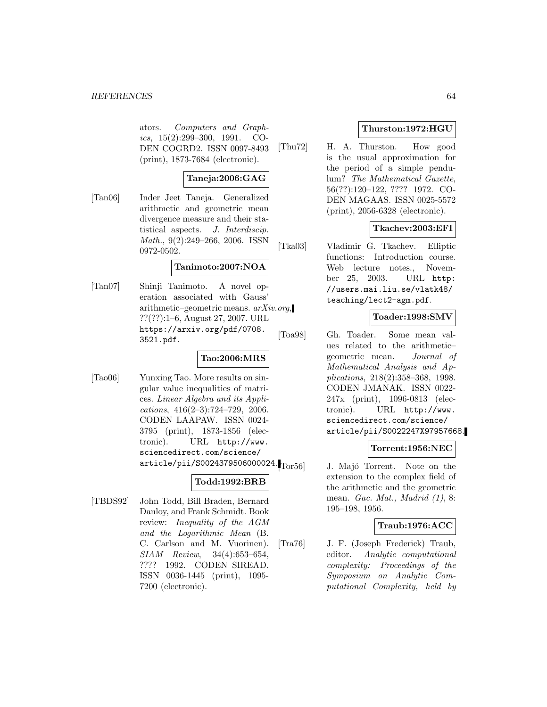ators. Computers and Graphics, 15(2):299–300, 1991. CO-DEN COGRD2. ISSN 0097-8493 (print), 1873-7684 (electronic).

# **Taneja:2006:GAG**

[Tan06] Inder Jeet Taneja. Generalized arithmetic and geometric mean divergence measure and their statistical aspects. J. Interdiscip. Math., 9(2):249–266, 2006. ISSN 0972-0502.

#### **Tanimoto:2007:NOA**

[Tan07] Shinji Tanimoto. A novel operation associated with Gauss' arithmetic–geometric means. arXiv.org, ??(??):1–6, August 27, 2007. URL https://arxiv.org/pdf/0708. 3521.pdf.

# **Tao:2006:MRS**

[Tao06] Yunxing Tao. More results on singular value inequalities of matrices. Linear Algebra and its Appli $cations, 416(2-3):724-729, 2006.$ CODEN LAAPAW. ISSN 0024- 3795 (print), 1873-1856 (electronic). URL http://www. sciencedirect.com/science/ article/pii/S0024379506000024. Tor56

# **Todd:1992:BRB**

[TBDS92] John Todd, Bill Braden, Bernard Danloy, and Frank Schmidt. Book review: Inequality of the AGM and the Logarithmic Mean (B. C. Carlson and M. Vuorinen). SIAM Review, 34(4):653–654, ???? 1992. CODEN SIREAD. ISSN 0036-1445 (print), 1095- 7200 (electronic).

# **Thurston:1972:HGU**

[Thu72] H. A. Thurston. How good is the usual approximation for the period of a simple pendulum? The Mathematical Gazette, 56(??):120–122, ???? 1972. CO-DEN MAGAAS. ISSN 0025-5572 (print), 2056-6328 (electronic).

# **Tkachev:2003:EFI**

[Tka03] Vladimir G. Tkachev. Elliptic functions: Introduction course. Web lecture notes., November 25, 2003. URL http: //users.mai.liu.se/vlatk48/ teaching/lect2-agm.pdf.

# **Toader:1998:SMV**

[Toa98] Gh. Toader. Some mean values related to the arithmetic– geometric mean. Journal of Mathematical Analysis and Applications, 218(2):358–368, 1998. CODEN JMANAK. ISSN 0022- 247x (print), 1096-0813 (electronic). URL http://www. sciencedirect.com/science/ article/pii/S0022247X97957668.

# **Torrent:1956:NEC**

J. Majó Torrent. Note on the extension to the complex field of the arithmetic and the geometric mean. Gac. Mat., Madrid (1), 8: 195–198, 1956.

### **Traub:1976:ACC**

[Tra76] J. F. (Joseph Frederick) Traub, editor. Analytic computational complexity: Proceedings of the Symposium on Analytic Computational Complexity, held by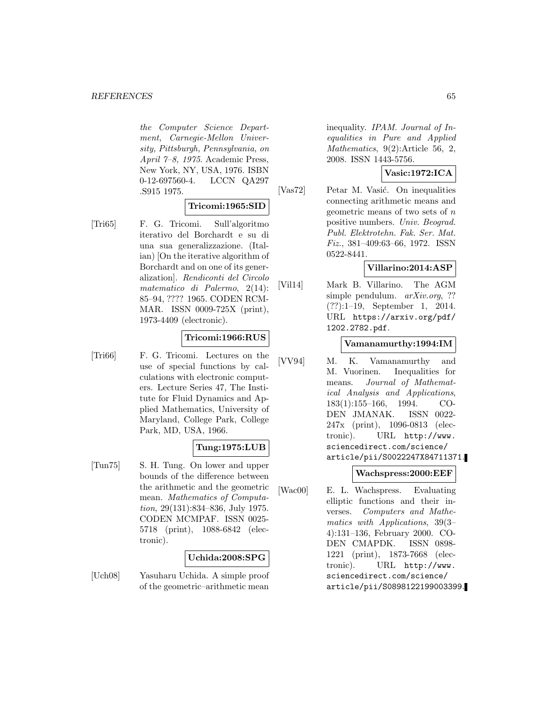the Computer Science Department, Carnegie-Mellon University, Pittsburgh, Pennsylvania, on April 7–8, 1975. Academic Press, New York, NY, USA, 1976. ISBN 0-12-697560-4. LCCN QA297 .S915 1975.

### **Tricomi:1965:SID**

[Tri65] F. G. Tricomi. Sull'algoritmo iterativo del Borchardt e su di una sua generalizzazione. (Italian) [On the iterative algorithm of Borchardt and on one of its generalization]. Rendiconti del Circolo matematico di Palermo, 2(14): 85–94, ???? 1965. CODEN RCM-MAR. ISSN 0009-725X (print), 1973-4409 (electronic).

# **Tricomi:1966:RUS**

[Tri66] F. G. Tricomi. Lectures on the use of special functions by calculations with electronic computers. Lecture Series 47, The Institute for Fluid Dynamics and Applied Mathematics, University of Maryland, College Park, College Park, MD, USA, 1966.

# **Tung:1975:LUB**

[Tun75] S. H. Tung. On lower and upper bounds of the difference between the arithmetic and the geometric mean. Mathematics of Computation, 29(131):834–836, July 1975. CODEN MCMPAF. ISSN 0025- 5718 (print), 1088-6842 (electronic).

# **Uchida:2008:SPG**

[Uch08] Yasuharu Uchida. A simple proof of the geometric–arithmetic mean

inequality. IPAM. Journal of Inequalities in Pure and Applied Mathematics, 9(2):Article 56, 2, 2008. ISSN 1443-5756.

# **Vasic:1972:ICA**

[Vas72] Petar M. Vasić. On inequalities connecting arithmetic means and geometric means of two sets of  $n$ positive numbers. Univ. Beograd. Publ. Elektrotehn. Fak. Ser. Mat. Fiz., 381–409:63–66, 1972. ISSN 0522-8441.

# **Villarino:2014:ASP**

[Vil14] Mark B. Villarino. The AGM simple pendulum. *arXiv.org*, ?? (??):1–19, September 1, 2014. URL https://arxiv.org/pdf/ 1202.2782.pdf.

### **Vamanamurthy:1994:IM**

[VV94] M. K. Vamanamurthy and M. Vuorinen. Inequalities for means. Journal of Mathematical Analysis and Applications, 183(1):155–166, 1994. CO-DEN JMANAK. ISSN 0022- 247x (print), 1096-0813 (electronic). URL http://www. sciencedirect.com/science/ article/pii/S0022247X84711371.

### **Wachspress:2000:EEF**

[Wac00] E. L. Wachspress. Evaluating elliptic functions and their inverses. Computers and Mathematics with Applications, 39(3– 4):131–136, February 2000. CO-DEN CMAPDK. ISSN 0898- 1221 (print), 1873-7668 (electronic). URL http://www. sciencedirect.com/science/ article/pii/S0898122199003399.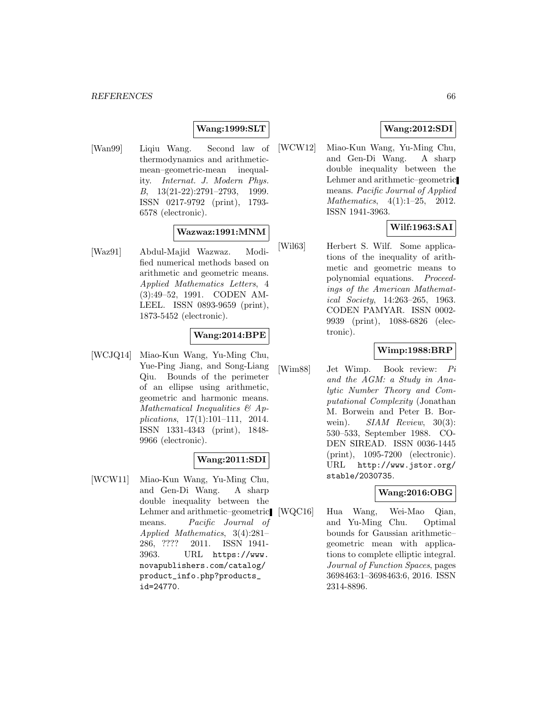### **Wang:1999:SLT**

[Wan99] Liqiu Wang. Second law of thermodynamics and arithmeticmean–geometric-mean inequality. Internat. J. Modern Phys. B, 13(21-22):2791–2793, 1999. ISSN 0217-9792 (print), 1793- 6578 (electronic).

### **Wazwaz:1991:MNM**

[Waz91] Abdul-Majid Wazwaz. Modified numerical methods based on arithmetic and geometric means. Applied Mathematics Letters, 4 (3):49–52, 1991. CODEN AM-LEEL. ISSN 0893-9659 (print), 1873-5452 (electronic).

# **Wang:2014:BPE**

[WCJQ14] Miao-Kun Wang, Yu-Ming Chu, Yue-Ping Jiang, and Song-Liang Qiu. Bounds of the perimeter of an ellipse using arithmetic, geometric and harmonic means. Mathematical Inequalities & Applications, 17(1):101–111, 2014. ISSN 1331-4343 (print), 1848- 9966 (electronic).

# **Wang:2011:SDI**

[WCW11] Miao-Kun Wang, Yu-Ming Chu, and Gen-Di Wang. A sharp double inequality between the Lehmer and arithmetic–geometric means. Pacific Journal of Applied Mathematics, 3(4):281– 286, ???? 2011. ISSN 1941- 3963. URL https://www. novapublishers.com/catalog/ product\_info.php?products\_ id=24770.

# **Wang:2012:SDI**

[WCW12] Miao-Kun Wang, Yu-Ming Chu, and Gen-Di Wang. A sharp double inequality between the Lehmer and arithmetic–geometric means. Pacific Journal of Applied Mathematics, 4(1):1–25, 2012. ISSN 1941-3963.

# **Wilf:1963:SAI**

[Wil63] Herbert S. Wilf. Some applications of the inequality of arithmetic and geometric means to polynomial equations. Proceedings of the American Mathematical Society, 14:263–265, 1963. CODEN PAMYAR. ISSN 0002- 9939 (print), 1088-6826 (electronic).

### **Wimp:1988:BRP**

[Wim88] Jet Wimp. Book review: Pi and the AGM: a Study in Analytic Number Theory and Computational Complexity (Jonathan M. Borwein and Peter B. Borwein).  $SIAM$  Review,  $30(3)$ : 530–533, September 1988. CO-DEN SIREAD. ISSN 0036-1445 (print), 1095-7200 (electronic). URL http://www.jstor.org/ stable/2030735.

### **Wang:2016:OBG**

[WQC16] Hua Wang, Wei-Mao Qian, and Yu-Ming Chu. Optimal bounds for Gaussian arithmetic– geometric mean with applications to complete elliptic integral. Journal of Function Spaces, pages 3698463:1–3698463:6, 2016. ISSN 2314-8896.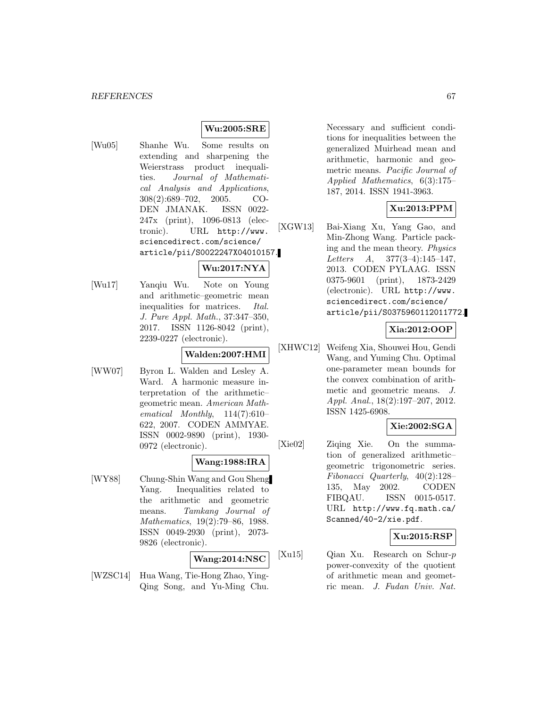# **Wu:2005:SRE**

- [Wu05] Shanhe Wu. Some results on extending and sharpening the Weierstrass product inequalities. Journal of Mathematical Analysis and Applications, 308(2):689–702, 2005. CO-DEN JMANAK. ISSN 0022- 247x (print), 1096-0813 (electronic). URL http://www. sciencedirect.com/science/ article/pii/S0022247X04010157.
- [Wu17] Yanqiu Wu. Note on Young and arithmetic–geometric mean inequalities for matrices. Ital. J. Pure Appl. Math., 37:347–350, 2017. ISSN 1126-8042 (print), 2239-0227 (electronic).

### **Walden:2007:HMI**

**Wu:2017:NYA**

[WW07] Byron L. Walden and Lesley A. Ward. A harmonic measure interpretation of the arithmetic– geometric mean. American Mathematical Monthly, 114(7):610– 622, 2007. CODEN AMMYAE. ISSN 0002-9890 (print), 1930- 0972 (electronic).

#### **Wang:1988:IRA**

[WY88] Chung-Shin Wang and Gou Sheng Yang. Inequalities related to the arithmetic and geometric means. Tamkang Journal of Mathematics, 19(2):79–86, 1988. ISSN 0049-2930 (print), 2073- 9826 (electronic).

# **Wang:2014:NSC**

[WZSC14] Hua Wang, Tie-Hong Zhao, Ying-Qing Song, and Yu-Ming Chu. Necessary and sufficient conditions for inequalities between the generalized Muirhead mean and arithmetic, harmonic and geometric means. Pacific Journal of Applied Mathematics, 6(3):175– 187, 2014. ISSN 1941-3963.

# **Xu:2013:PPM**

[XGW13] Bai-Xiang Xu, Yang Gao, and Min-Zhong Wang. Particle packing and the mean theory. Physics Letters A, 377(3–4):145–147, 2013. CODEN PYLAAG. ISSN 0375-9601 (print), 1873-2429 (electronic). URL http://www. sciencedirect.com/science/ article/pii/S0375960112011772.

### **Xia:2012:OOP**

[XHWC12] Weifeng Xia, Shouwei Hou, Gendi Wang, and Yuming Chu. Optimal one-parameter mean bounds for the convex combination of arithmetic and geometric means. J. Appl. Anal., 18(2):197–207, 2012. ISSN 1425-6908.

# **Xie:2002:SGA**

[Xie02] Ziqing Xie. On the summation of generalized arithmetic– geometric trigonometric series. Fibonacci Quarterly, 40(2):128– 135, May 2002. CODEN FIBQAU. ISSN 0015-0517. URL http://www.fq.math.ca/ Scanned/40-2/xie.pdf.

### **Xu:2015:RSP**

[Xu15] Qian Xu. Research on Schur-p power-convexity of the quotient of arithmetic mean and geometric mean. J. Fudan Univ. Nat.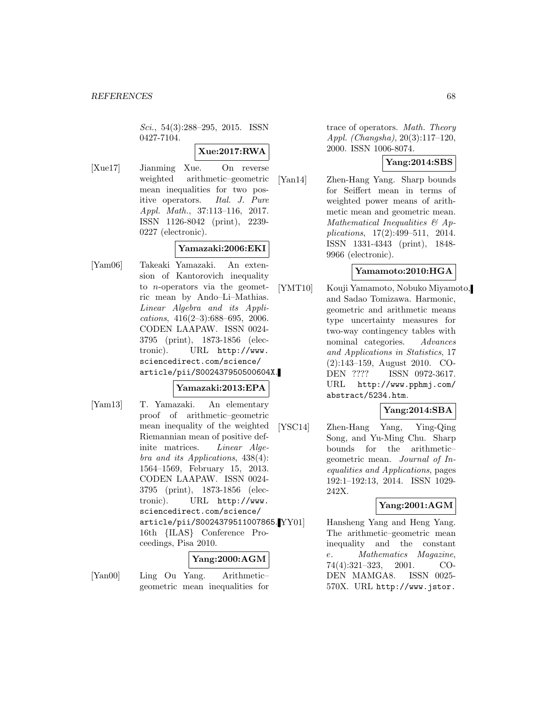Sci., 54(3):288–295, 2015. ISSN 0427-7104.

# **Xue:2017:RWA**

[Xue17] Jianming Xue. On reverse weighted arithmetic–geometric mean inequalities for two positive operators. Ital. J. Pure Appl. Math., 37:113–116, 2017. ISSN 1126-8042 (print), 2239- 0227 (electronic).

# **Yamazaki:2006:EKI**

[Yam06] Takeaki Yamazaki. An extension of Kantorovich inequality to n-operators via the geometric mean by Ando–Li–Mathias. Linear Algebra and its Applications, 416(2–3):688–695, 2006. CODEN LAAPAW. ISSN 0024- 3795 (print), 1873-1856 (electronic). URL http://www. sciencedirect.com/science/ article/pii/S002437950500604X.

# **Yamazaki:2013:EPA**

[Yam13] T. Yamazaki. An elementary proof of arithmetic–geometric mean inequality of the weighted Riemannian mean of positive definite matrices. Linear Algebra and its Applications, 438(4): 1564–1569, February 15, 2013. CODEN LAAPAW. ISSN 0024- 3795 (print), 1873-1856 (electronic). URL http://www. sciencedirect.com/science/ article/pii/S0024379511007865. 16th {ILAS} Conference Proceedings, Pisa 2010.

### **Yang:2000:AGM**

[Yan00] Ling Ou Yang. Arithmetic– geometric mean inequalities for trace of operators. Math. Theory Appl. (Changsha), 20(3):117–120, 2000. ISSN 1006-8074.

# **Yang:2014:SBS**

[Yan14] Zhen-Hang Yang. Sharp bounds for Seiffert mean in terms of weighted power means of arithmetic mean and geometric mean. Mathematical Inequalities & Applications, 17(2):499–511, 2014. ISSN 1331-4343 (print), 1848- 9966 (electronic).

# **Yamamoto:2010:HGA**

[YMT10] Kouji Yamamoto, Nobuko Miyamoto, and Sadao Tomizawa. Harmonic, geometric and arithmetic means type uncertainty measures for two-way contingency tables with nominal categories. Advances and Applications in Statistics, 17 (2):143–159, August 2010. CO-DEN ???? ISSN 0972-3617. URL http://www.pphmj.com/ abstract/5234.htm.

# **Yang:2014:SBA**

[YSC14] Zhen-Hang Yang, Ying-Qing Song, and Yu-Ming Chu. Sharp bounds for the arithmetic– geometric mean. Journal of Inequalities and Applications, pages 192:1–192:13, 2014. ISSN 1029- 242X.

# **Yang:2001:AGM**

Hansheng Yang and Heng Yang. The arithmetic–geometric mean inequality and the constant e. Mathematics Magazine, 74(4):321–323, 2001. CO-DEN MAMGA8. ISSN 0025- 570X. URL http://www.jstor.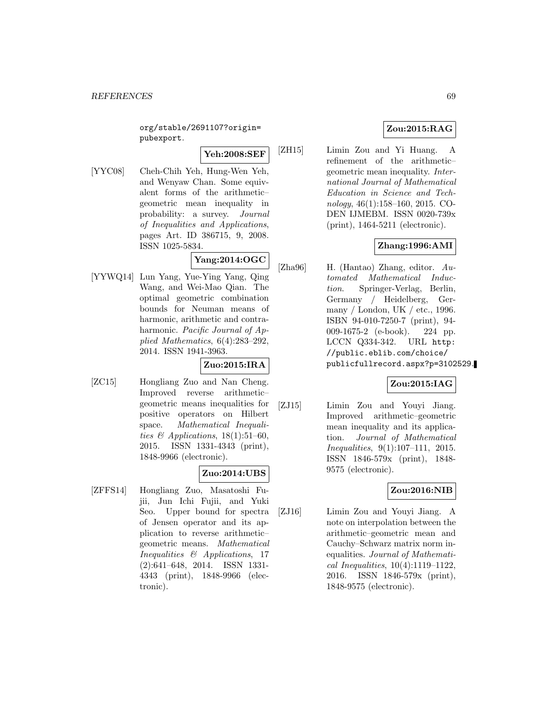org/stable/2691107?origin= pubexport.

**Yeh:2008:SEF**

[YYC08] Cheh-Chih Yeh, Hung-Wen Yeh, and Wenyaw Chan. Some equivalent forms of the arithmetic– geometric mean inequality in probability: a survey. Journal of Inequalities and Applications, pages Art. ID 386715, 9, 2008. ISSN 1025-5834.

# **Yang:2014:OGC**

[YYWQ14] Lun Yang, Yue-Ying Yang, Qing Wang, and Wei-Mao Qian. The optimal geometric combination bounds for Neuman means of harmonic, arithmetic and contraharmonic. Pacific Journal of Applied Mathematics, 6(4):283–292, 2014. ISSN 1941-3963.

# **Zuo:2015:IRA**

[ZC15] Hongliang Zuo and Nan Cheng. Improved reverse arithmetic– geometric means inequalities for positive operators on Hilbert space. Mathematical Inequalities & Applications,  $18(1):51-60$ , 2015. ISSN 1331-4343 (print), 1848-9966 (electronic).

# **Zuo:2014:UBS**

[ZFFS14] Hongliang Zuo, Masatoshi Fujii, Jun Ichi Fujii, and Yuki Seo. Upper bound for spectra of Jensen operator and its application to reverse arithmetic– geometric means. Mathematical Inequalities & Applications, 17 (2):641–648, 2014. ISSN 1331- 4343 (print), 1848-9966 (electronic).

# **Zou:2015:RAG**

[ZH15] Limin Zou and Yi Huang. A refinement of the arithmetic– geometric mean inequality. International Journal of Mathematical Education in Science and Technology, 46(1):158–160, 2015. CO-DEN IJMEBM. ISSN 0020-739x (print), 1464-5211 (electronic).

# **Zhang:1996:AMI**

[Zha96] H. (Hantao) Zhang, editor. Automated Mathematical Induction. Springer-Verlag, Berlin, Germany / Heidelberg, Germany / London, UK / etc., 1996. ISBN 94-010-7250-7 (print), 94- 009-1675-2 (e-book). 224 pp. LCCN Q334-342. URL http: //public.eblib.com/choice/ publicfullrecord.aspx?p=3102529.

# **Zou:2015:IAG**

[ZJ15] Limin Zou and Youyi Jiang. Improved arithmetic–geometric mean inequality and its application. Journal of Mathematical Inequalities, 9(1):107–111, 2015. ISSN 1846-579x (print), 1848- 9575 (electronic).

# **Zou:2016:NIB**

[ZJ16] Limin Zou and Youyi Jiang. A note on interpolation between the arithmetic–geometric mean and Cauchy–Schwarz matrix norm inequalities. Journal of Mathematical Inequalities, 10(4):1119–1122, 2016. ISSN 1846-579x (print), 1848-9575 (electronic).